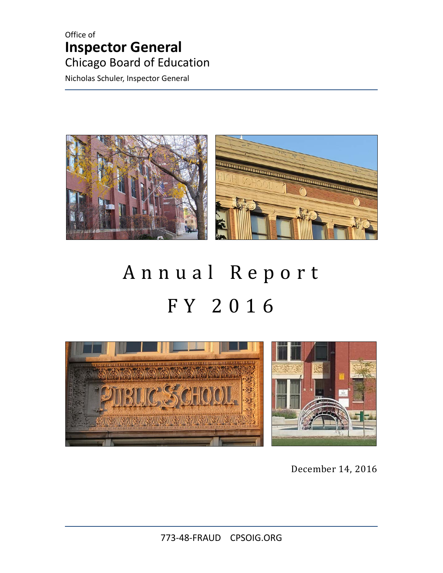### Office of **Inspector General** Chicago Board of Education

Nicholas Schuler, Inspector General



# Annual Report FY 2016

<span id="page-0-0"></span>

December 14, 2016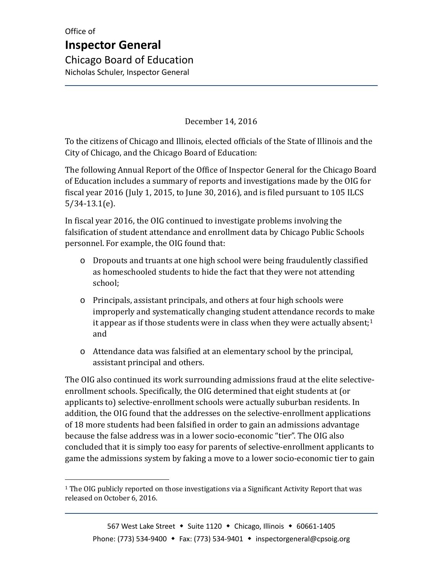#### December 14, 2016

To the citizens of Chicago and Illinois, elected officials of the State of Illinois and the City of Chicago, and the Chicago Board of Education:

The following Annual Report of the Office of Inspector General for the Chicago Board of Education includes a summary of reports and investigations made by the OIG for fiscal year 2016 (July 1, 2015, to June 30, 2016), and is filed pursuant to 105 ILCS 5/34-13.1(e).

In fiscal year 2016, the OIG continued to investigate problems involving the falsification of student attendance and enrollment data by Chicago Public Schools personnel. For example, the OIG found that:

- o Dropouts and truants at one high school were being fraudulently classified as homeschooled students to hide the fact that they were not attending school;
- o Principals, assistant principals, and others at four high schools were improperly and systematically changing student attendance records to make it appear as if those students were in class when they were actually absent; $1$ and
- o Attendance data was falsified at an elementary school by the principal, assistant principal and others.

The OIG also continued its work surrounding admissions fraud at the elite selectiveenrollment schools. Specifically, the OIG determined that eight students at (or applicants to) selective-enrollment schools were actually suburban residents. In addition, the OIG found that the addresses on the selective-enrollment applications of 18 more students had been falsified in order to gain an admissions advantage because the false address was in a lower socio-economic "tier". The OIG also concluded that it is simply too easy for parents of selective-enrollment applicants to game the admissions system by faking a move to a lower socio-economic tier to gain

<span id="page-1-0"></span> $1$  The OIG publicly reported on those investigations via a Significant Activity Report that was released on October 6, 2016.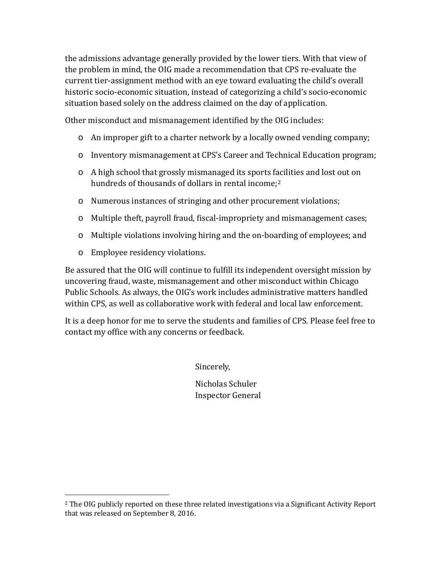the admissions advantage generally provided by the lower tiers. With that view of the problem in mind, the OIG made a recommendation that CPS re-evaluate the current tier-assignment method with an eye toward evaluating the child's overall historic socio-economic situation, instead of categorizing a child's socio-economic situation based solely on the address claimed on the day of application.

Other misconduct and mismanagement identified by the OIG includes:

- o An improper gift to a charter network by a locally owned vending company;
- o Inventory mismanagement at CPS's Career and Technical Education program;
- o A high school that grossly mismanaged its sports f[ac](#page-1-0)ilities and lost out on hundreds of thousands of dollars in rental income;<sup>2</sup>
- o Numerous instances of stringing and other procurement violations;
- o Multiple theft, payroll fraud, fiscal-impropriety and mismanagement cases;
- o Multiple violations involving hiring and the on-boarding of employees; and
- o Employee residency violations.

 $\overline{a}$ 

Be assured that the OIG will continue to fulfill its independent oversight mission by uncovering fraud, waste, mismanagement and other misconduct within Chicago Public Schools. As always, the OIG's work includes administrative matters handled within CPS, as well as collaborative work with federal and local law enforcement.

<span id="page-2-0"></span>It is a deep honor for me to serve the students and families of CPS. Please feel free to contact my office with any concerns or feedback.

Sincerely,

Nicholas Schuler Inspector General

<sup>&</sup>lt;sup>2</sup> The OIG publicly reported on these three related investigations via a Significant Activity Report that was released on September 8, 2016.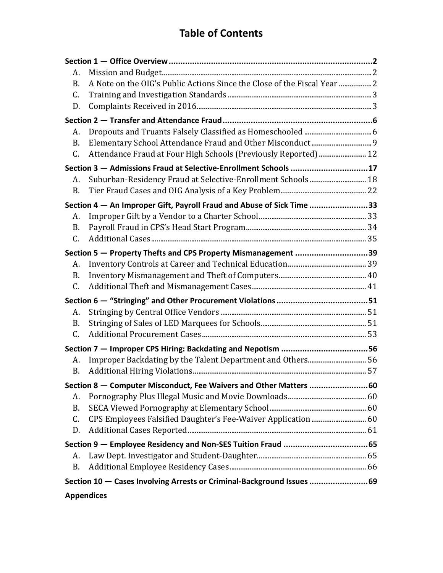## **Table of Contents**

| А.              |                                                                          |  |
|-----------------|--------------------------------------------------------------------------|--|
| <b>B.</b>       | A Note on the OIG's Public Actions Since the Close of the Fiscal Year  2 |  |
| C.              |                                                                          |  |
| D.              |                                                                          |  |
|                 |                                                                          |  |
| А.              |                                                                          |  |
| <b>B.</b>       |                                                                          |  |
| C.              | Attendance Fraud at Four High Schools (Previously Reported)  12          |  |
|                 | Section 3 - Admissions Fraud at Selective-Enrollment Schools 17          |  |
| А.              | Suburban-Residency Fraud at Selective-Enrollment Schools  18             |  |
| B.              |                                                                          |  |
|                 | Section 4 - An Improper Gift, Payroll Fraud and Abuse of Sick Time 33    |  |
| А.              |                                                                          |  |
| <b>B.</b>       |                                                                          |  |
| C.              |                                                                          |  |
|                 | Section 5 - Property Thefts and CPS Property Mismanagement 39            |  |
| А.              |                                                                          |  |
| <b>B.</b>       |                                                                          |  |
| C.              |                                                                          |  |
|                 |                                                                          |  |
| А.              |                                                                          |  |
| <b>B.</b>       |                                                                          |  |
| C.              |                                                                          |  |
|                 |                                                                          |  |
| A.              |                                                                          |  |
| <b>B.</b>       |                                                                          |  |
|                 | Section 8 – Computer Misconduct, Fee Waivers and Other Matters 60        |  |
| А.              |                                                                          |  |
| <b>B.</b>       |                                                                          |  |
| $\mathcal{C}$ . | CPS Employees Falsified Daughter's Fee-Waiver Application  60            |  |
| D.              |                                                                          |  |
|                 |                                                                          |  |
| A.              |                                                                          |  |
| <b>B.</b>       |                                                                          |  |
|                 | Section 10 - Cases Involving Arrests or Criminal-Background Issues 69    |  |
|                 | <b>Appendices</b>                                                        |  |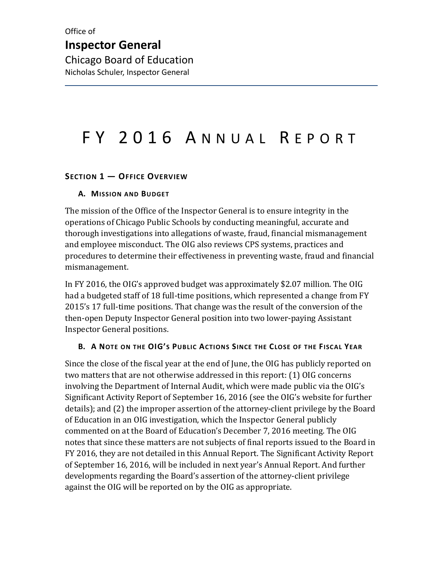# FY 2016 ANNUAL REPORT

#### <span id="page-4-0"></span>**SECTION 1 — OFFICE OVERVIEW**

#### <span id="page-4-1"></span>**A. MISSION AND BUDGET**

The mission of the Office of the Inspector General is to ensure integrity in the operations of Chicago Public Schools by conducting meaningful, accurate and thorough investigations into allegations of waste, fraud, financial mismanagement and employee misconduct. The OIG also reviews CPS systems, practices and procedures to determine their effectiveness in preventing waste, fraud and financial mismanagement.

In FY 2016, the OIG's approved budget was approximately \$2.07 million. The OIG had a budgeted staff of 18 full-time positions, which represented a change from FY 2015's 17 full-time positions. That change was the result of the conversion of the then-open Deputy Inspector General position into two lower-paying Assistant Inspector General positions.

#### <span id="page-4-2"></span>**B. A NOTE ON THE OIG'S PUBLIC ACTIONS SINCE THE CLOSE OF THE FISCAL YEAR**

Since the close of the fiscal year at the end of June, the OIG has publicly reported on two matters that are not otherwise addressed in this report: (1) OIG concerns involving the Department of Internal Audit, which were made public via the OIG's Significant Activity Report of September 16, 2016 (see the OIG's website for further details); and (2) the improper assertion of the attorney-client privilege by the Board of Education in an OIG investigation, which the Inspector General publicly commented on at the Board of Education's December 7, 2016 meeting. The OIG notes that since these matters are not subjects of final reports issued to the Board in FY 2016, they are not detailed in this Annual Report. The Significant Activity Report of September 16, 2016, will be included in next year's Annual Report. And further developments regarding the Board's assertion of the attorney-client privilege against the OIG will be reported on by the OIG as appropriate.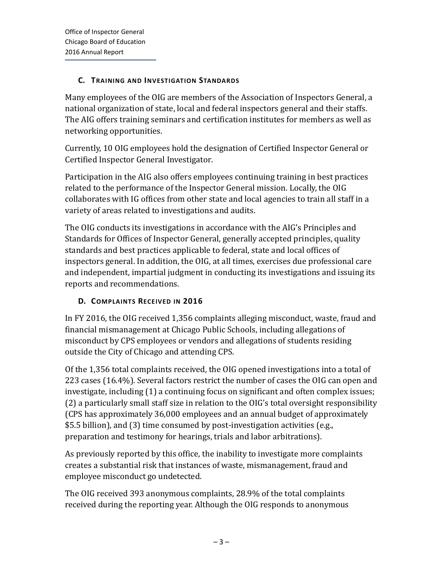#### <span id="page-5-0"></span>**C. TRAINING AND INVESTIGATION STANDARDS**

Many employees of the OIG are members of the Association of Inspectors General, a national organization of state, local and federal inspectors general and their staffs. The AIG offers training seminars and certification institutes for members as well as networking opportunities.

Currently, 10 OIG employees hold the designation of Certified Inspector General or Certified Inspector General Investigator.

Participation in the AIG also offers employees continuing training in best practices related to the performance of the Inspector General mission. Locally, the OIG collaborates with IG offices from other state and local agencies to train all staff in a variety of areas related to investigations and audits.

The OIG conducts its investigations in accordance with the AIG's Principles and Standards for Offices of Inspector General, generally accepted principles, quality standards and best practices applicable to federal, state and local offices of inspectors general. In addition, the OIG, at all times, exercises due professional care and independent, impartial judgment in conducting its investigations and issuing its reports and recommendations.

#### <span id="page-5-1"></span>**D. COMPLAINTS RECEIVED IN 2016**

In FY 2016, the OIG received 1,356 complaints alleging misconduct, waste, fraud and financial mismanagement at Chicago Public Schools, including allegations of misconduct by CPS employees or vendors and allegations of students residing outside the City of Chicago and attending CPS.

Of the 1,356 total complaints received, the OIG opened investigations into a total of 223 cases (16.4%). Several factors restrict the number of cases the OIG can open and investigate, including (1) a continuing focus on significant and often complex issues; (2) a particularly small staff size in relation to the OIG's total oversight responsibility (CPS has approximately 36,000 employees and an annual budget of approximately \$5.5 billion), and (3) time consumed by post-investigation activities (e.g., preparation and testimony for hearings, trials and labor arbitrations).

As previously reported by this office, the inability to investigate more complaints creates a substantial risk that instances of waste, mismanagement, fraud and employee misconduct go undetected.

The OIG received 393 anonymous complaints, 28.9% of the total complaints received during the reporting year. Although the OIG responds to anonymous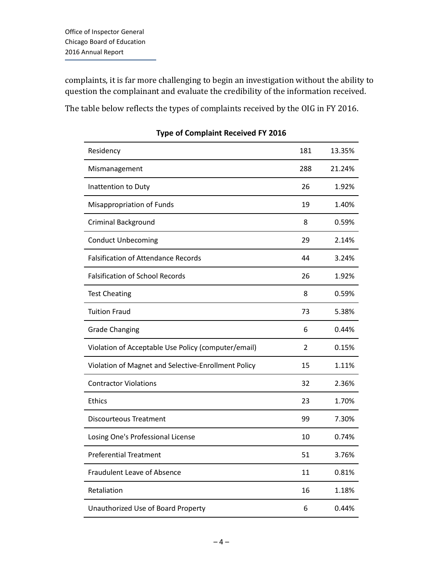complaints, it is far more challenging to begin an investigation without the ability to question the complainant and evaluate the credibility of the information received.

The table below reflects the types of complaints received by the OIG in FY 2016.

| Residency                                           | 181 | 13.35% |
|-----------------------------------------------------|-----|--------|
| Mismanagement                                       | 288 | 21.24% |
| Inattention to Duty                                 | 26  | 1.92%  |
| <b>Misappropriation of Funds</b>                    | 19  | 1.40%  |
| Criminal Background                                 | 8   | 0.59%  |
| <b>Conduct Unbecoming</b>                           | 29  | 2.14%  |
| <b>Falsification of Attendance Records</b>          | 44  | 3.24%  |
| <b>Falsification of School Records</b>              | 26  | 1.92%  |
| <b>Test Cheating</b>                                | 8   | 0.59%  |
| <b>Tuition Fraud</b>                                | 73  | 5.38%  |
| <b>Grade Changing</b>                               | 6   | 0.44%  |
| Violation of Acceptable Use Policy (computer/email) | 2   | 0.15%  |
| Violation of Magnet and Selective-Enrollment Policy | 15  | 1.11%  |
| <b>Contractor Violations</b>                        | 32  | 2.36%  |
| <b>Ethics</b>                                       | 23  | 1.70%  |
| <b>Discourteous Treatment</b>                       | 99  | 7.30%  |
| Losing One's Professional License                   | 10  | 0.74%  |
| <b>Preferential Treatment</b>                       | 51  | 3.76%  |
| <b>Fraudulent Leave of Absence</b>                  | 11  | 0.81%  |
| Retaliation                                         | 16  | 1.18%  |
| Unauthorized Use of Board Property                  | 6   | 0.44%  |

**Type of Complaint Received FY 2016**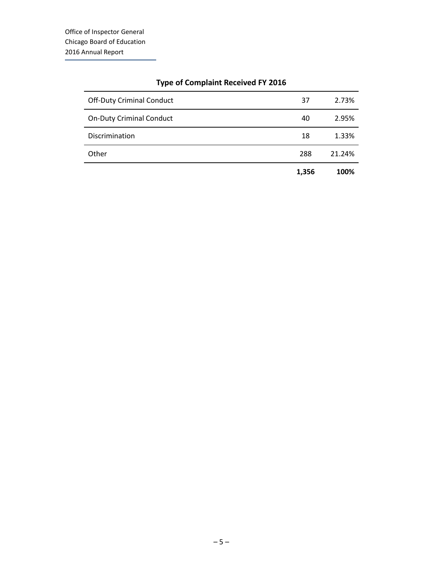|                                  | 1,356 | 100%   |
|----------------------------------|-------|--------|
| Other                            | 288   | 21.24% |
| Discrimination                   | 18    | 1.33%  |
| <b>On-Duty Criminal Conduct</b>  | 40    | 2.95%  |
| <b>Off-Duty Criminal Conduct</b> | 37    | 2.73%  |
|                                  |       |        |

#### **Type of Complaint Received FY 2016**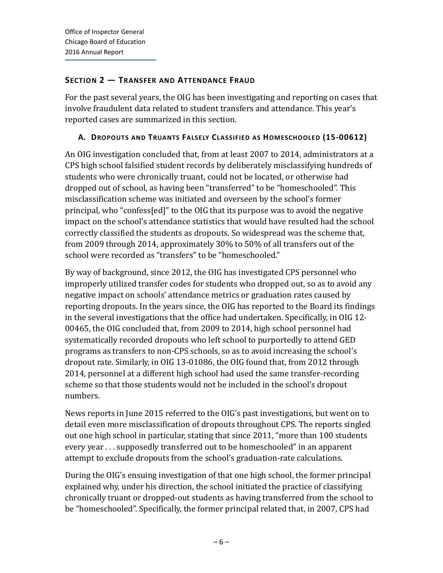#### <span id="page-8-0"></span>**SECTION 2 — TRANSFER AND ATTENDANCE FRAUD**

For the past several years, the OIG has been investigating and reporting on cases that involve fraudulent data related to student transfers and attendance. This year's reported cases are summarized in this section.

#### <span id="page-8-1"></span>**A. DROPOUTS AND TRUANTS FALSELY CLASSIFIED AS HOMESCHOOLED (15-00612)**

An OIG investigation concluded that, from at least 2007 to 2014, administrators at a CPS high school falsified student records by deliberately misclassifying hundreds of students who were chronically truant, could not be located, or otherwise had dropped out of school, as having been "transferred" to be "homeschooled". This misclassification scheme was initiated and overseen by the school's former principal, who "confess[ed]" to the OIG that its purpose was to avoid the negative impact on the school's attendance statistics that would have resulted had the school correctly classified the students as dropouts. So widespread was the scheme that, from 2009 through 2014, approximately 30% to 50% of all transfers out of the school were recorded as "transfers" to be "homeschooled."

By way of background, since 2012, the OIG has investigated CPS personnel who improperly utilized transfer codes for students who dropped out, so as to avoid any negative impact on schools' attendance metrics or graduation rates caused by reporting dropouts. In the years since, the OIG has reported to the Board its findings in the several investigations that the office had undertaken. Specifically, in OIG 12- 00465, the OIG concluded that, from 2009 to 2014, high school personnel had systematically recorded dropouts who left school to purportedly to attend GED programs as transfers to non-CPS schools, so as to avoid increasing the school's dropout rate. Similarly, in OIG 13-01086, the OIG found that, from 2012 through 2014, personnel at a different high school had used the same transfer-recording scheme so that those students would not be included in the school's dropout numbers.

News reports in June 2015 referred to the OIG's past investigations, but went on to detail even more misclassification of dropouts throughout CPS. The reports singled out one high school in particular, stating that since 2011, "more than 100 students every year . . . supposedly transferred out to be homeschooled" in an apparent attempt to exclude dropouts from the school's graduation-rate calculations.

During the OIG's ensuing investigation of that one high school, the former principal explained why, under his direction, the school initiated the practice of classifying chronically truant or dropped-out students as having transferred from the school to be "homeschooled". Specifically, the former principal related that, in 2007, CPS had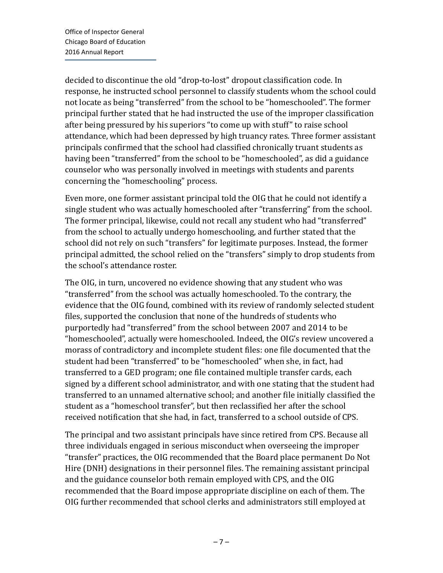decided to discontinue the old "drop-to-lost" dropout classification code. In response, he instructed school personnel to classify students whom the school could not locate as being "transferred" from the school to be "homeschooled". The former principal further stated that he had instructed the use of the improper classification after being pressured by his superiors "to come up with stuff" to raise school attendance, which had been depressed by high truancy rates. Three former assistant principals confirmed that the school had classified chronically truant students as having been "transferred" from the school to be "homeschooled", as did a guidance counselor who was personally involved in meetings with students and parents concerning the "homeschooling" process.

Even more, one former assistant principal told the OIG that he could not identify a single student who was actually homeschooled after "transferring" from the school. The former principal, likewise, could not recall any student who had "transferred" from the school to actually undergo homeschooling, and further stated that the school did not rely on such "transfers" for legitimate purposes. Instead, the former principal admitted, the school relied on the "transfers" simply to drop students from the school's attendance roster.

The OIG, in turn, uncovered no evidence showing that any student who was "transferred" from the school was actually homeschooled. To the contrary, the evidence that the OIG found, combined with its review of randomly selected student files, supported the conclusion that none of the hundreds of students who purportedly had "transferred" from the school between 2007 and 2014 to be "homeschooled", actually were homeschooled. Indeed, the OIG's review uncovered a morass of contradictory and incomplete student files: one file documented that the student had been "transferred" to be "homeschooled" when she, in fact, had transferred to a GED program; one file contained multiple transfer cards, each signed by a different school administrator, and with one stating that the student had transferred to an unnamed alternative school; and another file initially classified the student as a "homeschool transfer", but then reclassified her after the school received notification that she had, in fact, transferred to a school outside of CPS.

The principal and two assistant principals have since retired from CPS. Because all three individuals engaged in serious misconduct when overseeing the improper "transfer" practices, the OIG recommended that the Board place permanent Do Not Hire (DNH) designations in their personnel files. The remaining assistant principal and the guidance counselor both remain employed with CPS, and the OIG recommended that the Board impose appropriate discipline on each of them. The OIG further recommended that school clerks and administrators still employed at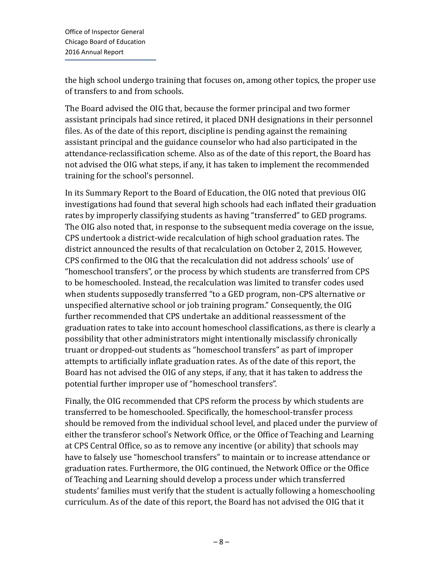the high school undergo training that focuses on, among other topics, the proper use of transfers to and from schools.

The Board advised the OIG that, because the former principal and two former assistant principals had since retired, it placed DNH designations in their personnel files. As of the date of this report, discipline is pending against the remaining assistant principal and the guidance counselor who had also participated in the attendance-reclassification scheme. Also as of the date of this report, the Board has not advised the OIG what steps, if any, it has taken to implement the recommended training for the school's personnel.

In its Summary Report to the Board of Education, the OIG noted that previous OIG investigations had found that several high schools had each inflated their graduation rates by improperly classifying students as having "transferred" to GED programs. The OIG also noted that, in response to the subsequent media coverage on the issue, CPS undertook a district-wide recalculation of high school graduation rates. The district announced the results of that recalculation on October 2, 2015. However, CPS confirmed to the OIG that the recalculation did not address schools' use of "homeschool transfers", or the process by which students are transferred from CPS to be homeschooled. Instead, the recalculation was limited to transfer codes used when students supposedly transferred "to a GED program, non-CPS alternative or unspecified alternative school or job training program." Consequently, the OIG further recommended that CPS undertake an additional reassessment of the graduation rates to take into account homeschool classifications, as there is clearly a possibility that other administrators might intentionally misclassify chronically truant or dropped-out students as "homeschool transfers" as part of improper attempts to artificially inflate graduation rates. As of the date of this report, the Board has not advised the OIG of any steps, if any, that it has taken to address the potential further improper use of "homeschool transfers".

Finally, the OIG recommended that CPS reform the process by which students are transferred to be homeschooled. Specifically, the homeschool-transfer process should be removed from the individual school level, and placed under the purview of either the transferor school's Network Office, or the Office of Teaching and Learning at CPS Central Office, so as to remove any incentive (or ability) that schools may have to falsely use "homeschool transfers" to maintain or to increase attendance or graduation rates. Furthermore, the OIG continued, the Network Office or the Office of Teaching and Learning should develop a process under which transferred students' families must verify that the student is actually following a homeschooling curriculum. As of the date of this report, the Board has not advised the OIG that it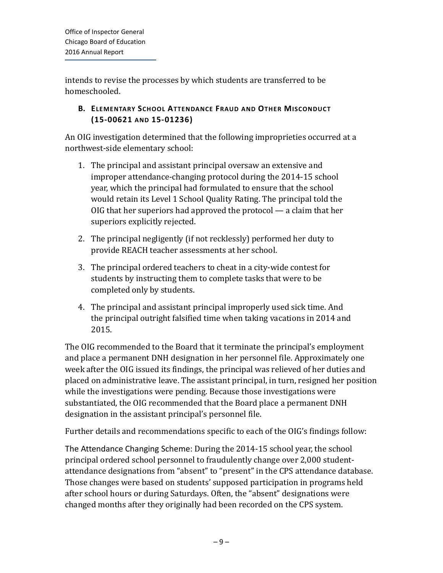intends to revise the processes by which students are transferred to be homeschooled.

#### <span id="page-11-0"></span>**B. ELEMENTARY SCHOOL ATTENDANCE FRAUD AND OTHER MISCONDUCT (15-00621 AND 15-01236)**

An OIG investigation determined that the following improprieties occurred at a northwest-side elementary school:

- 1. The principal and assistant principal oversaw an extensive and improper attendance-changing protocol during the 2014-15 school year, which the principal had formulated to ensure that the school would retain its Level 1 School Quality Rating. The principal told the OIG that her superiors had approved the protocol — a claim that her superiors explicitly rejected.
- 2. The principal negligently (if not recklessly) performed her duty to provide REACH teacher assessments at her school.
- 3. The principal ordered teachers to cheat in a city-wide contest for students by instructing them to complete tasks that were to be completed only by students.
- 4. The principal and assistant principal improperly used sick time. And the principal outright falsified time when taking vacations in 2014 and 2015.

The OIG recommended to the Board that it terminate the principal's employment and place a permanent DNH designation in her personnel file. Approximately one week after the OIG issued its findings, the principal was relieved of her duties and placed on administrative leave. The assistant principal, in turn, resigned her position while the investigations were pending. Because those investigations were substantiated, the OIG recommended that the Board place a permanent DNH designation in the assistant principal's personnel file.

Further details and recommendations specific to each of the OIG's findings follow:

The Attendance Changing Scheme: During the 2014-15 school year, the school principal ordered school personnel to fraudulently change over 2,000 studentattendance designations from "absent" to "present" in the CPS attendance database. Those changes were based on students' supposed participation in programs held after school hours or during Saturdays. Often, the "absent" designations were changed months after they originally had been recorded on the CPS system.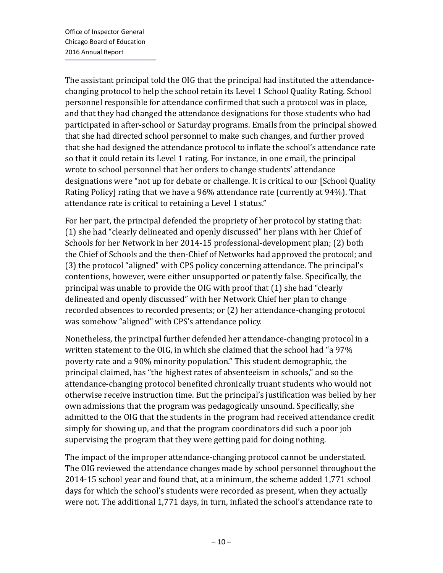The assistant principal told the OIG that the principal had instituted the attendancechanging protocol to help the school retain its Level 1 School Quality Rating. School personnel responsible for attendance confirmed that such a protocol was in place, and that they had changed the attendance designations for those students who had participated in after-school or Saturday programs. Emails from the principal showed that she had directed school personnel to make such changes, and further proved that she had designed the attendance protocol to inflate the school's attendance rate so that it could retain its Level 1 rating. For instance, in one email, the principal wrote to school personnel that her orders to change students' attendance designations were "not up for debate or challenge. It is critical to our [School Quality Rating Policy] rating that we have a 96% attendance rate (currently at 94%). That attendance rate is critical to retaining a Level 1 status."

For her part, the principal defended the propriety of her protocol by stating that: (1) she had "clearly delineated and openly discussed" her plans with her Chief of Schools for her Network in her 2014-15 professional-development plan; (2) both the Chief of Schools and the then-Chief of Networks had approved the protocol; and (3) the protocol "aligned" with CPS policy concerning attendance. The principal's contentions, however, were either unsupported or patently false. Specifically, the principal was unable to provide the OIG with proof that (1) she had "clearly delineated and openly discussed" with her Network Chief her plan to change recorded absences to recorded presents; or (2) her attendance-changing protocol was somehow "aligned" with CPS's attendance policy.

Nonetheless, the principal further defended her attendance-changing protocol in a written statement to the OIG, in which she claimed that the school had "a 97% poverty rate and a 90% minority population." This student demographic, the principal claimed, has "the highest rates of absenteeism in schools," and so the attendance-changing protocol benefited chronically truant students who would not otherwise receive instruction time. But the principal's justification was belied by her own admissions that the program was pedagogically unsound. Specifically, she admitted to the OIG that the students in the program had received attendance credit simply for showing up, and that the program coordinators did such a poor job supervising the program that they were getting paid for doing nothing.

The impact of the improper attendance-changing protocol cannot be understated. The OIG reviewed the attendance changes made by school personnel throughout the 2014-15 school year and found that, at a minimum, the scheme added 1,771 school days for which the school's students were recorded as present, when they actually were not. The additional 1,771 days, in turn, inflated the school's attendance rate to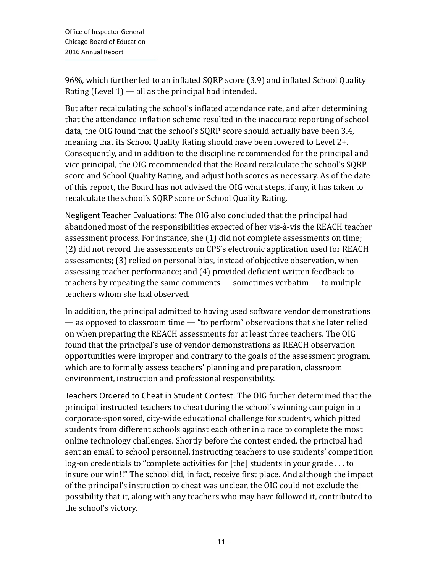96%, which further led to an inflated SQRP score (3.9) and inflated School Quality Rating (Level  $1$ ) — all as the principal had intended.

But after recalculating the school's inflated attendance rate, and after determining that the attendance-inflation scheme resulted in the inaccurate reporting of school data, the OIG found that the school's SQRP score should actually have been 3.4, meaning that its School Quality Rating should have been lowered to Level 2+. Consequently, and in addition to the discipline recommended for the principal and vice principal, the OIG recommended that the Board recalculate the school's SQRP score and School Quality Rating, and adjust both scores as necessary. As of the date of this report, the Board has not advised the OIG what steps, if any, it has taken to recalculate the school's SQRP score or School Quality Rating.

Negligent Teacher Evaluations: The OIG also concluded that the principal had abandoned most of the responsibilities expected of her vis-à-vis the REACH teacher assessment process. For instance, she (1) did not complete assessments on time; (2) did not record the assessments on CPS's electronic application used for REACH assessments; (3) relied on personal bias, instead of objective observation, when assessing teacher performance; and (4) provided deficient written feedback to teachers by repeating the same comments — sometimes verbatim — to multiple teachers whom she had observed.

In addition, the principal admitted to having used software vendor demonstrations — as opposed to classroom time — "to perform" observations that she later relied on when preparing the REACH assessments for at least three teachers. The OIG found that the principal's use of vendor demonstrations as REACH observation opportunities were improper and contrary to the goals of the assessment program, which are to formally assess teachers' planning and preparation, classroom environment, instruction and professional responsibility.

Teachers Ordered to Cheat in Student Contest: The OIG further determined that the principal instructed teachers to cheat during the school's winning campaign in a corporate-sponsored, city-wide educational challenge for students, which pitted students from different schools against each other in a race to complete the most online technology challenges. Shortly before the contest ended, the principal had sent an email to school personnel, instructing teachers to use students' competition log-on credentials to "complete activities for [the] students in your grade . . . to insure our win!!" The school did, in fact, receive first place. And although the impact of the principal's instruction to cheat was unclear, the OIG could not exclude the possibility that it, along with any teachers who may have followed it, contributed to the school's victory.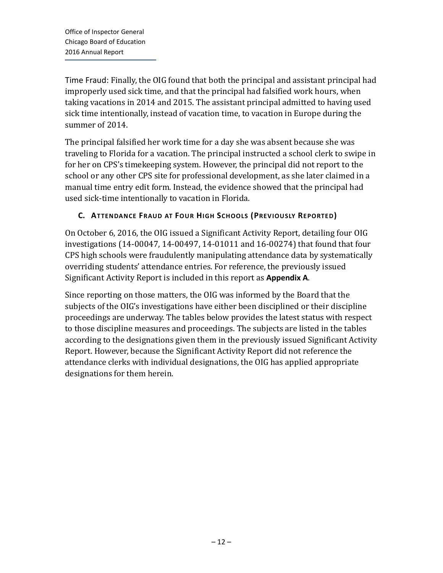Time Fraud: Finally, the OIG found that both the principal and assistant principal had improperly used sick time, and that the principal had falsified work hours, when taking vacations in 2014 and 2015. The assistant principal admitted to having used sick time intentionally, instead of vacation time, to vacation in Europe during the summer of 2014.

The principal falsified her work time for a day she was absent because she was traveling to Florida for a vacation. The principal instructed a school clerk to swipe in for her on CPS's timekeeping system. However, the principal did not report to the school or any other CPS site for professional development, as she later claimed in a manual time entry edit form. Instead, the evidence showed that the principal had used sick-time intentionally to vacation in Florida.

#### <span id="page-14-0"></span>**C. ATTENDANCE FRAUD AT FOUR HIGH SCHOOLS (PREVIOUSLY REPORTED)**

On October 6, 2016, the OIG issued a Significant Activity Report, detailing four OIG investigations (14-00047, 14-00497, 14-01011 and 16-00274) that found that four CPS high schools were fraudulently manipulating attendance data by systematically overriding students' attendance entries. For reference, the previously issued Significant Activity Report is included in this report as **Appendix A**.

Since reporting on those matters, the OIG was informed by the Board that the subjects of the OIG's investigations have either been disciplined or their discipline proceedings are underway. The tables below provides the latest status with respect to those discipline measures and proceedings. The subjects are listed in the tables according to the designations given them in the previously issued Significant Activity Report. However, because the Significant Activity Report did not reference the attendance clerks with individual designations, the OIG has applied appropriate designations for them herein.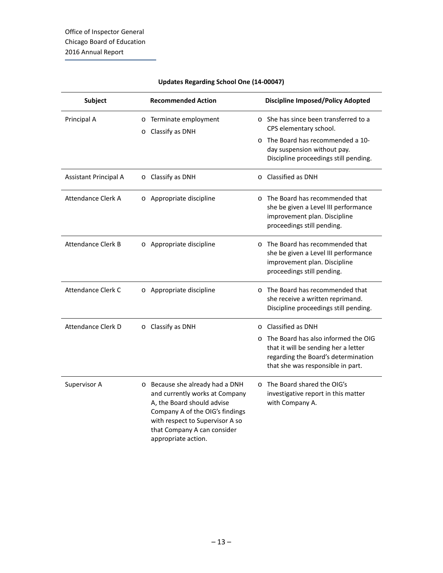| <b>Subject</b>            | <b>Recommended Action</b>                                                                                                                                                                                                   | <b>Discipline Imposed/Policy Adopted</b>                                                                                                                           |
|---------------------------|-----------------------------------------------------------------------------------------------------------------------------------------------------------------------------------------------------------------------------|--------------------------------------------------------------------------------------------------------------------------------------------------------------------|
| Principal A               | Terminate employment<br>$\circ$<br>Classify as DNH<br>$\circ$                                                                                                                                                               | ○ She has since been transferred to a<br>CPS elementary school.<br>The Board has recommended a 10-<br>$\circ$                                                      |
|                           |                                                                                                                                                                                                                             | day suspension without pay.<br>Discipline proceedings still pending.                                                                                               |
| Assistant Principal A     | Classify as DNH<br>$\circ$                                                                                                                                                                                                  | Classified as DNH<br>$\circ$                                                                                                                                       |
| Attendance Clerk A        | o Appropriate discipline                                                                                                                                                                                                    | The Board has recommended that<br>$\Omega$<br>she be given a Level III performance<br>improvement plan. Discipline<br>proceedings still pending.                   |
| <b>Attendance Clerk B</b> | o Appropriate discipline                                                                                                                                                                                                    | The Board has recommended that<br>$\circ$<br>she be given a Level III performance<br>improvement plan. Discipline<br>proceedings still pending.                    |
| Attendance Clerk C        | o Appropriate discipline                                                                                                                                                                                                    | The Board has recommended that<br>$\Omega$<br>she receive a written reprimand.<br>Discipline proceedings still pending.                                            |
| Attendance Clerk D        | O Classify as DNH                                                                                                                                                                                                           | Classified as DNH<br>$\Omega$                                                                                                                                      |
|                           |                                                                                                                                                                                                                             | The Board has also informed the OIG<br>$\circ$<br>that it will be sending her a letter<br>regarding the Board's determination<br>that she was responsible in part. |
| Supervisor A              | o Because she already had a DNH<br>and currently works at Company<br>A, the Board should advise<br>Company A of the OIG's findings<br>with respect to Supervisor A so<br>that Company A can consider<br>appropriate action. | o The Board shared the OIG's<br>investigative report in this matter<br>with Company A.                                                                             |

#### **Updates Regarding School One (14-00047)**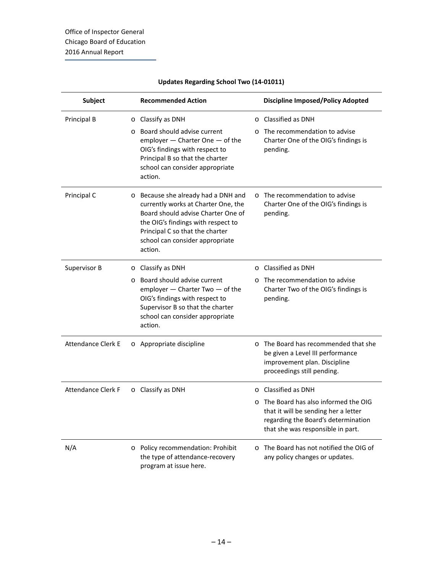| <b>Subject</b>            |         | <b>Recommended Action</b>                                                                                                                                                                                                             |          | <b>Discipline Imposed/Policy Adopted</b>                                                                                                                |
|---------------------------|---------|---------------------------------------------------------------------------------------------------------------------------------------------------------------------------------------------------------------------------------------|----------|---------------------------------------------------------------------------------------------------------------------------------------------------------|
| Principal B               | O       | Classify as DNH                                                                                                                                                                                                                       | $\circ$  | Classified as DNH                                                                                                                                       |
|                           | $\circ$ | Board should advise current<br>employer - Charter One - of the<br>OIG's findings with respect to<br>Principal B so that the charter<br>school can consider appropriate<br>action.                                                     | $\Omega$ | The recommendation to advise<br>Charter One of the OIG's findings is<br>pending.                                                                        |
| Principal C               | $\circ$ | Because she already had a DNH and<br>currently works at Charter One, the<br>Board should advise Charter One of<br>the OIG's findings with respect to<br>Principal C so that the charter<br>school can consider appropriate<br>action. |          | $\circ$ The recommendation to advise<br>Charter One of the OIG's findings is<br>pending.                                                                |
| Supervisor B              | $\circ$ | Classify as DNH                                                                                                                                                                                                                       |          | $\circ$ Classified as DNH                                                                                                                               |
|                           | $\circ$ | Board should advise current<br>employer - Charter Two - of the<br>OIG's findings with respect to<br>Supervisor B so that the charter<br>school can consider appropriate<br>action.                                                    |          | The recommendation to advise<br>Charter Two of the OIG's findings is<br>pending.                                                                        |
| <b>Attendance Clerk E</b> |         | o Appropriate discipline                                                                                                                                                                                                              |          | o The Board has recommended that she<br>be given a Level III performance<br>improvement plan. Discipline<br>proceedings still pending.                  |
| <b>Attendance Clerk F</b> |         | O Classify as DNH                                                                                                                                                                                                                     |          | $\circ$ Classified as DNH                                                                                                                               |
|                           |         |                                                                                                                                                                                                                                       |          | The Board has also informed the OIG<br>that it will be sending her a letter<br>regarding the Board's determination<br>that she was responsible in part. |
| N/A                       | $\circ$ | Policy recommendation: Prohibit<br>the type of attendance-recovery<br>program at issue here.                                                                                                                                          |          | o The Board has not notified the OIG of<br>any policy changes or updates.                                                                               |

#### **Updates Regarding School Two (14-01011)**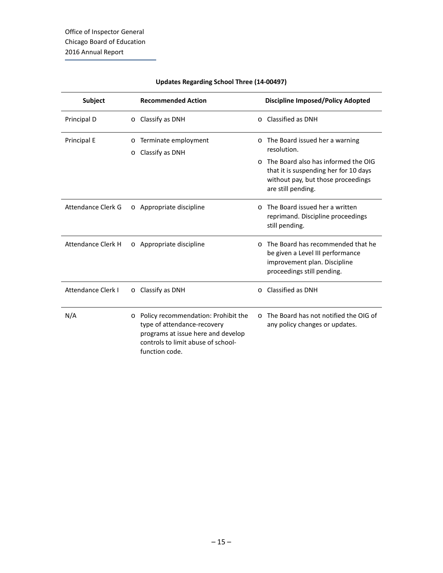| <b>Subject</b>            | <b>Recommended Action</b>                                                                                                                                                   | <b>Discipline Imposed/Policy Adopted</b>                                                                                                                                                                       |
|---------------------------|-----------------------------------------------------------------------------------------------------------------------------------------------------------------------------|----------------------------------------------------------------------------------------------------------------------------------------------------------------------------------------------------------------|
| Principal D               | O Classify as DNH                                                                                                                                                           | Classified as DNH<br>$\Omega$                                                                                                                                                                                  |
| Principal E               | Terminate employment<br>$\circ$<br>Classify as DNH<br>$\circ$                                                                                                               | The Board issued her a warning<br>$\circ$<br>resolution.<br>The Board also has informed the OIG<br>$\cap$<br>that it is suspending her for 10 days<br>without pay, but those proceedings<br>are still pending. |
| Attendance Clerk G        | o Appropriate discipline                                                                                                                                                    | The Board issued her a written<br>$\Omega$<br>reprimand. Discipline proceedings<br>still pending.                                                                                                              |
| Attendance Clerk H        | o Appropriate discipline                                                                                                                                                    | The Board has recommended that he<br>$\Omega$<br>be given a Level III performance<br>improvement plan. Discipline<br>proceedings still pending.                                                                |
| <b>Attendance Clerk I</b> | $\circ$ Classify as DNH                                                                                                                                                     | Classified as DNH<br>$\circ$                                                                                                                                                                                   |
| N/A                       | Policy recommendation: Prohibit the<br>$\circ$<br>type of attendance-recovery<br>programs at issue here and develop<br>controls to limit abuse of school-<br>function code. | The Board has not notified the OIG of<br>$\cap$<br>any policy changes or updates.                                                                                                                              |

#### **Updates Regarding School Three (14-00497)**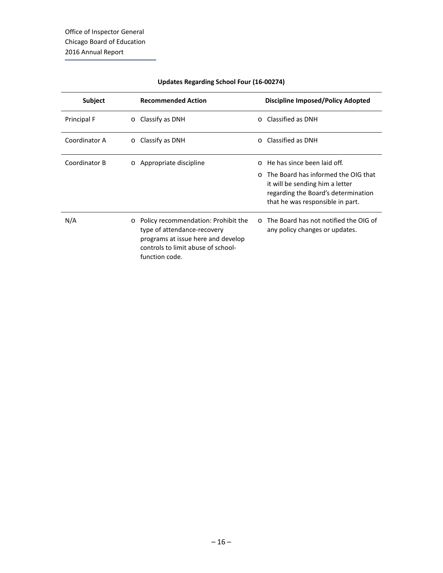| Subject       | <b>Recommended Action</b>                                                                                                                                                   | <b>Discipline Imposed/Policy Adopted</b>                                                                                                                    |
|---------------|-----------------------------------------------------------------------------------------------------------------------------------------------------------------------------|-------------------------------------------------------------------------------------------------------------------------------------------------------------|
| Principal F   | Classify as DNH<br>$\circ$                                                                                                                                                  | Classified as DNH<br>$\cap$                                                                                                                                 |
| Coordinator A | Classify as DNH<br>$\circ$                                                                                                                                                  | Classified as DNH<br>$\Omega$                                                                                                                               |
| Coordinator B | $\circ$ Appropriate discipline                                                                                                                                              | He has since been laid off.<br>$\cap$                                                                                                                       |
|               |                                                                                                                                                                             | The Board has informed the OIG that<br>$\cap$<br>it will be sending him a letter<br>regarding the Board's determination<br>that he was responsible in part. |
| N/A           | Policy recommendation: Prohibit the<br>$\circ$<br>type of attendance-recovery<br>programs at issue here and develop<br>controls to limit abuse of school-<br>function code. | $\circ$ The Board has not notified the OIG of<br>any policy changes or updates.                                                                             |

#### **Updates Regarding School Four (16-00274)**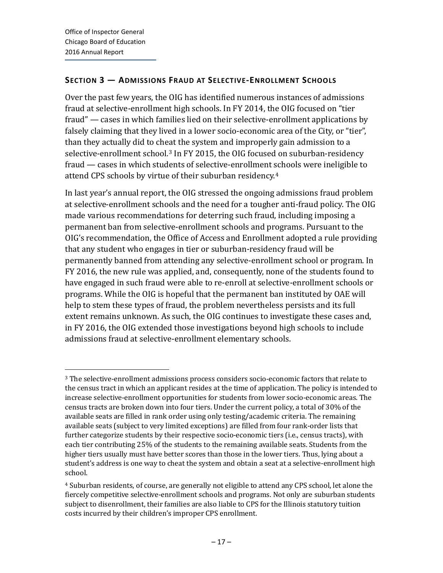#### <span id="page-19-0"></span>**SECTION 3 — ADMISSIONS FRAUD AT SELECTIVE-ENROLLMENT SCHOOLS**

Over the past few years, the OIG has identified numerous instances of admissions fraud at selective-enrollment high schools. In FY 2014, the OIG focused on "tier fraud" — cases in which families lied on their selective-enrollment applications by falsely claiming that they lived in a lower socio-economic area of the City, or "tier", than they actually did to cheat the system and improperly gain admission to a selective-enrollment school.<sup>[3](#page-2-0)</sup> In FY 2015, the OIG focused on suburban-residency fraud — cases in which students of selective-enrollment schools were ineligible to attend CPS schools by virtue of their suburban residency.[4](#page-19-1)

In last year's annual report, the OIG stressed the ongoing admissions fraud problem at selective-enrollment schools and the need for a tougher anti-fraud policy. The OIG made various recommendations for deterring such fraud, including imposing a permanent ban from selective-enrollment schools and programs. Pursuant to the OIG's recommendation, the Office of Access and Enrollment adopted a rule providing that any student who engages in tier or suburban-residency fraud will be permanently banned from attending any selective-enrollment school or program. In FY 2016, the new rule was applied, and, consequently, none of the students found to have engaged in such fraud were able to re-enroll at selective-enrollment schools or programs. While the OIG is hopeful that the permanent ban instituted by OAE will help to stem these types of fraud, the problem nevertheless persists and its full extent remains unknown. As such, the OIG continues to investigate these cases and, in FY 2016, the OIG extended those investigations beyond high schools to include admissions fraud at selective-enrollment elementary schools.

<sup>3</sup> The selective-enrollment admissions process considers socio-economic factors that relate to the census tract in which an applicant resides at the time of application. The policy is intended to increase selective-enrollment opportunities for students from lower socio-economic areas. The census tracts are broken down into four tiers. Under the current policy, a total of 30% of the available seats are filled in rank order using only testing/academic criteria. The remaining available seats (subject to very limited exceptions) are filled from four rank-order lists that further categorize students by their respective socio-economic tiers (i.e., census tracts), with each tier contributing 25% of the students to the remaining available seats. Students from the higher tiers usually must have better scores than those in the lower tiers. Thus, lying about a student's address is one way to cheat the system and obtain a seat at a selective-enrollment high school.

<span id="page-19-2"></span><span id="page-19-1"></span><sup>4</sup> Suburban residents, of course, are generally not eligible to attend any CPS school, let alone the fiercely competitive selective-enrollment schools and programs. Not only are suburban students subject to disenrollment, their families are also liable to CPS for the Illinois statutory tuition costs incurred by their children's improper CPS enrollment.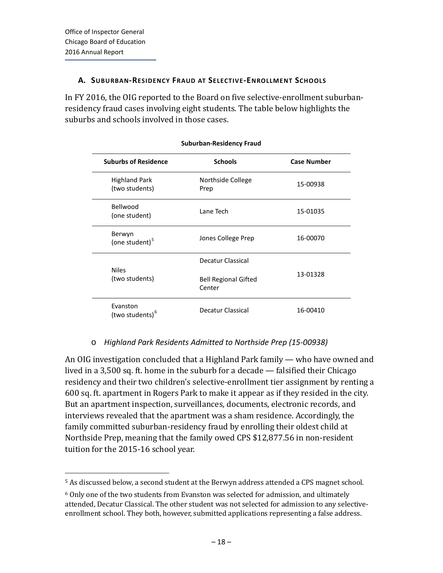#### <span id="page-20-0"></span>**A. SUBURBAN-RESIDENCY FRAUD AT SELECTIVE-ENROLLMENT SCHOOLS**

In FY 2016, the OIG reported to the Board on five selective-enrollment suburbanresidency fraud cases involving eight students. The table below highlights the suburbs and schools involved in those cases.

| <b>Suburbs of Residence</b>             | <b>Schools</b>                        | <b>Case Number</b> |
|-----------------------------------------|---------------------------------------|--------------------|
| <b>Highland Park</b><br>(two students)  | Northside College<br>Prep             | 15-00938           |
| Bellwood<br>(one student)               | Lane Tech                             | 15-01035           |
| Berwyn<br>(one student) <sup>5</sup>    | Jones College Prep                    | 16-00070           |
|                                         | Decatur Classical                     |                    |
| <b>Niles</b><br>(two students)          | <b>Bell Regional Gifted</b><br>Center | 13-01328           |
| Evanston<br>(two students) <sup>6</sup> | Decatur Classical                     | 16-00410           |

#### **Suburban-Residency Fraud**

#### o *Highland Park Residents Admitted to Northside Prep (15-00938)*

An OIG investigation concluded that a Highland Park family — who have owned and lived in a 3,500 sq. ft. home in the suburb for a decade — falsified their Chicago residency and their two children's selective-enrollment tier assignment by renting a 600 sq. ft. apartment in Rogers Park to make it appear as if they resided in the city. But an apartment inspection, surveillances, documents, electronic records, and interviews revealed that the apartment was a sham residence. Accordingly, the family committed suburban-residency fraud by enrolling their oldest child at Northside Prep, meaning that the family owed CPS \$12,877.56 in non-resident tuition for the 2015-16 school year.

<span id="page-20-2"></span><sup>5</sup> As discussed below, a second student at the Berwyn address attended a CPS magnet school.

<span id="page-20-1"></span> $6$  Only one of the two students from Evanston was selected for admission, and ultimately attended, Decatur Classical. The other student was not selected for admission to any selectiveenrollment school. They both, however, submitted applications representing a false address.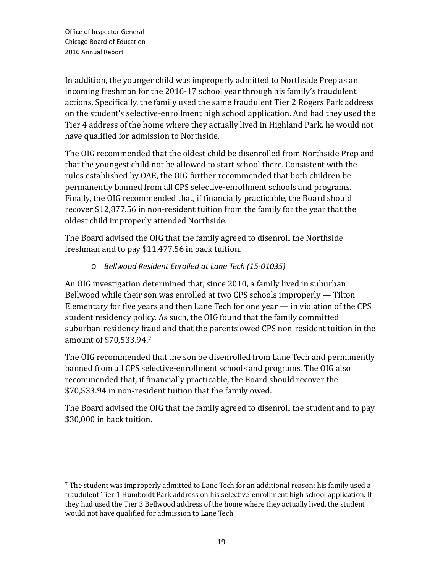In addition, the younger child was improperly admitted to Northside Prep as an incoming freshman for the 2016-17 school year through his family's fraudulent actions. Specifically, the family used the same fraudulent Tier 2 Rogers Park address on the student's selective-enrollment high school application. And had they used the Tier 4 address of the home where they actually lived in Highland Park, he would not have qualified for admission to Northside.

The OIG recommended that the oldest child be disenrolled from Northside Prep and that the youngest child not be allowed to start school there. Consistent with the rules established by OAE, the OIG further recommended that both children be permanently banned from all CPS selective-enrollment schools and programs. Finally, the OIG recommended that, if financially practicable, the Board should recover \$12,877.56 in non-resident tuition from the family for the year that the oldest child improperly attended Northside.

The Board advised the OIG that the family agreed to disenroll the Northside freshman and to pay \$11,477.56 in back tuition.

#### o *Bellwood Resident Enrolled at Lane Tech (15-01035)*

An OIG investigation determined that, since 2010, a family lived in suburban Bellwood while their son was enrolled at two CPS schools improperly — Tilton Elementary for five years and then Lane Tech for one year — in violation of the CPS student residency policy. As such, the OIG found that the family committed suburban-residency fraud and that the parents owed CPS non-resident tuition in the amount of \$70,533.94.[7](#page-20-2)

The OIG recommended that the son be disenrolled from Lane Tech and permanently banned from all CPS selective-enrollment schools and programs. The OIG also recommended that, if financially practicable, the Board should recover the \$70,533.94 in non-resident tuition that the family owed.

The Board advised the OIG that the family agreed to disenroll the student and to pay \$30,000 in back tuition.

<span id="page-21-0"></span><sup>7</sup> The student was improperly admitted to Lane Tech for an additional reason: his family used a fraudulent Tier 1 Humboldt Park address on his selective-enrollment high school application. If they had used the Tier 3 Bellwood address of the home where they actually lived, the student would not have qualified for admission to Lane Tech.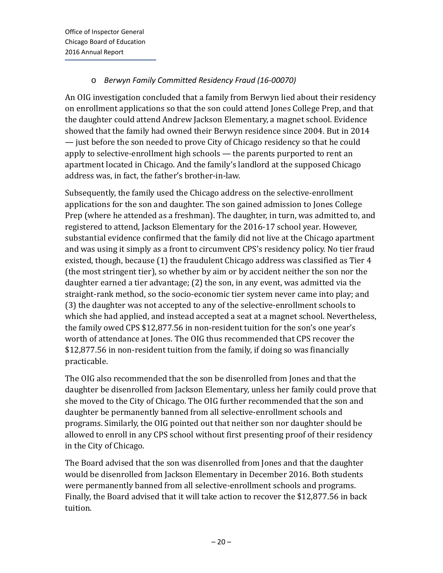#### o *Berwyn Family Committed Residency Fraud (16-00070)*

An OIG investigation concluded that a family from Berwyn lied about their residency on enrollment applications so that the son could attend Jones College Prep, and that the daughter could attend Andrew Jackson Elementary, a magnet school. Evidence showed that the family had owned their Berwyn residence since 2004. But in 2014 — just before the son needed to prove City of Chicago residency so that he could apply to selective-enrollment high schools — the parents purported to rent an apartment located in Chicago. And the family's landlord at the supposed Chicago address was, in fact, the father's brother-in-law.

Subsequently, the family used the Chicago address on the selective-enrollment applications for the son and daughter. The son gained admission to Jones College Prep (where he attended as a freshman). The daughter, in turn, was admitted to, and registered to attend, Jackson Elementary for the 2016-17 school year. However, substantial evidence confirmed that the family did not live at the Chicago apartment and was using it simply as a front to circumvent CPS's residency policy. No tier fraud existed, though, because (1) the fraudulent Chicago address was classified as Tier 4 (the most stringent tier), so whether by aim or by accident neither the son nor the daughter earned a tier advantage; (2) the son, in any event, was admitted via the straight-rank method, so the socio-economic tier system never came into play; and (3) the daughter was not accepted to any of the selective-enrollment schools to which she had applied, and instead accepted a seat at a magnet school. Nevertheless, the family owed CPS \$12,877.56 in non-resident tuition for the son's one year's worth of attendance at Jones. The OIG thus recommended that CPS recover the \$12,877.56 in non-resident tuition from the family, if doing so was financially practicable.

The OIG also recommended that the son be disenrolled from Jones and that the daughter be disenrolled from Jackson Elementary, unless her family could prove that she moved to the City of Chicago. The OIG further recommended that the son and daughter be permanently banned from all selective-enrollment schools and programs. Similarly, the OIG pointed out that neither son nor daughter should be allowed to enroll in any CPS school without first presenting proof of their residency in the City of Chicago.

The Board advised that the son was disenrolled from Jones and that the daughter would be disenrolled from Jackson Elementary in December 2016. Both students were permanently banned from all selective-enrollment schools and programs. Finally, the Board advised that it will take action to recover the \$12,877.56 in back tuition.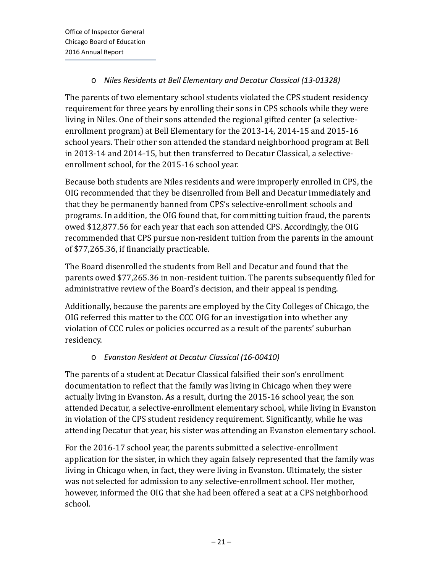#### o *Niles Residents at Bell Elementary and Decatur Classical (13-01328)*

The parents of two elementary school students violated the CPS student residency requirement for three years by enrolling their sons in CPS schools while they were living in Niles. One of their sons attended the regional gifted center (a selectiveenrollment program) at Bell Elementary for the 2013-14, 2014-15 and 2015-16 school years. Their other son attended the standard neighborhood program at Bell in 2013-14 and 2014-15, but then transferred to Decatur Classical, a selectiveenrollment school, for the 2015-16 school year.

Because both students are Niles residents and were improperly enrolled in CPS, the OIG recommended that they be disenrolled from Bell and Decatur immediately and that they be permanently banned from CPS's selective-enrollment schools and programs. In addition, the OIG found that, for committing tuition fraud, the parents owed \$12,877.56 for each year that each son attended CPS. Accordingly, the OIG recommended that CPS pursue non-resident tuition from the parents in the amount of \$77,265.36, if financially practicable.

The Board disenrolled the students from Bell and Decatur and found that the parents owed \$77,265.36 in non-resident tuition. The parents subsequently filed for administrative review of the Board's decision, and their appeal is pending.

Additionally, because the parents are employed by the City Colleges of Chicago, the OIG referred this matter to the CCC OIG for an investigation into whether any violation of CCC rules or policies occurred as a result of the parents' suburban residency.

#### o *Evanston Resident at Decatur Classical (16-00410)*

The parents of a student at Decatur Classical falsified their son's enrollment documentation to reflect that the family was living in Chicago when they were actually living in Evanston. As a result, during the 2015-16 school year, the son attended Decatur, a selective-enrollment elementary school, while living in Evanston in violation of the CPS student residency requirement. Significantly, while he was attending Decatur that year, his sister was attending an Evanston elementary school.

For the 2016-17 school year, the parents submitted a selective-enrollment application for the sister, in which they again falsely represented that the family was living in Chicago when, in fact, they were living in Evanston. Ultimately, the sister was not selected for admission to any selective-enrollment school. Her mother, however, informed the OIG that she had been offered a seat at a CPS neighborhood school.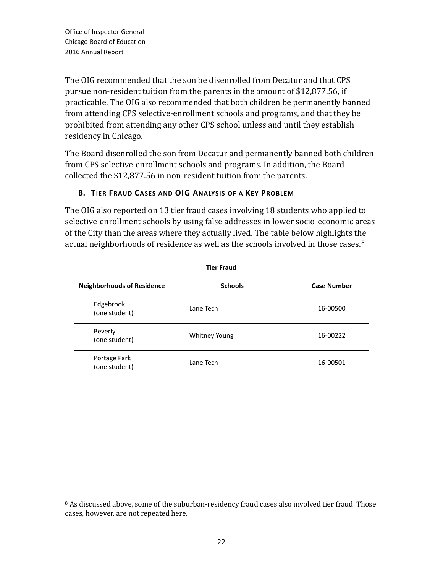The OIG recommended that the son be disenrolled from Decatur and that CPS pursue non-resident tuition from the parents in the amount of \$12,877.56, if practicable. The OIG also recommended that both children be permanently banned from attending CPS selective-enrollment schools and programs, and that they be prohibited from attending any other CPS school unless and until they establish residency in Chicago.

The Board disenrolled the son from Decatur and permanently banned both children from CPS selective-enrollment schools and programs. In addition, the Board collected the \$12,877.56 in non-resident tuition from the parents.

#### <span id="page-24-0"></span>**B. TIER FRAUD CASES AND OIG ANALYSIS OF A KEY PROBLEM**

The OIG also reported on 13 tier fraud cases involving 18 students who applied to selective-enrollment schools by using false addresses in lower socio-economic areas of the City than the areas where they actually lived. The table below highlights the actual neighborhoods of residence as well as the schools involved in those cases.<sup>[8](#page-21-0)</sup>

| <b>Tier Fraud</b>                 |                |                    |
|-----------------------------------|----------------|--------------------|
| <b>Neighborhoods of Residence</b> | <b>Schools</b> | <b>Case Number</b> |
| Edgebrook<br>(one student)        | Lane Tech      | 16-00500           |
| Beverly<br>(one student)          | Whitney Young  | 16-00222           |
| Portage Park<br>(one student)     | Lane Tech      | 16-00501           |

<span id="page-24-1"></span><sup>8</sup> As discussed above, some of the suburban-residency fraud cases also involved tier fraud. Those cases, however, are not repeated here.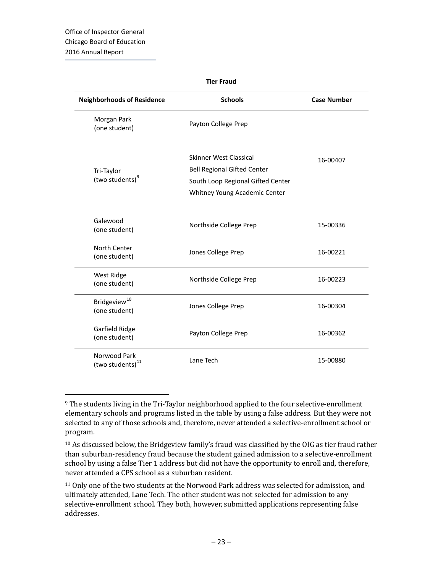| <b>Tier Fraud</b>                         |                                                                                                                                    |                    |  |  |
|-------------------------------------------|------------------------------------------------------------------------------------------------------------------------------------|--------------------|--|--|
| <b>Neighborhoods of Residence</b>         | <b>Schools</b>                                                                                                                     | <b>Case Number</b> |  |  |
| Morgan Park<br>(one student)              | Payton College Prep                                                                                                                |                    |  |  |
| Tri-Taylor<br>(two students) <sup>9</sup> | Skinner West Classical<br><b>Bell Regional Gifted Center</b><br>South Loop Regional Gifted Center<br>Whitney Young Academic Center | 16-00407           |  |  |
| Galewood<br>(one student)                 | Northside College Prep                                                                                                             | 15-00336           |  |  |
| North Center<br>(one student)             | Jones College Prep                                                                                                                 | 16-00221           |  |  |
| West Ridge<br>(one student)               | Northside College Prep                                                                                                             | 16-00223           |  |  |
| Bridgeview <sup>10</sup><br>(one student) | Jones College Prep                                                                                                                 | 16-00304           |  |  |
| Garfield Ridge<br>(one student)           | Payton College Prep                                                                                                                | 16-00362           |  |  |
| Norwood Park<br>(two students) $^{11}$    | Lane Tech                                                                                                                          | 15-00880           |  |  |

<sup>&</sup>lt;sup>9</sup> The students living in the Tri-Taylor neighborhood applied to the four selective-enrollment elementary schools and programs listed in the table by using a false address. But they were not selected to any of those schools and, therefore, never attended a selective-enrollment school or program.

<span id="page-25-0"></span><sup>10</sup> As discussed below, the Bridgeview family's fraud was classified by the OIG as tier fraud rather than suburban-residency fraud because the student gained admission to a selective-enrollment school by using a false Tier 1 address but did not have the opportunity to enroll and, therefore, never attended a CPS school as a suburban resident.

<span id="page-25-1"></span><sup>&</sup>lt;sup>11</sup> Only one of the two students at the Norwood Park address was selected for admission, and ultimately attended, Lane Tech. The other student was not selected for admission to any selective-enrollment school. They both, however, submitted applications representing false addresses.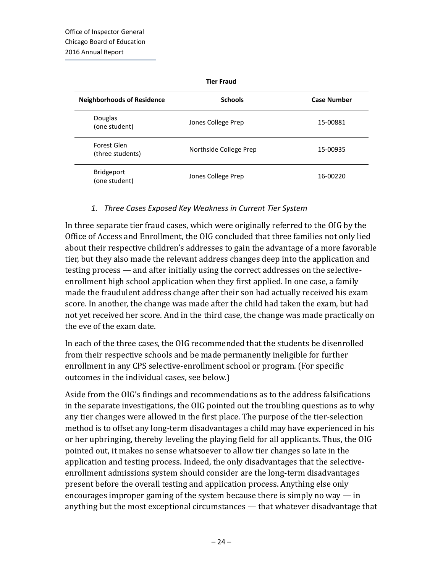**Tier Fraud**

| <b>Neighborhoods of Residence</b>  | <b>Schools</b>         | <b>Case Number</b> |
|------------------------------------|------------------------|--------------------|
| Douglas<br>(one student)           | Jones College Prep     | 15-00881           |
| Forest Glen<br>(three students)    | Northside College Prep | 15-00935           |
| <b>Bridgeport</b><br>(one student) | Jones College Prep     | 16-00220           |

#### *1. Three Cases Exposed Key Weakness in Current Tier System*

In three separate tier fraud cases, which were originally referred to the OIG by the Office of Access and Enrollment, the OIG concluded that three families not only lied about their respective children's addresses to gain the advantage of a more favorable tier, but they also made the relevant address changes deep into the application and testing process — and after initially using the correct addresses on the selectiveenrollment high school application when they first applied. In one case, a family made the fraudulent address change after their son had actually received his exam score. In another, the change was made after the child had taken the exam, but had not yet received her score. And in the third case, the change was made practically on the eve of the exam date.

In each of the three cases, the OIG recommended that the students be disenrolled from their respective schools and be made permanently ineligible for further enrollment in any CPS selective-enrollment school or program. (For specific outcomes in the individual cases, see below.)

Aside from the OIG's findings and recommendations as to the address falsifications in the separate investigations, the OIG pointed out the troubling questions as to why any tier changes were allowed in the first place. The purpose of the tier-selection method is to offset any long-term disadvantages a child may have experienced in his or her upbringing, thereby leveling the playing field for all applicants. Thus, the OIG pointed out, it makes no sense whatsoever to allow tier changes so late in the application and testing process. Indeed, the only disadvantages that the selectiveenrollment admissions system should consider are the long-term disadvantages present before the overall testing and application process. Anything else only encourages improper gaming of the system because there is simply no way  $-$  in anything but the most exceptional circumstances — that whatever disadvantage that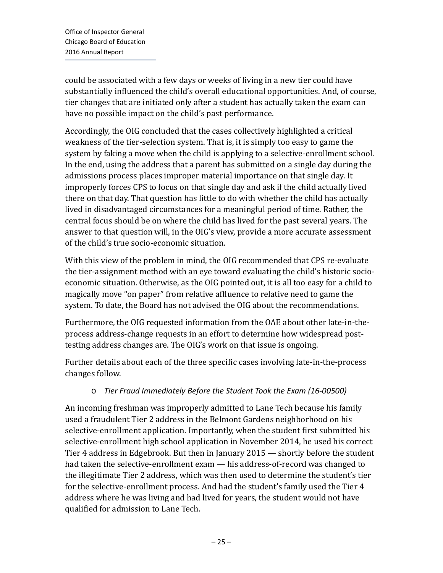could be associated with a few days or weeks of living in a new tier could have substantially influenced the child's overall educational opportunities. And, of course, tier changes that are initiated only after a student has actually taken the exam can have no possible impact on the child's past performance.

Accordingly, the OIG concluded that the cases collectively highlighted a critical weakness of the tier-selection system. That is, it is simply too easy to game the system by faking a move when the child is applying to a selective-enrollment school. In the end, using the address that a parent has submitted on a single day during the admissions process places improper material importance on that single day. It improperly forces CPS to focus on that single day and ask if the child actually lived there on that day. That question has little to do with whether the child has actually lived in disadvantaged circumstances for a meaningful period of time. Rather, the central focus should be on where the child has lived for the past several years. The answer to that question will, in the OIG's view, provide a more accurate assessment of the child's true socio-economic situation.

With this view of the problem in mind, the OIG recommended that CPS re-evaluate the tier-assignment method with an eye toward evaluating the child's historic socioeconomic situation. Otherwise, as the OIG pointed out, it is all too easy for a child to magically move "on paper" from relative affluence to relative need to game the system. To date, the Board has not advised the OIG about the recommendations.

Furthermore, the OIG requested information from the OAE about other late-in-theprocess address-change requests in an effort to determine how widespread posttesting address changes are. The OIG's work on that issue is ongoing.

Further details about each of the three specific cases involving late-in-the-process changes follow.

#### o *Tier Fraud Immediately Before the Student Took the Exam (16-00500)*

An incoming freshman was improperly admitted to Lane Tech because his family used a fraudulent Tier 2 address in the Belmont Gardens neighborhood on his selective-enrollment application. Importantly, when the student first submitted his selective-enrollment high school application in November 2014, he used his correct Tier 4 address in Edgebrook. But then in January 2015 — shortly before the student had taken the selective-enrollment exam — his address-of-record was changed to the illegitimate Tier 2 address, which was then used to determine the student's tier for the selective-enrollment process. And had the student's family used the Tier 4 address where he was living and had lived for years, the student would not have qualified for admission to Lane Tech.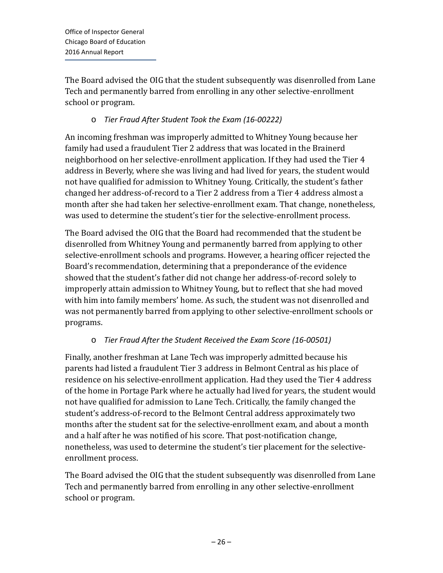The Board advised the OIG that the student subsequently was disenrolled from Lane Tech and permanently barred from enrolling in any other selective-enrollment school or program.

#### o *Tier Fraud After Student Took the Exam (16-00222)*

An incoming freshman was improperly admitted to Whitney Young because her family had used a fraudulent Tier 2 address that was located in the Brainerd neighborhood on her selective-enrollment application. If they had used the Tier 4 address in Beverly, where she was living and had lived for years, the student would not have qualified for admission to Whitney Young. Critically, the student's father changed her address-of-record to a Tier 2 address from a Tier 4 address almost a month after she had taken her selective-enrollment exam. That change, nonetheless, was used to determine the student's tier for the selective-enrollment process.

The Board advised the OIG that the Board had recommended that the student be disenrolled from Whitney Young and permanently barred from applying to other selective-enrollment schools and programs. However, a hearing officer rejected the Board's recommendation, determining that a preponderance of the evidence showed that the student's father did not change her address-of-record solely to improperly attain admission to Whitney Young, but to reflect that she had moved with him into family members' home. As such, the student was not disenrolled and was not permanently barred from applying to other selective-enrollment schools or programs.

#### o *Tier Fraud After the Student Received the Exam Score (16-00501)*

Finally, another freshman at Lane Tech was improperly admitted because his parents had listed a fraudulent Tier 3 address in Belmont Central as his place of residence on his selective-enrollment application. Had they used the Tier 4 address of the home in Portage Park where he actually had lived for years, the student would not have qualified for admission to Lane Tech. Critically, the family changed the student's address-of-record to the Belmont Central address approximately two months after the student sat for the selective-enrollment exam, and about a month and a half after he was notified of his score. That post-notification change, nonetheless, was used to determine the student's tier placement for the selectiveenrollment process.

The Board advised the OIG that the student subsequently was disenrolled from Lane Tech and permanently barred from enrolling in any other selective-enrollment school or program.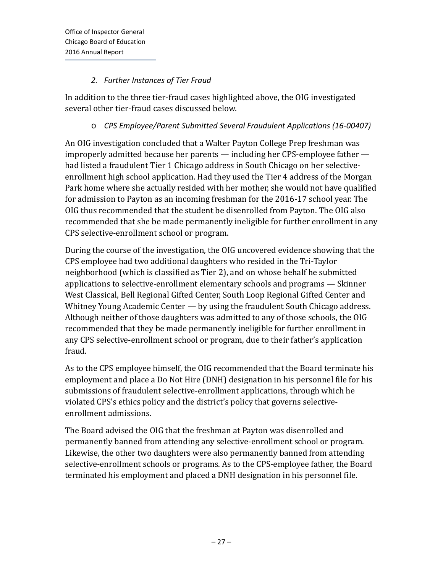#### *2. Further Instances of Tier Fraud*

In addition to the three tier-fraud cases highlighted above, the OIG investigated several other tier-fraud cases discussed below.

#### o *CPS Employee/Parent Submitted Several Fraudulent Applications (16-00407)*

An OIG investigation concluded that a Walter Payton College Prep freshman was improperly admitted because her parents — including her CPS-employee father had listed a fraudulent Tier 1 Chicago address in South Chicago on her selectiveenrollment high school application. Had they used the Tier 4 address of the Morgan Park home where she actually resided with her mother, she would not have qualified for admission to Payton as an incoming freshman for the 2016-17 school year. The OIG thus recommended that the student be disenrolled from Payton. The OIG also recommended that she be made permanently ineligible for further enrollment in any CPS selective-enrollment school or program.

During the course of the investigation, the OIG uncovered evidence showing that the CPS employee had two additional daughters who resided in the Tri-Taylor neighborhood (which is classified as Tier 2), and on whose behalf he submitted applications to selective-enrollment elementary schools and programs — Skinner West Classical, Bell Regional Gifted Center, South Loop Regional Gifted Center and Whitney Young Academic Center — by using the fraudulent South Chicago address. Although neither of those daughters was admitted to any of those schools, the OIG recommended that they be made permanently ineligible for further enrollment in any CPS selective-enrollment school or program, due to their father's application fraud.

As to the CPS employee himself, the OIG recommended that the Board terminate his employment and place a Do Not Hire (DNH) designation in his personnel file for his submissions of fraudulent selective-enrollment applications, through which he violated CPS's ethics policy and the district's policy that governs selectiveenrollment admissions.

The Board advised the OIG that the freshman at Payton was disenrolled and permanently banned from attending any selective-enrollment school or program. Likewise, the other two daughters were also permanently banned from attending selective-enrollment schools or programs. As to the CPS-employee father, the Board terminated his employment and placed a DNH designation in his personnel file.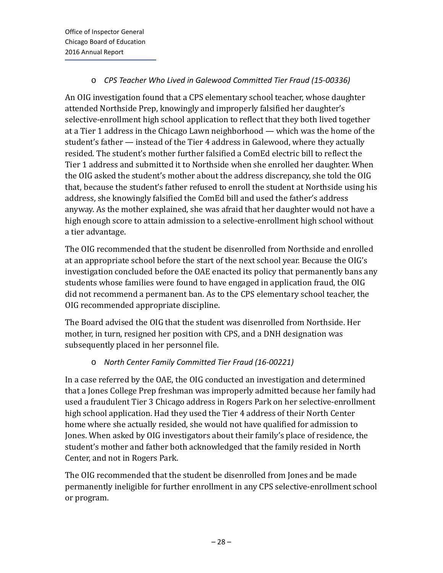#### o *CPS Teacher Who Lived in Galewood Committed Tier Fraud (15-00336)*

An OIG investigation found that a CPS elementary school teacher, whose daughter attended Northside Prep, knowingly and improperly falsified her daughter's selective-enrollment high school application to reflect that they both lived together at a Tier 1 address in the Chicago Lawn neighborhood — which was the home of the student's father — instead of the Tier 4 address in Galewood, where they actually resided. The student's mother further falsified a ComEd electric bill to reflect the Tier 1 address and submitted it to Northside when she enrolled her daughter. When the OIG asked the student's mother about the address discrepancy, she told the OIG that, because the student's father refused to enroll the student at Northside using his address, she knowingly falsified the ComEd bill and used the father's address anyway. As the mother explained, she was afraid that her daughter would not have a high enough score to attain admission to a selective-enrollment high school without a tier advantage.

The OIG recommended that the student be disenrolled from Northside and enrolled at an appropriate school before the start of the next school year. Because the OIG's investigation concluded before the OAE enacted its policy that permanently bans any students whose families were found to have engaged in application fraud, the OIG did not recommend a permanent ban. As to the CPS elementary school teacher, the OIG recommended appropriate discipline.

The Board advised the OIG that the student was disenrolled from Northside. Her mother, in turn, resigned her position with CPS, and a DNH designation was subsequently placed in her personnel file.

#### o *North Center Family Committed Tier Fraud (16-00221)*

In a case referred by the OAE, the OIG conducted an investigation and determined that a Jones College Prep freshman was improperly admitted because her family had used a fraudulent Tier 3 Chicago address in Rogers Park on her selective-enrollment high school application. Had they used the Tier 4 address of their North Center home where she actually resided, she would not have qualified for admission to Jones. When asked by OIG investigators about their family's place of residence, the student's mother and father both acknowledged that the family resided in North Center, and not in Rogers Park.

The OIG recommended that the student be disenrolled from Jones and be made permanently ineligible for further enrollment in any CPS selective-enrollment school or program.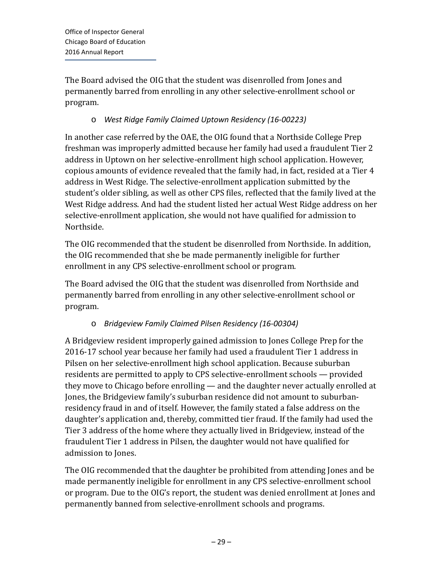The Board advised the OIG that the student was disenrolled from Jones and permanently barred from enrolling in any other selective-enrollment school or program.

#### o *West Ridge Family Claimed Uptown Residency (16-00223)*

In another case referred by the OAE, the OIG found that a Northside College Prep freshman was improperly admitted because her family had used a fraudulent Tier 2 address in Uptown on her selective-enrollment high school application. However, copious amounts of evidence revealed that the family had, in fact, resided at a Tier 4 address in West Ridge. The selective-enrollment application submitted by the student's older sibling, as well as other CPS files, reflected that the family lived at the West Ridge address. And had the student listed her actual West Ridge address on her selective-enrollment application, she would not have qualified for admission to Northside.

The OIG recommended that the student be disenrolled from Northside. In addition, the OIG recommended that she be made permanently ineligible for further enrollment in any CPS selective-enrollment school or program.

The Board advised the OIG that the student was disenrolled from Northside and permanently barred from enrolling in any other selective-enrollment school or program.

#### o *Bridgeview Family Claimed Pilsen Residency (16-00304)*

A Bridgeview resident improperly gained admission to Jones College Prep for the 2016-17 school year because her family had used a fraudulent Tier 1 address in Pilsen on her selective-enrollment high school application. Because suburban residents are permitted to apply to CPS selective-enrollment schools — provided they move to Chicago before enrolling — and the daughter never actually enrolled at Jones, the Bridgeview family's suburban residence did not amount to suburbanresidency fraud in and of itself. However, the family stated a false address on the daughter's application and, thereby, committed tier fraud. If the family had used the Tier 3 address of the home where they actually lived in Bridgeview, instead of the fraudulent Tier 1 address in Pilsen, the daughter would not have qualified for admission to Jones.

The OIG recommended that the daughter be prohibited from attending Jones and be made permanently ineligible for enrollment in any CPS selective-enrollment school or program. Due to the OIG's report, the student was denied enrollment at Jones and permanently banned from selective-enrollment schools and programs.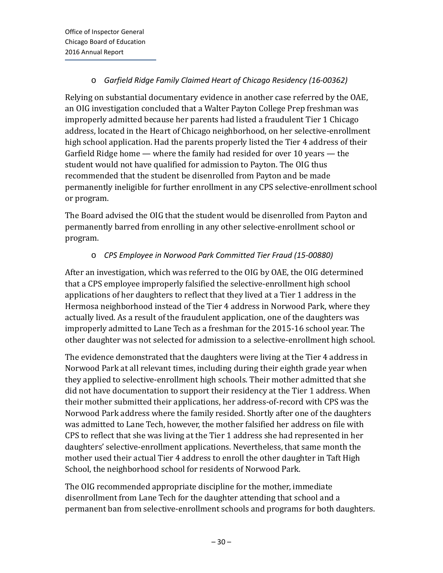#### o *Garfield Ridge Family Claimed Heart of Chicago Residency (16-00362)*

Relying on substantial documentary evidence in another case referred by the OAE, an OIG investigation concluded that a Walter Payton College Prep freshman was improperly admitted because her parents had listed a fraudulent Tier 1 Chicago address, located in the Heart of Chicago neighborhood, on her selective-enrollment high school application. Had the parents properly listed the Tier 4 address of their Garfield Ridge home — where the family had resided for over 10 years — the student would not have qualified for admission to Payton. The OIG thus recommended that the student be disenrolled from Payton and be made permanently ineligible for further enrollment in any CPS selective-enrollment school or program.

The Board advised the OIG that the student would be disenrolled from Payton and permanently barred from enrolling in any other selective-enrollment school or program.

#### o *CPS Employee in Norwood Park Committed Tier Fraud (15-00880)*

After an investigation, which was referred to the OIG by OAE, the OIG determined that a CPS employee improperly falsified the selective-enrollment high school applications of her daughters to reflect that they lived at a Tier 1 address in the Hermosa neighborhood instead of the Tier 4 address in Norwood Park, where they actually lived. As a result of the fraudulent application, one of the daughters was improperly admitted to Lane Tech as a freshman for the 2015-16 school year. The other daughter was not selected for admission to a selective-enrollment high school.

The evidence demonstrated that the daughters were living at the Tier 4 address in Norwood Park at all relevant times, including during their eighth grade year when they applied to selective-enrollment high schools. Their mother admitted that she did not have documentation to support their residency at the Tier 1 address. When their mother submitted their applications, her address-of-record with CPS was the Norwood Park address where the family resided. Shortly after one of the daughters was admitted to Lane Tech, however, the mother falsified her address on file with CPS to reflect that she was living at the Tier 1 address she had represented in her daughters' selective-enrollment applications. Nevertheless, that same month the mother used their actual Tier 4 address to enroll the other daughter in Taft High School, the neighborhood school for residents of Norwood Park.

The OIG recommended appropriate discipline for the mother, immediate disenrollment from Lane Tech for the daughter attending that school and a permanent ban from selective-enrollment schools and programs for both daughters.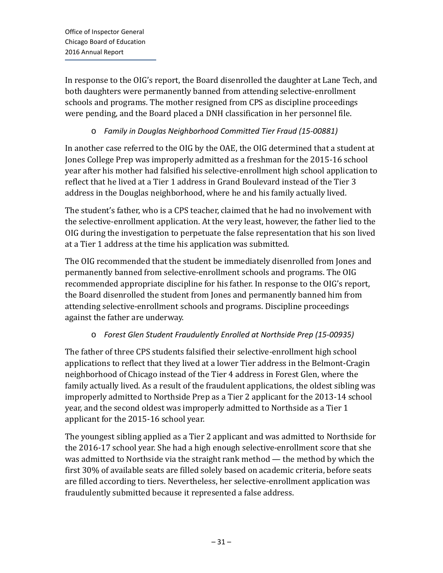In response to the OIG's report, the Board disenrolled the daughter at Lane Tech, and both daughters were permanently banned from attending selective-enrollment schools and programs. The mother resigned from CPS as discipline proceedings were pending, and the Board placed a DNH classification in her personnel file.

#### o *Family in Douglas Neighborhood Committed Tier Fraud (15-00881)*

In another case referred to the OIG by the OAE, the OIG determined that a student at Jones College Prep was improperly admitted as a freshman for the 2015-16 school year after his mother had falsified his selective-enrollment high school application to reflect that he lived at a Tier 1 address in Grand Boulevard instead of the Tier 3 address in the Douglas neighborhood, where he and his family actually lived.

The student's father, who is a CPS teacher, claimed that he had no involvement with the selective-enrollment application. At the very least, however, the father lied to the OIG during the investigation to perpetuate the false representation that his son lived at a Tier 1 address at the time his application was submitted.

The OIG recommended that the student be immediately disenrolled from Jones and permanently banned from selective-enrollment schools and programs. The OIG recommended appropriate discipline for his father. In response to the OIG's report, the Board disenrolled the student from Jones and permanently banned him from attending selective-enrollment schools and programs. Discipline proceedings against the father are underway.

#### o *Forest Glen Student Fraudulently Enrolled at Northside Prep (15-00935)*

The father of three CPS students falsified their selective-enrollment high school applications to reflect that they lived at a lower Tier address in the Belmont-Cragin neighborhood of Chicago instead of the Tier 4 address in Forest Glen, where the family actually lived. As a result of the fraudulent applications, the oldest sibling was improperly admitted to Northside Prep as a Tier 2 applicant for the 2013-14 school year, and the second oldest was improperly admitted to Northside as a Tier 1 applicant for the 2015-16 school year.

The youngest sibling applied as a Tier 2 applicant and was admitted to Northside for the 2016-17 school year. She had a high enough selective-enrollment score that she was admitted to Northside via the straight rank method — the method by which the first 30% of available seats are filled solely based on academic criteria, before seats are filled according to tiers. Nevertheless, her selective-enrollment application was fraudulently submitted because it represented a false address.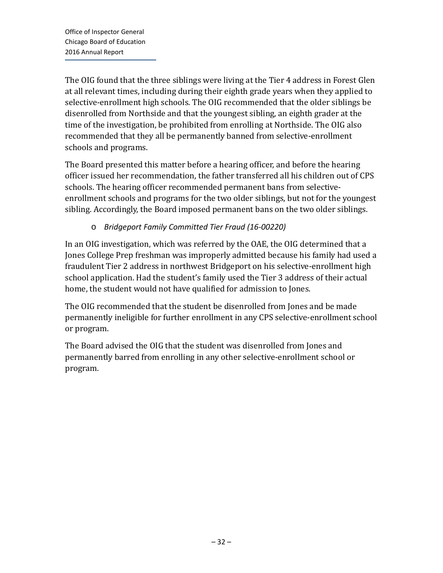The OIG found that the three siblings were living at the Tier 4 address in Forest Glen at all relevant times, including during their eighth grade years when they applied to selective-enrollment high schools. The OIG recommended that the older siblings be disenrolled from Northside and that the youngest sibling, an eighth grader at the time of the investigation, be prohibited from enrolling at Northside. The OIG also recommended that they all be permanently banned from selective-enrollment schools and programs.

The Board presented this matter before a hearing officer, and before the hearing officer issued her recommendation, the father transferred all his children out of CPS schools. The hearing officer recommended permanent bans from selectiveenrollment schools and programs for the two older siblings, but not for the youngest sibling. Accordingly, the Board imposed permanent bans on the two older siblings.

#### o *Bridgeport Family Committed Tier Fraud (16-00220)*

In an OIG investigation, which was referred by the OAE, the OIG determined that a Jones College Prep freshman was improperly admitted because his family had used a fraudulent Tier 2 address in northwest Bridgeport on his selective-enrollment high school application. Had the student's family used the Tier 3 address of their actual home, the student would not have qualified for admission to Jones.

The OIG recommended that the student be disenrolled from Jones and be made permanently ineligible for further enrollment in any CPS selective-enrollment school or program.

The Board advised the OIG that the student was disenrolled from Jones and permanently barred from enrolling in any other selective-enrollment school or program.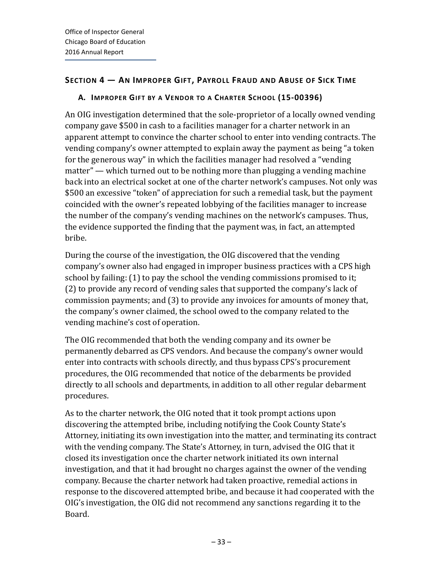#### <span id="page-35-0"></span>**SECTION 4 — AN IMPROPER GIFT, PAYROLL FRAUD AND ABUSE OF SICK TIME**

#### <span id="page-35-1"></span>**A. IMPROPER GIFT BY A VENDOR TO A CHARTER SCHOOL (15-00396)**

An OIG investigation determined that the sole-proprietor of a locally owned vending company gave \$500 in cash to a facilities manager for a charter network in an apparent attempt to convince the charter school to enter into vending contracts. The vending company's owner attempted to explain away the payment as being "a token for the generous way" in which the facilities manager had resolved a "vending matter" — which turned out to be nothing more than plugging a vending machine back into an electrical socket at one of the charter network's campuses. Not only was \$500 an excessive "token" of appreciation for such a remedial task, but the payment coincided with the owner's repeated lobbying of the facilities manager to increase the number of the company's vending machines on the network's campuses. Thus, the evidence supported the finding that the payment was, in fact, an attempted bribe.

During the course of the investigation, the OIG discovered that the vending company's owner also had engaged in improper business practices with a CPS high school by failing: (1) to pay the school the vending commissions promised to it; (2) to provide any record of vending sales that supported the company's lack of commission payments; and (3) to provide any invoices for amounts of money that, the company's owner claimed, the school owed to the company related to the vending machine's cost of operation.

The OIG recommended that both the vending company and its owner be permanently debarred as CPS vendors. And because the company's owner would enter into contracts with schools directly, and thus bypass CPS's procurement procedures, the OIG recommended that notice of the debarments be provided directly to all schools and departments, in addition to all other regular debarment procedures.

As to the charter network, the OIG noted that it took prompt actions upon discovering the attempted bribe, including notifying the Cook County State's Attorney, initiating its own investigation into the matter, and terminating its contract with the vending company. The State's Attorney, in turn, advised the OIG that it closed its investigation once the charter network initiated its own internal investigation, and that it had brought no charges against the owner of the vending company. Because the charter network had taken proactive, remedial actions in response to the discovered attempted bribe, and because it had cooperated with the OIG's investigation, the OIG did not recommend any sanctions regarding it to the Board.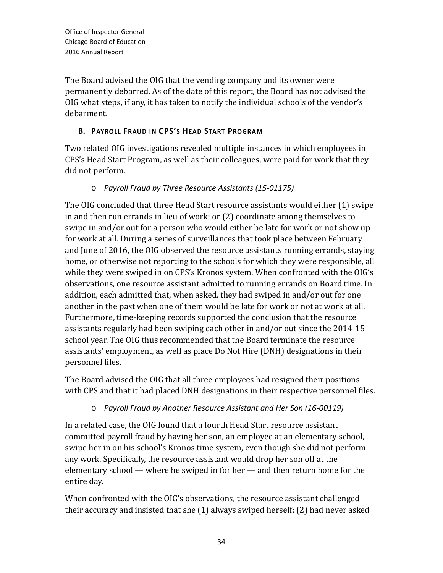The Board advised the OIG that the vending company and its owner were permanently debarred. As of the date of this report, the Board has not advised the OIG what steps, if any, it has taken to notify the individual schools of the vendor's debarment.

## **B. PAYROLL FRAUD IN CPS'S HEAD START PROGRAM**

Two related OIG investigations revealed multiple instances in which employees in CPS's Head Start Program, as well as their colleagues, were paid for work that they did not perform.

### o *Payroll Fraud by Three Resource Assistants (15-01175)*

The OIG concluded that three Head Start resource assistants would either (1) swipe in and then run errands in lieu of work; or (2) coordinate among themselves to swipe in and/or out for a person who would either be late for work or not show up for work at all. During a series of surveillances that took place between February and June of 2016, the OIG observed the resource assistants running errands, staying home, or otherwise not reporting to the schools for which they were responsible, all while they were swiped in on CPS's Kronos system. When confronted with the OIG's observations, one resource assistant admitted to running errands on Board time. In addition, each admitted that, when asked, they had swiped in and/or out for one another in the past when one of them would be late for work or not at work at all. Furthermore, time-keeping records supported the conclusion that the resource assistants regularly had been swiping each other in and/or out since the 2014-15 school year. The OIG thus recommended that the Board terminate the resource assistants' employment, as well as place Do Not Hire (DNH) designations in their personnel files.

The Board advised the OIG that all three employees had resigned their positions with CPS and that it had placed DNH designations in their respective personnel files.

#### o *Payroll Fraud by Another Resource Assistant and Her Son (16-00119)*

In a related case, the OIG found that a fourth Head Start resource assistant committed payroll fraud by having her son, an employee at an elementary school, swipe her in on his school's Kronos time system, even though she did not perform any work. Specifically, the resource assistant would drop her son off at the elementary school — where he swiped in for her — and then return home for the entire day.

When confronted with the OIG's observations, the resource assistant challenged their accuracy and insisted that she (1) always swiped herself; (2) had never asked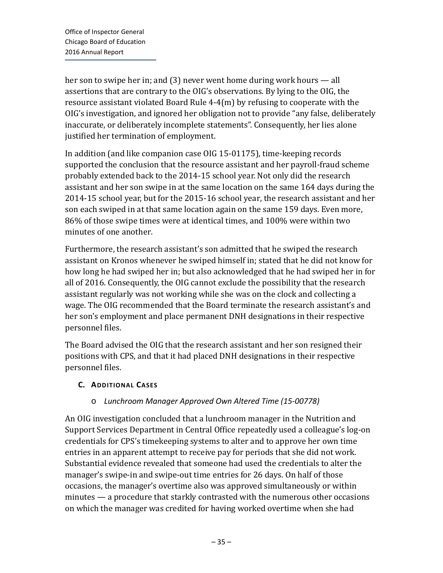her son to swipe her in; and (3) never went home during work hours — all assertions that are contrary to the OIG's observations. By lying to the OIG, the resource assistant violated Board Rule 4-4(m) by refusing to cooperate with the OIG's investigation, and ignored her obligation not to provide "any false, deliberately inaccurate, or deliberately incomplete statements". Consequently, her lies alone justified her termination of employment.

In addition (and like companion case OIG 15-01175), time-keeping records supported the conclusion that the resource assistant and her payroll-fraud scheme probably extended back to the 2014-15 school year. Not only did the research assistant and her son swipe in at the same location on the same 164 days during the 2014-15 school year, but for the 2015-16 school year, the research assistant and her son each swiped in at that same location again on the same 159 days. Even more, 86% of those swipe times were at identical times, and 100% were within two minutes of one another.

Furthermore, the research assistant's son admitted that he swiped the research assistant on Kronos whenever he swiped himself in; stated that he did not know for how long he had swiped her in; but also acknowledged that he had swiped her in for all of 2016. Consequently, the OIG cannot exclude the possibility that the research assistant regularly was not working while she was on the clock and collecting a wage. The OIG recommended that the Board terminate the research assistant's and her son's employment and place permanent DNH designations in their respective personnel files.

The Board advised the OIG that the research assistant and her son resigned their positions with CPS, and that it had placed DNH designations in their respective personnel files.

## **C. ADDITIONAL CASES**

## o *Lunchroom Manager Approved Own Altered Time (15-00778)*

An OIG investigation concluded that a lunchroom manager in the Nutrition and Support Services Department in Central Office repeatedly used a colleague's log-on credentials for CPS's timekeeping systems to alter and to approve her own time entries in an apparent attempt to receive pay for periods that she did not work. Substantial evidence revealed that someone had used the credentials to alter the manager's swipe-in and swipe-out time entries for 26 days. On half of those occasions, the manager's overtime also was approved simultaneously or within minutes — a procedure that starkly contrasted with the numerous other occasions on which the manager was credited for having worked overtime when she had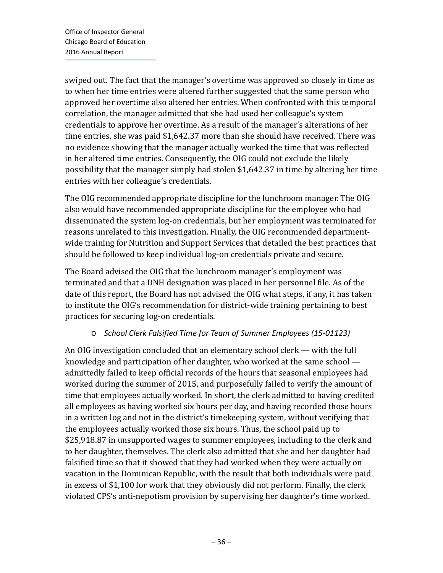swiped out. The fact that the manager's overtime was approved so closely in time as to when her time entries were altered further suggested that the same person who approved her overtime also altered her entries. When confronted with this temporal correlation, the manager admitted that she had used her colleague's system credentials to approve her overtime. As a result of the manager's alterations of her time entries, she was paid \$1,642.37 more than she should have received. There was no evidence showing that the manager actually worked the time that was reflected in her altered time entries. Consequently, the OIG could not exclude the likely possibility that the manager simply had stolen \$1,642.37 in time by altering her time entries with her colleague's credentials.

The OIG recommended appropriate discipline for the lunchroom manager. The OIG also would have recommended appropriate discipline for the employee who had disseminated the system log-on credentials, but her employment was terminated for reasons unrelated to this investigation. Finally, the OIG recommended departmentwide training for Nutrition and Support Services that detailed the best practices that should be followed to keep individual log-on credentials private and secure.

The Board advised the OIG that the lunchroom manager's employment was terminated and that a DNH designation was placed in her personnel file. As of the date of this report, the Board has not advised the OIG what steps, if any, it has taken to institute the OIG's recommendation for district-wide training pertaining to best practices for securing log-on credentials.

## o *School Clerk Falsified Time for Team of Summer Employees (15-01123)*

An OIG investigation concluded that an elementary school clerk — with the full knowledge and participation of her daughter, who worked at the same school admittedly failed to keep official records of the hours that seasonal employees had worked during the summer of 2015, and purposefully failed to verify the amount of time that employees actually worked. In short, the clerk admitted to having credited all employees as having worked six hours per day, and having recorded those hours in a written log and not in the district's timekeeping system, without verifying that the employees actually worked those six hours. Thus, the school paid up to \$25,918.87 in unsupported wages to summer employees, including to the clerk and to her daughter, themselves. The clerk also admitted that she and her daughter had falsified time so that it showed that they had worked when they were actually on vacation in the Dominican Republic, with the result that both individuals were paid in excess of \$1,100 for work that they obviously did not perform. Finally, the clerk violated CPS's anti-nepotism provision by supervising her daughter's time worked.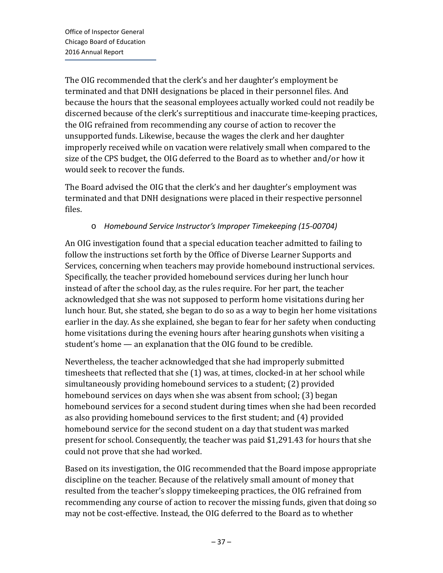The OIG recommended that the clerk's and her daughter's employment be terminated and that DNH designations be placed in their personnel files. And because the hours that the seasonal employees actually worked could not readily be discerned because of the clerk's surreptitious and inaccurate time-keeping practices, the OIG refrained from recommending any course of action to recover the unsupported funds. Likewise, because the wages the clerk and her daughter improperly received while on vacation were relatively small when compared to the size of the CPS budget, the OIG deferred to the Board as to whether and/or how it would seek to recover the funds.

The Board advised the OIG that the clerk's and her daughter's employment was terminated and that DNH designations were placed in their respective personnel files.

## o *Homebound Service Instructor's Improper Timekeeping (15-00704)*

An OIG investigation found that a special education teacher admitted to failing to follow the instructions set forth by the Office of Diverse Learner Supports and Services, concerning when teachers may provide homebound instructional services. Specifically, the teacher provided homebound services during her lunch hour instead of after the school day, as the rules require. For her part, the teacher acknowledged that she was not supposed to perform home visitations during her lunch hour. But, she stated, she began to do so as a way to begin her home visitations earlier in the day. As she explained, she began to fear for her safety when conducting home visitations during the evening hours after hearing gunshots when visiting a student's home — an explanation that the OIG found to be credible.

Nevertheless, the teacher acknowledged that she had improperly submitted timesheets that reflected that she (1) was, at times, clocked-in at her school while simultaneously providing homebound services to a student; (2) provided homebound services on days when she was absent from school; (3) began homebound services for a second student during times when she had been recorded as also providing homebound services to the first student; and (4) provided homebound service for the second student on a day that student was marked present for school. Consequently, the teacher was paid \$1,291.43 for hours that she could not prove that she had worked.

Based on its investigation, the OIG recommended that the Board impose appropriate discipline on the teacher. Because of the relatively small amount of money that resulted from the teacher's sloppy timekeeping practices, the OIG refrained from recommending any course of action to recover the missing funds, given that doing so may not be cost-effective. Instead, the OIG deferred to the Board as to whether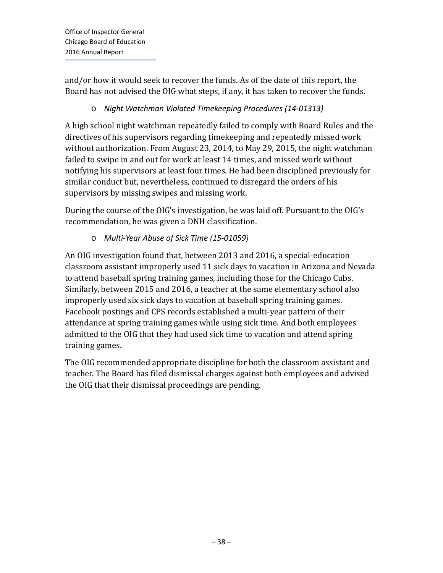and/or how it would seek to recover the funds. As of the date of this report, the Board has not advised the OIG what steps, if any, it has taken to recover the funds.

# o *Night Watchman Violated Timekeeping Procedures (14-01313)*

A high school night watchman repeatedly failed to comply with Board Rules and the directives of his supervisors regarding timekeeping and repeatedly missed work without authorization. From August 23, 2014, to May 29, 2015, the night watchman failed to swipe in and out for work at least 14 times, and missed work without notifying his supervisors at least four times. He had been disciplined previously for similar conduct but, nevertheless, continued to disregard the orders of his supervisors by missing swipes and missing work.

During the course of the OIG's investigation, he was laid off. Pursuant to the OIG's recommendation, he was given a DNH classification.

o *Multi-Year Abuse of Sick Time (15-01059)*

An OIG investigation found that, between 2013 and 2016, a special-education classroom assistant improperly used 11 sick days to vacation in Arizona and Nevada to attend baseball spring training games, including those for the Chicago Cubs. Similarly, between 2015 and 2016, a teacher at the same elementary school also improperly used six sick days to vacation at baseball spring training games. Facebook postings and CPS records established a multi-year pattern of their attendance at spring training games while using sick time. And both employees admitted to the OIG that they had used sick time to vacation and attend spring training games.

The OIG recommended appropriate discipline for both the classroom assistant and teacher. The Board has filed dismissal charges against both employees and advised the OIG that their dismissal proceedings are pending.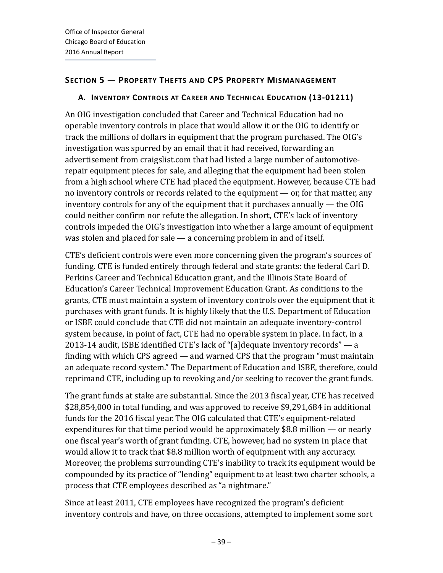## **SECTION 5 — PROPERTY THEFTS AND CPS PROPERTY MISMANAGEMENT**

## **A. INVENTORY CONTROLS AT CAREER AND TECHNICAL EDUCATION (13-01211)**

An OIG investigation concluded that Career and Technical Education had no operable inventory controls in place that would allow it or the OIG to identify or track the millions of dollars in equipment that the program purchased. The OIG's investigation was spurred by an email that it had received, forwarding an advertisement from craigslist.com that had listed a large number of automotiverepair equipment pieces for sale, and alleging that the equipment had been stolen from a high school where CTE had placed the equipment. However, because CTE had no inventory controls or records related to the equipment — or, for that matter, any inventory controls for any of the equipment that it purchases annually — the OIG could neither confirm nor refute the allegation. In short, CTE's lack of inventory controls impeded the OIG's investigation into whether a large amount of equipment was stolen and placed for sale — a concerning problem in and of itself.

CTE's deficient controls were even more concerning given the program's sources of funding. CTE is funded entirely through federal and state grants: the federal Carl D. Perkins Career and Technical Education grant, and the Illinois State Board of Education's Career Technical Improvement Education Grant. As conditions to the grants, CTE must maintain a system of inventory controls over the equipment that it purchases with grant funds. It is highly likely that the U.S. Department of Education or ISBE could conclude that CTE did not maintain an adequate inventory-control system because, in point of fact, CTE had no operable system in place. In fact, in a 2013-14 audit, ISBE identified CTE's lack of "[a]dequate inventory records" — a finding with which CPS agreed — and warned CPS that the program "must maintain an adequate record system." The Department of Education and ISBE, therefore, could reprimand CTE, including up to revoking and/or seeking to recover the grant funds.

The grant funds at stake are substantial. Since the 2013 fiscal year, CTE has received \$28,854,000 in total funding, and was approved to receive \$9,291,684 in additional funds for the 2016 fiscal year. The OIG calculated that CTE's equipment-related expenditures for that time period would be approximately \$8.8 million — or nearly one fiscal year's worth of grant funding. CTE, however, had no system in place that would allow it to track that \$8.8 million worth of equipment with any accuracy. Moreover, the problems surrounding CTE's inability to track its equipment would be compounded by its practice of "lending" equipment to at least two charter schools, a process that CTE employees described as "a nightmare."

Since at least 2011, CTE employees have recognized the program's deficient inventory controls and have, on three occasions, attempted to implement some sort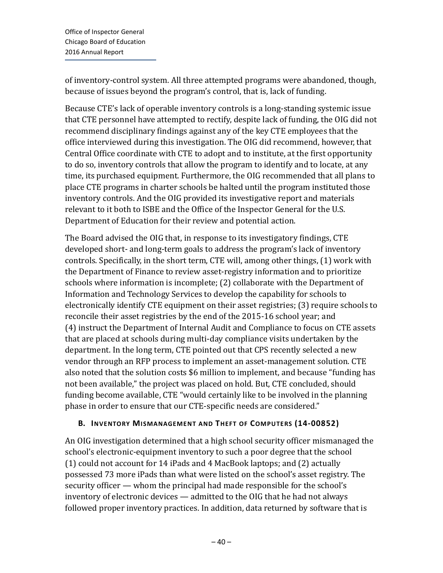of inventory-control system. All three attempted programs were abandoned, though, because of issues beyond the program's control, that is, lack of funding.

Because CTE's lack of operable inventory controls is a long-standing systemic issue that CTE personnel have attempted to rectify, despite lack of funding, the OIG did not recommend disciplinary findings against any of the key CTE employees that the office interviewed during this investigation. The OIG did recommend, however, that Central Office coordinate with CTE to adopt and to institute, at the first opportunity to do so, inventory controls that allow the program to identify and to locate, at any time, its purchased equipment. Furthermore, the OIG recommended that all plans to place CTE programs in charter schools be halted until the program instituted those inventory controls. And the OIG provided its investigative report and materials relevant to it both to ISBE and the Office of the Inspector General for the U.S. Department of Education for their review and potential action.

The Board advised the OIG that, in response to its investigatory findings, CTE developed short- and long-term goals to address the program's lack of inventory controls. Specifically, in the short term, CTE will, among other things, (1) work with the Department of Finance to review asset-registry information and to prioritize schools where information is incomplete; (2) collaborate with the Department of Information and Technology Services to develop the capability for schools to electronically identify CTE equipment on their asset registries; (3) require schools to reconcile their asset registries by the end of the 2015-16 school year; and (4) instruct the Department of Internal Audit and Compliance to focus on CTE assets that are placed at schools during multi-day compliance visits undertaken by the department. In the long term, CTE pointed out that CPS recently selected a new vendor through an RFP process to implement an asset-management solution. CTE also noted that the solution costs \$6 million to implement, and because "funding has not been available," the project was placed on hold. But, CTE concluded, should funding become available, CTE "would certainly like to be involved in the planning phase in order to ensure that our CTE-specific needs are considered."

## **B. INVENTORY MISMANAGEMENT AND THEFT OF COMPUTERS (14-00852)**

An OIG investigation determined that a high school security officer mismanaged the school's electronic-equipment inventory to such a poor degree that the school (1) could not account for 14 iPads and 4 MacBook laptops; and (2) actually possessed 73 more iPads than what were listed on the school's asset registry. The security officer — whom the principal had made responsible for the school's inventory of electronic devices — admitted to the OIG that he had not always followed proper inventory practices. In addition, data returned by software that is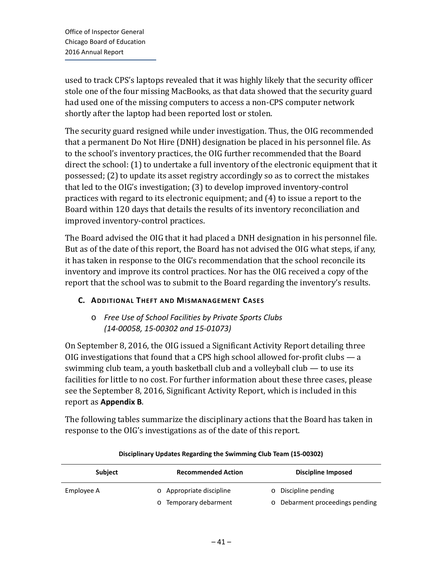used to track CPS's laptops revealed that it was highly likely that the security officer stole one of the four missing MacBooks, as that data showed that the security guard had used one of the missing computers to access a non-CPS computer network shortly after the laptop had been reported lost or stolen.

The security guard resigned while under investigation. Thus, the OIG recommended that a permanent Do Not Hire (DNH) designation be placed in his personnel file. As to the school's inventory practices, the OIG further recommended that the Board direct the school: (1) to undertake a full inventory of the electronic equipment that it possessed; (2) to update its asset registry accordingly so as to correct the mistakes that led to the OIG's investigation; (3) to develop improved inventory-control practices with regard to its electronic equipment; and (4) to issue a report to the Board within 120 days that details the results of its inventory reconciliation and improved inventory-control practices.

The Board advised the OIG that it had placed a DNH designation in his personnel file. But as of the date of this report, the Board has not advised the OIG what steps, if any, it has taken in response to the OIG's recommendation that the school reconcile its inventory and improve its control practices. Nor has the OIG received a copy of the report that the school was to submit to the Board regarding the inventory's results.

## **C. ADDITIONAL THEFT AND MISMANAGEMENT CASES**

# o *Free Use of School Facilities by Private Sports Clubs (14-00058, 15-00302 and 15-01073)*

On September 8, 2016, the OIG issued a Significant Activity Report detailing three OIG investigations that found that a CPS high school allowed for-profit clubs — a swimming club team, a youth basketball club and a volleyball club — to use its facilities for little to no cost. For further information about these three cases, please see the September 8, 2016, Significant Activity Report, which is included in this report as **Appendix B**.

The following tables summarize the disciplinary actions that the Board has taken in response to the OIG's investigations as of the date of this report.

| Subject    | <b>Recommended Action</b>      | Discipline Imposed              |
|------------|--------------------------------|---------------------------------|
| Employee A | o Appropriate discipline       | <b>O</b> Discipline pending     |
|            | Temporary debarment<br>$\circ$ | o Debarment proceedings pending |

#### **Disciplinary Updates Regarding the Swimming Club Team (15-00302)**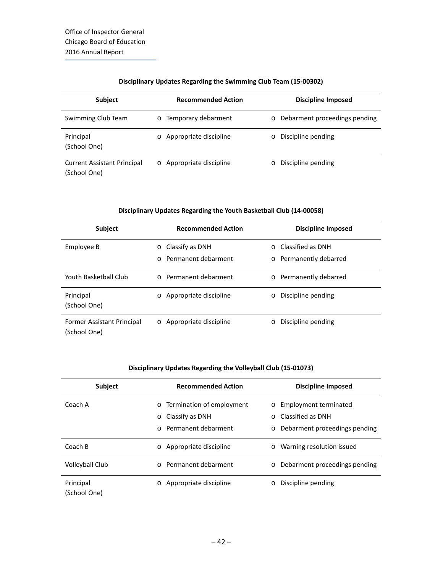#### **Disciplinary Updates Regarding the Swimming Club Team (15-00302)**

| <b>Subject</b>                     | <b>Recommended Action</b>      | <b>Discipline Imposed</b>       |
|------------------------------------|--------------------------------|---------------------------------|
| Swimming Club Team                 | Temporary debarment<br>$\circ$ | o Debarment proceedings pending |
| Principal                          | Appropriate discipline         | Discipline pending              |
| (School One)                       | $\circ$                        | $\circ$                         |
| <b>Current Assistant Principal</b> | Appropriate discipline         | Discipline pending              |
| (School One)                       | $\circ$                        | $\circ$                         |

#### **Disciplinary Updates Regarding the Youth Basketball Club (14-00058)**

| <b>Subject</b>                             | <b>Recommended Action</b>                                     | Discipline Imposed                                      |
|--------------------------------------------|---------------------------------------------------------------|---------------------------------------------------------|
| Employee B                                 | Classify as DNH<br>$\circ$<br>Permanent debarment<br>$\Omega$ | Classified as DNH<br>$\Omega$<br>o Permanently debarred |
| Youth Basketball Club                      | o Permanent debarment                                         | o Permanently debarred                                  |
| Principal<br>(School One)                  | Appropriate discipline<br>$\circ$                             | Discipline pending<br>$\circ$                           |
| Former Assistant Principal<br>(School One) | Appropriate discipline<br>$\circ$                             | Discipline pending<br>$\circ$                           |

#### **Disciplinary Updates Regarding the Volleyball Club (15-01073)**

| <b>Subject</b>            | <b>Recommended Action</b>                                                                             | <b>Discipline Imposed</b>                                                                           |
|---------------------------|-------------------------------------------------------------------------------------------------------|-----------------------------------------------------------------------------------------------------|
| Coach A                   | Termination of employment<br>$\circ$<br>Classify as DNH<br>$\circ$<br>Permanent debarment<br>$\Omega$ | o Employment terminated<br>Classified as DNH<br>$\circ$<br>Debarment proceedings pending<br>$\circ$ |
| Coach B                   | Appropriate discipline<br>$\circ$                                                                     | o Warning resolution issued                                                                         |
| <b>Volleyball Club</b>    | Permanent debarment                                                                                   | Debarment proceedings pending<br>$\circ$                                                            |
| Principal<br>(School One) | Appropriate discipline                                                                                | Discipline pending<br>$\circ$                                                                       |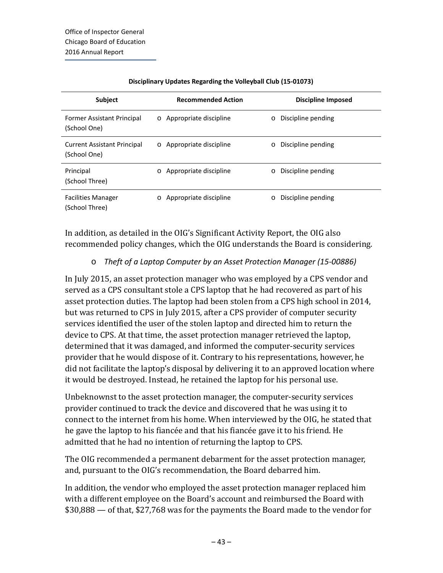| <b>Subject</b>                     | <b>Recommended Action</b> | Discipline Imposed |
|------------------------------------|---------------------------|--------------------|
| Former Assistant Principal         | Appropriate discipline    | Discipline pending |
| (School One)                       | $\circ$                   | $\circ$            |
| <b>Current Assistant Principal</b> | Appropriate discipline    | Discipline pending |
| (School One)                       | $\circ$                   | $\circ$            |
| Principal                          | Appropriate discipline    | Discipline pending |
| (School Three)                     | $\circ$                   | $\circ$            |
| <b>Facilities Manager</b>          | Appropriate discipline    | Discipline pending |
| (School Three)                     | $\circ$                   | $\circ$            |

#### **Disciplinary Updates Regarding the Volleyball Club (15-01073)**

In addition, as detailed in the OIG's Significant Activity Report, the OIG also recommended policy changes, which the OIG understands the Board is considering.

#### o *Theft of a Laptop Computer by an Asset Protection Manager (15-00886)*

In July 2015, an asset protection manager who was employed by a CPS vendor and served as a CPS consultant stole a CPS laptop that he had recovered as part of his asset protection duties. The laptop had been stolen from a CPS high school in 2014, but was returned to CPS in July 2015, after a CPS provider of computer security services identified the user of the stolen laptop and directed him to return the device to CPS. At that time, the asset protection manager retrieved the laptop, determined that it was damaged, and informed the computer-security services provider that he would dispose of it. Contrary to his representations, however, he did not facilitate the laptop's disposal by delivering it to an approved location where it would be destroyed. Instead, he retained the laptop for his personal use.

Unbeknownst to the asset protection manager, the computer-security services provider continued to track the device and discovered that he was using it to connect to the internet from his home. When interviewed by the OIG, he stated that he gave the laptop to his fiancée and that his fiancée gave it to his friend. He admitted that he had no intention of returning the laptop to CPS.

The OIG recommended a permanent debarment for the asset protection manager, and, pursuant to the OIG's recommendation, the Board debarred him.

In addition, the vendor who employed the asset protection manager replaced him with a different employee on the Board's account and reimbursed the Board with \$30,888 — of that, \$27,768 was for the payments the Board made to the vendor for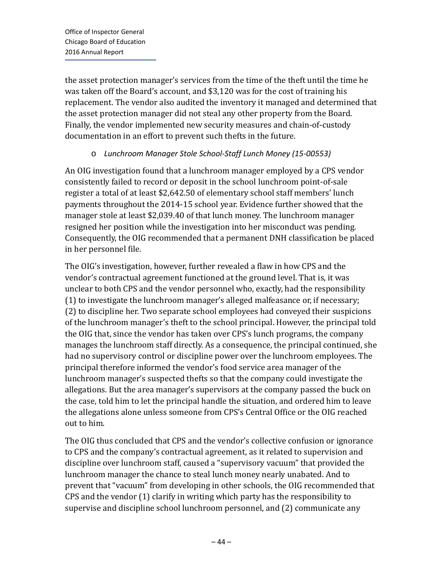the asset protection manager's services from the time of the theft until the time he was taken off the Board's account, and \$3,120 was for the cost of training his replacement. The vendor also audited the inventory it managed and determined that the asset protection manager did not steal any other property from the Board. Finally, the vendor implemented new security measures and chain-of-custody documentation in an effort to prevent such thefts in the future.

## o *Lunchroom Manager Stole School-Staff Lunch Money (15-00553)*

An OIG investigation found that a lunchroom manager employed by a CPS vendor consistently failed to record or deposit in the school lunchroom point-of-sale register a total of at least \$2,642.50 of elementary school staff members' lunch payments throughout the 2014-15 school year. Evidence further showed that the manager stole at least \$2,039.40 of that lunch money. The lunchroom manager resigned her position while the investigation into her misconduct was pending. Consequently, the OIG recommended that a permanent DNH classification be placed in her personnel file.

The OIG's investigation, however, further revealed a flaw in how CPS and the vendor's contractual agreement functioned at the ground level. That is, it was unclear to both CPS and the vendor personnel who, exactly, had the responsibility (1) to investigate the lunchroom manager's alleged malfeasance or, if necessary; (2) to discipline her. Two separate school employees had conveyed their suspicions of the lunchroom manager's theft to the school principal. However, the principal told the OIG that, since the vendor has taken over CPS's lunch programs, the company manages the lunchroom staff directly. As a consequence, the principal continued, she had no supervisory control or discipline power over the lunchroom employees. The principal therefore informed the vendor's food service area manager of the lunchroom manager's suspected thefts so that the company could investigate the allegations. But the area manager's supervisors at the company passed the buck on the case, told him to let the principal handle the situation, and ordered him to leave the allegations alone unless someone from CPS's Central Office or the OIG reached out to him.

The OIG thus concluded that CPS and the vendor's collective confusion or ignorance to CPS and the company's contractual agreement, as it related to supervision and discipline over lunchroom staff, caused a "supervisory vacuum" that provided the lunchroom manager the chance to steal lunch money nearly unabated. And to prevent that "vacuum" from developing in other schools, the OIG recommended that CPS and the vendor (1) clarify in writing which party has the responsibility to supervise and discipline school lunchroom personnel, and (2) communicate any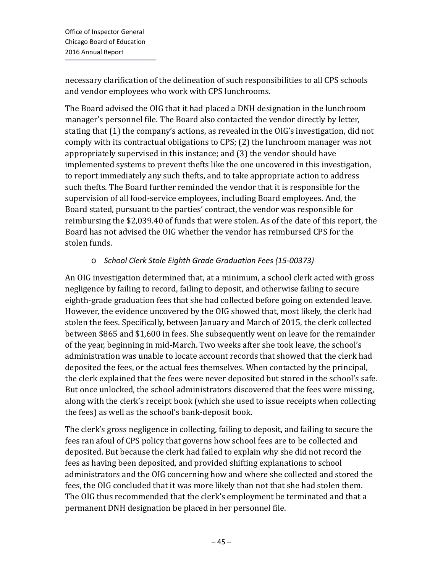necessary clarification of the delineation of such responsibilities to all CPS schools and vendor employees who work with CPS lunchrooms.

The Board advised the OIG that it had placed a DNH designation in the lunchroom manager's personnel file. The Board also contacted the vendor directly by letter, stating that (1) the company's actions, as revealed in the OIG's investigation, did not comply with its contractual obligations to CPS; (2) the lunchroom manager was not appropriately supervised in this instance; and (3) the vendor should have implemented systems to prevent thefts like the one uncovered in this investigation, to report immediately any such thefts, and to take appropriate action to address such thefts. The Board further reminded the vendor that it is responsible for the supervision of all food-service employees, including Board employees. And, the Board stated, pursuant to the parties' contract, the vendor was responsible for reimbursing the \$2,039.40 of funds that were stolen. As of the date of this report, the Board has not advised the OIG whether the vendor has reimbursed CPS for the stolen funds.

## o *School Clerk Stole Eighth Grade Graduation Fees (15-00373)*

An OIG investigation determined that, at a minimum, a school clerk acted with gross negligence by failing to record, failing to deposit, and otherwise failing to secure eighth-grade graduation fees that she had collected before going on extended leave. However, the evidence uncovered by the OIG showed that, most likely, the clerk had stolen the fees. Specifically, between January and March of 2015, the clerk collected between \$865 and \$1,600 in fees. She subsequently went on leave for the remainder of the year, beginning in mid-March. Two weeks after she took leave, the school's administration was unable to locate account records that showed that the clerk had deposited the fees, or the actual fees themselves. When contacted by the principal, the clerk explained that the fees were never deposited but stored in the school's safe. But once unlocked, the school administrators discovered that the fees were missing, along with the clerk's receipt book (which she used to issue receipts when collecting the fees) as well as the school's bank-deposit book.

The clerk's gross negligence in collecting, failing to deposit, and failing to secure the fees ran afoul of CPS policy that governs how school fees are to be collected and deposited. But because the clerk had failed to explain why she did not record the fees as having been deposited, and provided shifting explanations to school administrators and the OIG concerning how and where she collected and stored the fees, the OIG concluded that it was more likely than not that she had stolen them. The OIG thus recommended that the clerk's employment be terminated and that a permanent DNH designation be placed in her personnel file.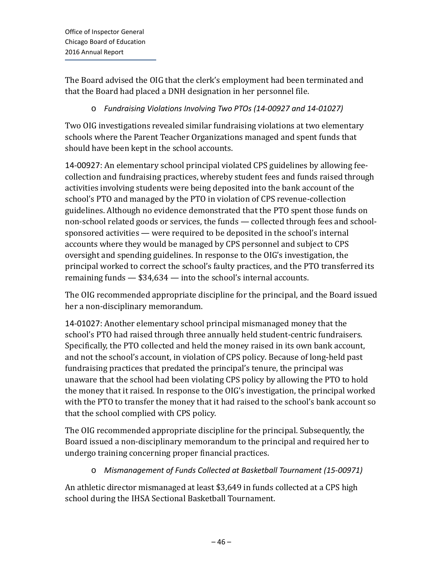The Board advised the OIG that the clerk's employment had been terminated and that the Board had placed a DNH designation in her personnel file.

## o *Fundraising Violations Involving Two PTOs (14-00927 and 14-01027)*

Two OIG investigations revealed similar fundraising violations at two elementary schools where the Parent Teacher Organizations managed and spent funds that should have been kept in the school accounts.

14-00927: An elementary school principal violated CPS guidelines by allowing feecollection and fundraising practices, whereby student fees and funds raised through activities involving students were being deposited into the bank account of the school's PTO and managed by the PTO in violation of CPS revenue-collection guidelines. Although no evidence demonstrated that the PTO spent those funds on non-school related goods or services, the funds — collected through fees and schoolsponsored activities — were required to be deposited in the school's internal accounts where they would be managed by CPS personnel and subject to CPS oversight and spending guidelines. In response to the OIG's investigation, the principal worked to correct the school's faulty practices, and the PTO transferred its remaining funds — \$34,634 — into the school's internal accounts.

The OIG recommended appropriate discipline for the principal, and the Board issued her a non-disciplinary memorandum.

14-01027: Another elementary school principal mismanaged money that the school's PTO had raised through three annually held student-centric fundraisers. Specifically, the PTO collected and held the money raised in its own bank account, and not the school's account, in violation of CPS policy. Because of long-held past fundraising practices that predated the principal's tenure, the principal was unaware that the school had been violating CPS policy by allowing the PTO to hold the money that it raised. In response to the OIG's investigation, the principal worked with the PTO to transfer the money that it had raised to the school's bank account so that the school complied with CPS policy.

The OIG recommended appropriate discipline for the principal. Subsequently, the Board issued a non-disciplinary memorandum to the principal and required her to undergo training concerning proper financial practices.

## o *Mismanagement of Funds Collected at Basketball Tournament (15-00971)*

An athletic director mismanaged at least \$3,649 in funds collected at a CPS high school during the IHSA Sectional Basketball Tournament.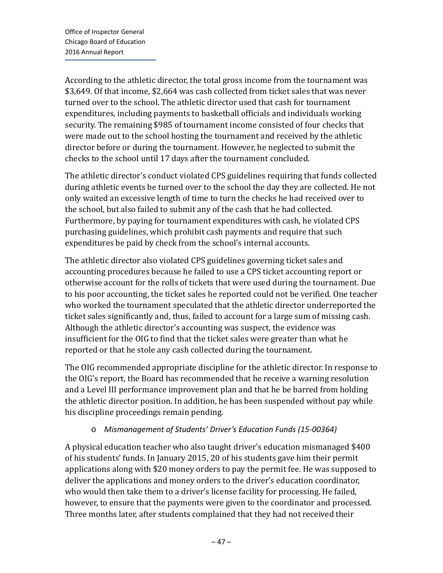According to the athletic director, the total gross income from the tournament was \$3,649. Of that income, \$2,664 was cash collected from ticket sales that was never turned over to the school. The athletic director used that cash for tournament expenditures, including payments to basketball officials and individuals working security. The remaining \$985 of tournament income consisted of four checks that were made out to the school hosting the tournament and received by the athletic director before or during the tournament. However, he neglected to submit the checks to the school until 17 days after the tournament concluded.

The athletic director's conduct violated CPS guidelines requiring that funds collected during athletic events be turned over to the school the day they are collected. He not only waited an excessive length of time to turn the checks he had received over to the school, but also failed to submit any of the cash that he had collected. Furthermore, by paying for tournament expenditures with cash, he violated CPS purchasing guidelines, which prohibit cash payments and require that such expenditures be paid by check from the school's internal accounts.

The athletic director also violated CPS guidelines governing ticket sales and accounting procedures because he failed to use a CPS ticket accounting report or otherwise account for the rolls of tickets that were used during the tournament. Due to his poor accounting, the ticket sales he reported could not be verified. One teacher who worked the tournament speculated that the athletic director underreported the ticket sales significantly and, thus, failed to account for a large sum of missing cash. Although the athletic director's accounting was suspect, the evidence was insufficient for the OIG to find that the ticket sales were greater than what he reported or that he stole any cash collected during the tournament.

The OIG recommended appropriate discipline for the athletic director. In response to the OIG's report, the Board has recommended that he receive a warning resolution and a Level III performance improvement plan and that he be barred from holding the athletic director position. In addition, he has been suspended without pay while his discipline proceedings remain pending.

## o *Mismanagement of Students' Driver's Education Funds (15-00364)*

A physical education teacher who also taught driver's education mismanaged \$400 of his students' funds. In January 2015, 20 of his students gave him their permit applications along with \$20 money orders to pay the permit fee. He was supposed to deliver the applications and money orders to the driver's education coordinator, who would then take them to a driver's license facility for processing. He failed, however, to ensure that the payments were given to the coordinator and processed. Three months later, after students complained that they had not received their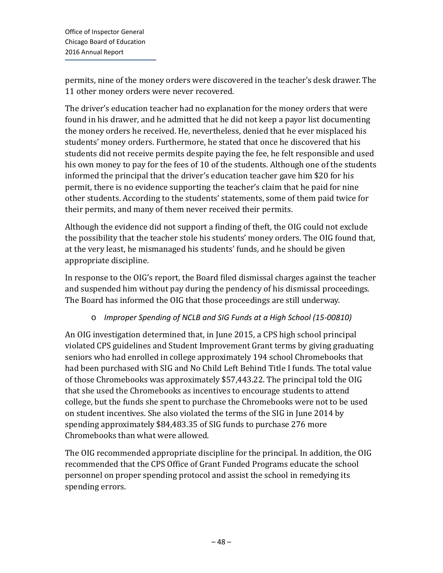permits, nine of the money orders were discovered in the teacher's desk drawer. The 11 other money orders were never recovered.

The driver's education teacher had no explanation for the money orders that were found in his drawer, and he admitted that he did not keep a payor list documenting the money orders he received. He, nevertheless, denied that he ever misplaced his students' money orders. Furthermore, he stated that once he discovered that his students did not receive permits despite paying the fee, he felt responsible and used his own money to pay for the fees of 10 of the students. Although one of the students informed the principal that the driver's education teacher gave him \$20 for his permit, there is no evidence supporting the teacher's claim that he paid for nine other students. According to the students' statements, some of them paid twice for their permits, and many of them never received their permits.

Although the evidence did not support a finding of theft, the OIG could not exclude the possibility that the teacher stole his students' money orders. The OIG found that, at the very least, he mismanaged his students' funds, and he should be given appropriate discipline.

In response to the OIG's report, the Board filed dismissal charges against the teacher and suspended him without pay during the pendency of his dismissal proceedings. The Board has informed the OIG that those proceedings are still underway.

## o *Improper Spending of NCLB and SIG Funds at a High School (15-00810)*

An OIG investigation determined that, in June 2015, a CPS high school principal violated CPS guidelines and Student Improvement Grant terms by giving graduating seniors who had enrolled in college approximately 194 school Chromebooks that had been purchased with SIG and No Child Left Behind Title I funds. The total value of those Chromebooks was approximately \$57,443.22. The principal told the OIG that she used the Chromebooks as incentives to encourage students to attend college, but the funds she spent to purchase the Chromebooks were not to be used on student incentives. She also violated the terms of the SIG in June 2014 by spending approximately \$84,483.35 of SIG funds to purchase 276 more Chromebooks than what were allowed.

The OIG recommended appropriate discipline for the principal. In addition, the OIG recommended that the CPS Office of Grant Funded Programs educate the school personnel on proper spending protocol and assist the school in remedying its spending errors.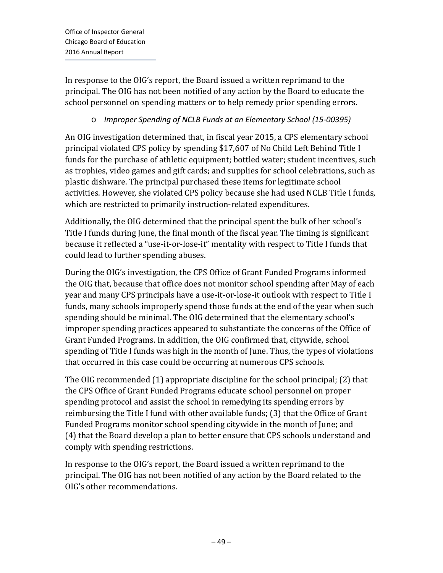In response to the OIG's report, the Board issued a written reprimand to the principal. The OIG has not been notified of any action by the Board to educate the school personnel on spending matters or to help remedy prior spending errors.

## o *Improper Spending of NCLB Funds at an Elementary School (15-00395)*

An OIG investigation determined that, in fiscal year 2015, a CPS elementary school principal violated CPS policy by spending \$17,607 of No Child Left Behind Title I funds for the purchase of athletic equipment; bottled water; student incentives, such as trophies, video games and gift cards; and supplies for school celebrations, such as plastic dishware. The principal purchased these items for legitimate school activities. However, she violated CPS policy because she had used NCLB Title I funds, which are restricted to primarily instruction-related expenditures.

Additionally, the OIG determined that the principal spent the bulk of her school's Title I funds during June, the final month of the fiscal year. The timing is significant because it reflected a "use-it-or-lose-it" mentality with respect to Title I funds that could lead to further spending abuses.

During the OIG's investigation, the CPS Office of Grant Funded Programs informed the OIG that, because that office does not monitor school spending after May of each year and many CPS principals have a use-it-or-lose-it outlook with respect to Title I funds, many schools improperly spend those funds at the end of the year when such spending should be minimal. The OIG determined that the elementary school's improper spending practices appeared to substantiate the concerns of the Office of Grant Funded Programs. In addition, the OIG confirmed that, citywide, school spending of Title I funds was high in the month of June. Thus, the types of violations that occurred in this case could be occurring at numerous CPS schools.

The OIG recommended (1) appropriate discipline for the school principal; (2) that the CPS Office of Grant Funded Programs educate school personnel on proper spending protocol and assist the school in remedying its spending errors by reimbursing the Title I fund with other available funds; (3) that the Office of Grant Funded Programs monitor school spending citywide in the month of June; and (4) that the Board develop a plan to better ensure that CPS schools understand and comply with spending restrictions.

In response to the OIG's report, the Board issued a written reprimand to the principal. The OIG has not been notified of any action by the Board related to the OIG's other recommendations.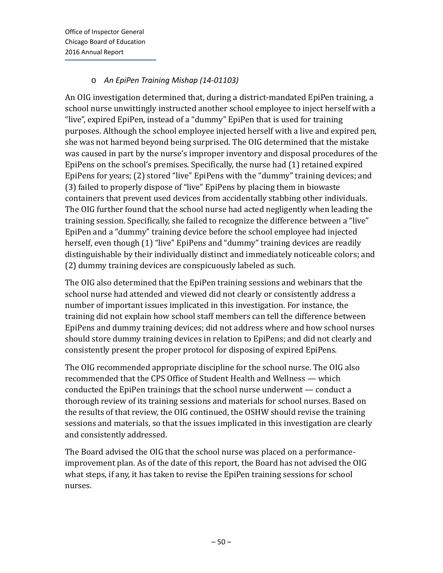## o *An EpiPen Training Mishap (14-01103)*

An OIG investigation determined that, during a district-mandated EpiPen training, a school nurse unwittingly instructed another school employee to inject herself with a "live", expired EpiPen, instead of a "dummy" EpiPen that is used for training purposes. Although the school employee injected herself with a live and expired pen, she was not harmed beyond being surprised. The OIG determined that the mistake was caused in part by the nurse's improper inventory and disposal procedures of the EpiPens on the school's premises. Specifically, the nurse had (1) retained expired EpiPens for years; (2) stored "live" EpiPens with the "dummy" training devices; and (3) failed to properly dispose of "live" EpiPens by placing them in biowaste containers that prevent used devices from accidentally stabbing other individuals. The OIG further found that the school nurse had acted negligently when leading the training session. Specifically, she failed to recognize the difference between a "live" EpiPen and a "dummy" training device before the school employee had injected herself, even though (1) "live" EpiPens and "dummy" training devices are readily distinguishable by their individually distinct and immediately noticeable colors; and (2) dummy training devices are conspicuously labeled as such.

The OIG also determined that the EpiPen training sessions and webinars that the school nurse had attended and viewed did not clearly or consistently address a number of important issues implicated in this investigation. For instance, the training did not explain how school staff members can tell the difference between EpiPens and dummy training devices; did not address where and how school nurses should store dummy training devices in relation to EpiPens; and did not clearly and consistently present the proper protocol for disposing of expired EpiPens.

The OIG recommended appropriate discipline for the school nurse. The OIG also recommended that the CPS Office of Student Health and Wellness — which conducted the EpiPen trainings that the school nurse underwent — conduct a thorough review of its training sessions and materials for school nurses. Based on the results of that review, the OIG continued, the OSHW should revise the training sessions and materials, so that the issues implicated in this investigation are clearly and consistently addressed.

The Board advised the OIG that the school nurse was placed on a performanceimprovement plan. As of the date of this report, the Board has not advised the OIG what steps, if any, it has taken to revise the EpiPen training sessions for school nurses.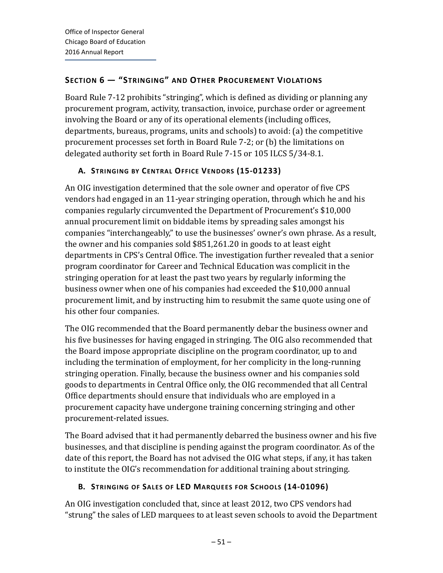# **SECTION 6 — "STRINGING" AND OTHER PROCUREMENT VIOLATIONS**

Board Rule 7-12 prohibits "stringing", which is defined as dividing or planning any procurement program, activity, transaction, invoice, purchase order or agreement involving the Board or any of its operational elements (including offices, departments, bureaus, programs, units and schools) to avoid: (a) the competitive procurement processes set forth in Board Rule 7-2; or (b) the limitations on delegated authority set forth in Board Rule 7-15 or 105 ILCS 5/34-8.1.

# **A. STRINGING BY CENTRAL OFFICE VENDORS (15-01233)**

An OIG investigation determined that the sole owner and operator of five CPS vendors had engaged in an 11-year stringing operation, through which he and his companies regularly circumvented the Department of Procurement's \$10,000 annual procurement limit on biddable items by spreading sales amongst his companies "interchangeably," to use the businesses' owner's own phrase. As a result, the owner and his companies sold \$851,261.20 in goods to at least eight departments in CPS's Central Office. The investigation further revealed that a senior program coordinator for Career and Technical Education was complicit in the stringing operation for at least the past two years by regularly informing the business owner when one of his companies had exceeded the \$10,000 annual procurement limit, and by instructing him to resubmit the same quote using one of his other four companies.

The OIG recommended that the Board permanently debar the business owner and his five businesses for having engaged in stringing. The OIG also recommended that the Board impose appropriate discipline on the program coordinator, up to and including the termination of employment, for her complicity in the long-running stringing operation. Finally, because the business owner and his companies sold goods to departments in Central Office only, the OIG recommended that all Central Office departments should ensure that individuals who are employed in a procurement capacity have undergone training concerning stringing and other procurement-related issues.

The Board advised that it had permanently debarred the business owner and his five businesses, and that discipline is pending against the program coordinator. As of the date of this report, the Board has not advised the OIG what steps, if any, it has taken to institute the OIG's recommendation for additional training about stringing.

## **B. STRINGING OF SALES OF LED MARQUEES FOR SCHOOLS (14-01096)**

An OIG investigation concluded that, since at least 2012, two CPS vendors had "strung" the sales of LED marquees to at least seven schools to avoid the Department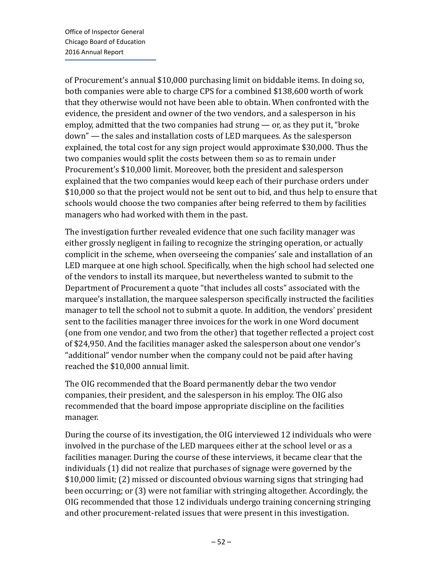of Procurement's annual \$10,000 purchasing limit on biddable items. In doing so, both companies were able to charge CPS for a combined \$138,600 worth of work that they otherwise would not have been able to obtain. When confronted with the evidence, the president and owner of the two vendors, and a salesperson in his employ, admitted that the two companies had strung — or, as they put it, "broke down" — the sales and installation costs of LED marquees. As the salesperson explained, the total cost for any sign project would approximate \$30,000. Thus the two companies would split the costs between them so as to remain under Procurement's \$10,000 limit. Moreover, both the president and salesperson explained that the two companies would keep each of their purchase orders under \$10,000 so that the project would not be sent out to bid, and thus help to ensure that schools would choose the two companies after being referred to them by facilities managers who had worked with them in the past.

The investigation further revealed evidence that one such facility manager was either grossly negligent in failing to recognize the stringing operation, or actually complicit in the scheme, when overseeing the companies' sale and installation of an LED marquee at one high school. Specifically, when the high school had selected one of the vendors to install its marquee, but nevertheless wanted to submit to the Department of Procurement a quote "that includes all costs" associated with the marquee's installation, the marquee salesperson specifically instructed the facilities manager to tell the school not to submit a quote. In addition, the vendors' president sent to the facilities manager three invoices for the work in one Word document (one from one vendor, and two from the other) that together reflected a project cost of \$24,950. And the facilities manager asked the salesperson about one vendor's "additional" vendor number when the company could not be paid after having reached the \$10,000 annual limit.

The OIG recommended that the Board permanently debar the two vendor companies, their president, and the salesperson in his employ. The OIG also recommended that the board impose appropriate discipline on the facilities manager.

During the course of its investigation, the OIG interviewed 12 individuals who were involved in the purchase of the LED marquees either at the school level or as a facilities manager. During the course of these interviews, it became clear that the individuals (1) did not realize that purchases of signage were governed by the \$10,000 limit; (2) missed or discounted obvious warning signs that stringing had been occurring; or (3) were not familiar with stringing altogether. Accordingly, the OIG recommended that those 12 individuals undergo training concerning stringing and other procurement-related issues that were present in this investigation.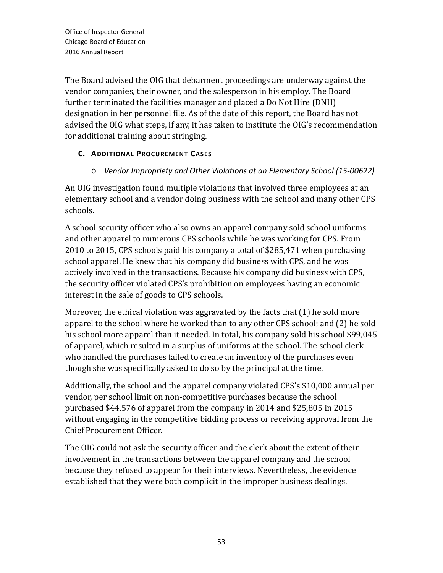The Board advised the OIG that debarment proceedings are underway against the vendor companies, their owner, and the salesperson in his employ. The Board further terminated the facilities manager and placed a Do Not Hire (DNH) designation in her personnel file. As of the date of this report, the Board has not advised the OIG what steps, if any, it has taken to institute the OIG's recommendation for additional training about stringing.

## **C. ADDITIONAL PROCUREMENT CASES**

### o *Vendor Impropriety and Other Violations at an Elementary School (15-00622)*

An OIG investigation found multiple violations that involved three employees at an elementary school and a vendor doing business with the school and many other CPS schools.

A school security officer who also owns an apparel company sold school uniforms and other apparel to numerous CPS schools while he was working for CPS. From 2010 to 2015, CPS schools paid his company a total of \$285,471 when purchasing school apparel. He knew that his company did business with CPS, and he was actively involved in the transactions. Because his company did business with CPS, the security officer violated CPS's prohibition on employees having an economic interest in the sale of goods to CPS schools.

Moreover, the ethical violation was aggravated by the facts that (1) he sold more apparel to the school where he worked than to any other CPS school; and (2) he sold his school more apparel than it needed. In total, his company sold his school \$99,045 of apparel, which resulted in a surplus of uniforms at the school. The school clerk who handled the purchases failed to create an inventory of the purchases even though she was specifically asked to do so by the principal at the time.

Additionally, the school and the apparel company violated CPS's \$10,000 annual per vendor, per school limit on non-competitive purchases because the school purchased \$44,576 of apparel from the company in 2014 and \$25,805 in 2015 without engaging in the competitive bidding process or receiving approval from the Chief Procurement Officer.

The OIG could not ask the security officer and the clerk about the extent of their involvement in the transactions between the apparel company and the school because they refused to appear for their interviews. Nevertheless, the evidence established that they were both complicit in the improper business dealings.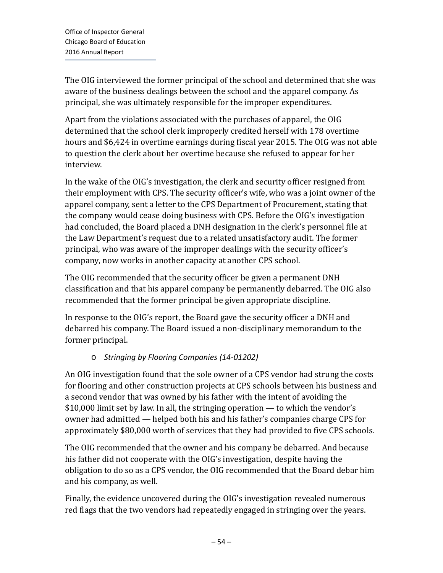The OIG interviewed the former principal of the school and determined that she was aware of the business dealings between the school and the apparel company. As principal, she was ultimately responsible for the improper expenditures.

Apart from the violations associated with the purchases of apparel, the OIG determined that the school clerk improperly credited herself with 178 overtime hours and \$6,424 in overtime earnings during fiscal year 2015. The OIG was not able to question the clerk about her overtime because she refused to appear for her interview.

In the wake of the OIG's investigation, the clerk and security officer resigned from their employment with CPS. The security officer's wife, who was a joint owner of the apparel company, sent a letter to the CPS Department of Procurement, stating that the company would cease doing business with CPS. Before the OIG's investigation had concluded, the Board placed a DNH designation in the clerk's personnel file at the Law Department's request due to a related unsatisfactory audit. The former principal, who was aware of the improper dealings with the security officer's company, now works in another capacity at another CPS school.

The OIG recommended that the security officer be given a permanent DNH classification and that his apparel company be permanently debarred. The OIG also recommended that the former principal be given appropriate discipline.

In response to the OIG's report, the Board gave the security officer a DNH and debarred his company. The Board issued a non-disciplinary memorandum to the former principal.

# o *Stringing by Flooring Companies (14-01202)*

An OIG investigation found that the sole owner of a CPS vendor had strung the costs for flooring and other construction projects at CPS schools between his business and a second vendor that was owned by his father with the intent of avoiding the \$10,000 limit set by law. In all, the stringing operation — to which the vendor's owner had admitted — helped both his and his father's companies charge CPS for approximately \$80,000 worth of services that they had provided to five CPS schools.

The OIG recommended that the owner and his company be debarred. And because his father did not cooperate with the OIG's investigation, despite having the obligation to do so as a CPS vendor, the OIG recommended that the Board debar him and his company, as well.

Finally, the evidence uncovered during the OIG's investigation revealed numerous red flags that the two vendors had repeatedly engaged in stringing over the years.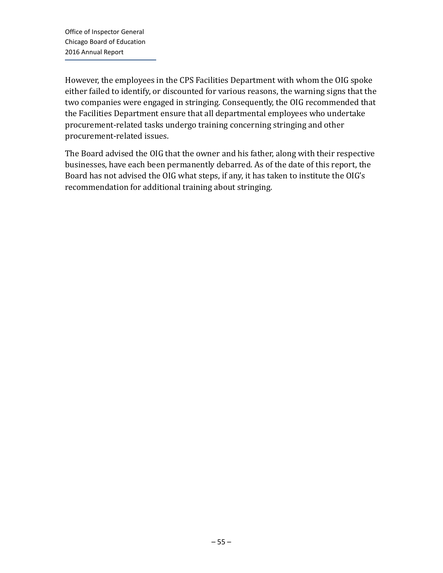However, the employees in the CPS Facilities Department with whom the OIG spoke either failed to identify, or discounted for various reasons, the warning signs that the two companies were engaged in stringing. Consequently, the OIG recommended that the Facilities Department ensure that all departmental employees who undertake procurement-related tasks undergo training concerning stringing and other procurement-related issues.

The Board advised the OIG that the owner and his father, along with their respective businesses, have each been permanently debarred. As of the date of this report, the Board has not advised the OIG what steps, if any, it has taken to institute the OIG's recommendation for additional training about stringing.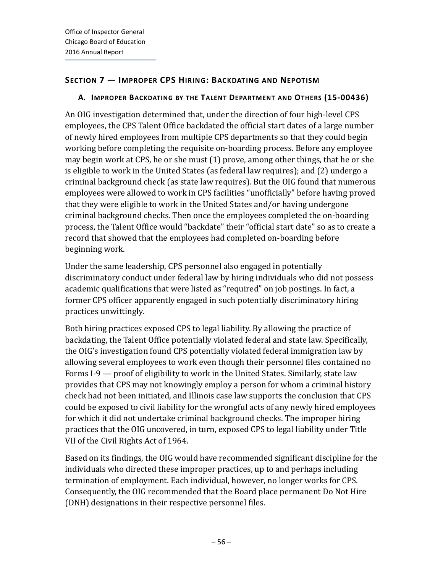### **SECTION 7 — IMPROPER CPS HIRING: BACKDATING AND NEPOTISM**

#### **A. IMPROPER BACKDATING BY THE TALENT DEPARTMENT AND OTHERS (15-00436)**

An OIG investigation determined that, under the direction of four high-level CPS employees, the CPS Talent Office backdated the official start dates of a large number of newly hired employees from multiple CPS departments so that they could begin working before completing the requisite on-boarding process. Before any employee may begin work at CPS, he or she must (1) prove, among other things, that he or she is eligible to work in the United States (as federal law requires); and (2) undergo a criminal background check (as state law requires). But the OIG found that numerous employees were allowed to work in CPS facilities "unofficially" before having proved that they were eligible to work in the United States and/or having undergone criminal background checks. Then once the employees completed the on-boarding process, the Talent Office would "backdate" their "official start date" so as to create a record that showed that the employees had completed on-boarding before beginning work.

Under the same leadership, CPS personnel also engaged in potentially discriminatory conduct under federal law by hiring individuals who did not possess academic qualifications that were listed as "required" on job postings. In fact, a former CPS officer apparently engaged in such potentially discriminatory hiring practices unwittingly.

Both hiring practices exposed CPS to legal liability. By allowing the practice of backdating, the Talent Office potentially violated federal and state law. Specifically, the OIG's investigation found CPS potentially violated federal immigration law by allowing several employees to work even though their personnel files contained no Forms I-9 — proof of eligibility to work in the United States. Similarly, state law provides that CPS may not knowingly employ a person for whom a criminal history check had not been initiated, and Illinois case law supports the conclusion that CPS could be exposed to civil liability for the wrongful acts of any newly hired employees for which it did not undertake criminal background checks. The improper hiring practices that the OIG uncovered, in turn, exposed CPS to legal liability under Title VII of the Civil Rights Act of 1964.

Based on its findings, the OIG would have recommended significant discipline for the individuals who directed these improper practices, up to and perhaps including termination of employment. Each individual, however, no longer works for CPS. Consequently, the OIG recommended that the Board place permanent Do Not Hire (DNH) designations in their respective personnel files.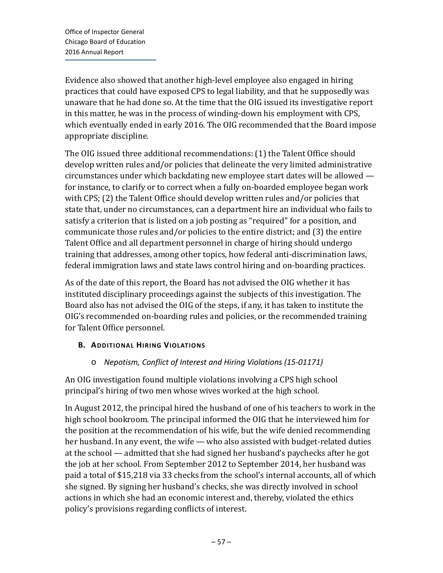Evidence also showed that another high-level employee also engaged in hiring practices that could have exposed CPS to legal liability, and that he supposedly was unaware that he had done so. At the time that the OIG issued its investigative report in this matter, he was in the process of winding-down his employment with CPS, which eventually ended in early 2016. The OIG recommended that the Board impose appropriate discipline.

The OIG issued three additional recommendations: (1) the Talent Office should develop written rules and/or policies that delineate the very limited administrative circumstances under which backdating new employee start dates will be allowed for instance, to clarify or to correct when a fully on-boarded employee began work with CPS; (2) the Talent Office should develop written rules and/or policies that state that, under no circumstances, can a department hire an individual who fails to satisfy a criterion that is listed on a job posting as "required" for a position, and communicate those rules and/or policies to the entire district; and (3) the entire Talent Office and all department personnel in charge of hiring should undergo training that addresses, among other topics, how federal anti-discrimination laws, federal immigration laws and state laws control hiring and on-boarding practices.

As of the date of this report, the Board has not advised the OIG whether it has instituted disciplinary proceedings against the subjects of this investigation. The Board also has not advised the OIG of the steps, if any, it has taken to institute the OIG's recommended on-boarding rules and policies, or the recommended training for Talent Office personnel.

## **B. ADDITIONAL HIRING VIOLATIONS**

# o *Nepotism, Conflict of Interest and Hiring Violations (15-01171)*

An OIG investigation found multiple violations involving a CPS high school principal's hiring of two men whose wives worked at the high school.

In August 2012, the principal hired the husband of one of his teachers to work in the high school bookroom. The principal informed the OIG that he interviewed him for the position at the recommendation of his wife, but the wife denied recommending her husband. In any event, the wife — who also assisted with budget-related duties at the school — admitted that she had signed her husband's paychecks after he got the job at her school. From September 2012 to September 2014, her husband was paid a total of \$15,218 via 33 checks from the school's internal accounts, all of which she signed. By signing her husband's checks, she was directly involved in school actions in which she had an economic interest and, thereby, violated the ethics policy's provisions regarding conflicts of interest.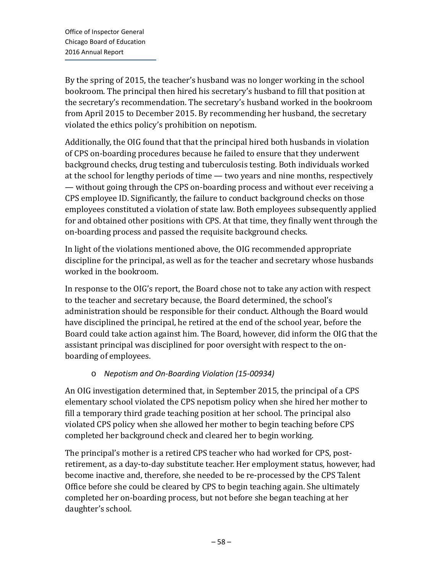By the spring of 2015, the teacher's husband was no longer working in the school bookroom. The principal then hired his secretary's husband to fill that position at the secretary's recommendation. The secretary's husband worked in the bookroom from April 2015 to December 2015. By recommending her husband, the secretary violated the ethics policy's prohibition on nepotism.

Additionally, the OIG found that that the principal hired both husbands in violation of CPS on-boarding procedures because he failed to ensure that they underwent background checks, drug testing and tuberculosis testing. Both individuals worked at the school for lengthy periods of time — two years and nine months, respectively — without going through the CPS on-boarding process and without ever receiving a CPS employee ID. Significantly, the failure to conduct background checks on those employees constituted a violation of state law. Both employees subsequently applied for and obtained other positions with CPS. At that time, they finally went through the on-boarding process and passed the requisite background checks.

In light of the violations mentioned above, the OIG recommended appropriate discipline for the principal, as well as for the teacher and secretary whose husbands worked in the bookroom.

In response to the OIG's report, the Board chose not to take any action with respect to the teacher and secretary because, the Board determined, the school's administration should be responsible for their conduct. Although the Board would have disciplined the principal, he retired at the end of the school year, before the Board could take action against him. The Board, however, did inform the OIG that the assistant principal was disciplined for poor oversight with respect to the onboarding of employees.

## o *Nepotism and On-Boarding Violation (15-00934)*

An OIG investigation determined that, in September 2015, the principal of a CPS elementary school violated the CPS nepotism policy when she hired her mother to fill a temporary third grade teaching position at her school. The principal also violated CPS policy when she allowed her mother to begin teaching before CPS completed her background check and cleared her to begin working.

The principal's mother is a retired CPS teacher who had worked for CPS, postretirement, as a day-to-day substitute teacher. Her employment status, however, had become inactive and, therefore, she needed to be re-processed by the CPS Talent Office before she could be cleared by CPS to begin teaching again. She ultimately completed her on-boarding process, but not before she began teaching at her daughter's school.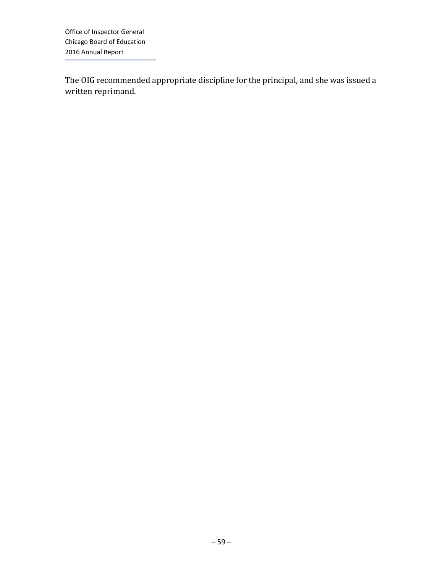The OIG recommended appropriate discipline for the principal, and she was issued a written reprimand.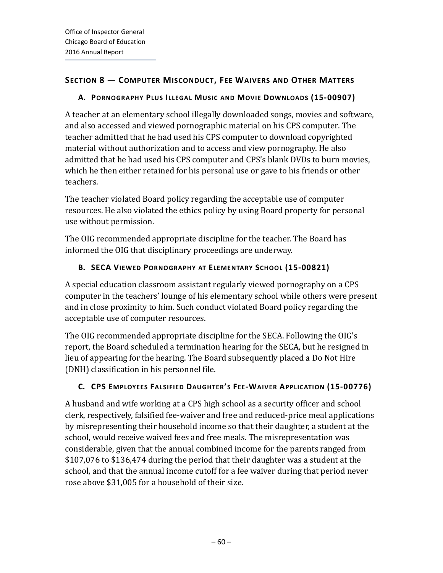## **SECTION 8 — COMPUTER MISCONDUCT, FEE WAIVERS AND OTHER MATTERS**

## **A. PORNOGRAPHY PLUS ILLEGAL MUSIC AND MOVIE DOWNLOADS (15-00907)**

A teacher at an elementary school illegally downloaded songs, movies and software, and also accessed and viewed pornographic material on his CPS computer. The teacher admitted that he had used his CPS computer to download copyrighted material without authorization and to access and view pornography. He also admitted that he had used his CPS computer and CPS's blank DVDs to burn movies, which he then either retained for his personal use or gave to his friends or other teachers.

The teacher violated Board policy regarding the acceptable use of computer resources. He also violated the ethics policy by using Board property for personal use without permission.

The OIG recommended appropriate discipline for the teacher. The Board has informed the OIG that disciplinary proceedings are underway.

# **B. SECA VIEWED PORNOGRAPHY AT ELEMENTARY SCHOOL (15-00821)**

A special education classroom assistant regularly viewed pornography on a CPS computer in the teachers' lounge of his elementary school while others were present and in close proximity to him. Such conduct violated Board policy regarding the acceptable use of computer resources.

The OIG recommended appropriate discipline for the SECA. Following the OIG's report, the Board scheduled a termination hearing for the SECA, but he resigned in lieu of appearing for the hearing. The Board subsequently placed a Do Not Hire (DNH) classification in his personnel file.

# **C. CPS EMPLOYEES FALSIFIED DAUGHTER'S FEE-WAIVER APPLICATION (15-00776)**

A husband and wife working at a CPS high school as a security officer and school clerk, respectively, falsified fee-waiver and free and reduced-price meal applications by misrepresenting their household income so that their daughter, a student at the school, would receive waived fees and free meals. The misrepresentation was considerable, given that the annual combined income for the parents ranged from \$107,076 to \$136,474 during the period that their daughter was a student at the school, and that the annual income cutoff for a fee waiver during that period never rose above \$31,005 for a household of their size.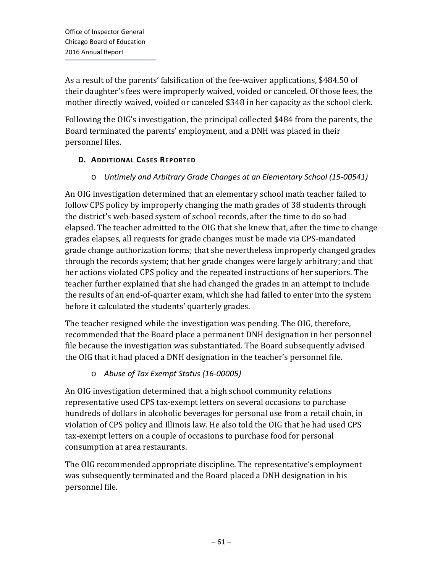As a result of the parents' falsification of the fee-waiver applications, \$484.50 of their daughter's fees were improperly waived, voided or canceled. Of those fees, the mother directly waived, voided or canceled \$348 in her capacity as the school clerk.

Following the OIG's investigation, the principal collected \$484 from the parents, the Board terminated the parents' employment, and a DNH was placed in their personnel files.

## **D. ADDITIONAL CASES REPORTED**

## o *Untimely and Arbitrary Grade Changes at an Elementary School (15-00541)*

An OIG investigation determined that an elementary school math teacher failed to follow CPS policy by improperly changing the math grades of 38 students through the district's web-based system of school records, after the time to do so had elapsed. The teacher admitted to the OIG that she knew that, after the time to change grades elapses, all requests for grade changes must be made via CPS-mandated grade change authorization forms; that she nevertheless improperly changed grades through the records system; that her grade changes were largely arbitrary; and that her actions violated CPS policy and the repeated instructions of her superiors. The teacher further explained that she had changed the grades in an attempt to include the results of an end-of-quarter exam, which she had failed to enter into the system before it calculated the students' quarterly grades.

The teacher resigned while the investigation was pending. The OIG, therefore, recommended that the Board place a permanent DNH designation in her personnel file because the investigation was substantiated. The Board subsequently advised the OIG that it had placed a DNH designation in the teacher's personnel file.

## o *Abuse of Tax Exempt Status (16-00005)*

An OIG investigation determined that a high school community relations representative used CPS tax-exempt letters on several occasions to purchase hundreds of dollars in alcoholic beverages for personal use from a retail chain, in violation of CPS policy and Illinois law. He also told the OIG that he had used CPS tax-exempt letters on a couple of occasions to purchase food for personal consumption at area restaurants.

The OIG recommended appropriate discipline. The representative's employment was subsequently terminated and the Board placed a DNH designation in his personnel file.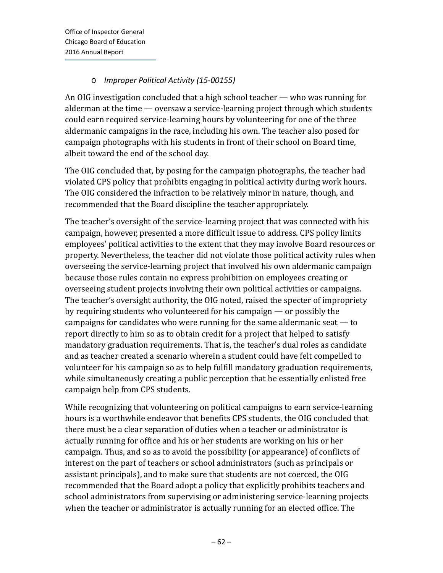## o *Improper Political Activity (15-00155)*

An OIG investigation concluded that a high school teacher — who was running for alderman at the time — oversaw a service-learning project through which students could earn required service-learning hours by volunteering for one of the three aldermanic campaigns in the race, including his own. The teacher also posed for campaign photographs with his students in front of their school on Board time, albeit toward the end of the school day.

The OIG concluded that, by posing for the campaign photographs, the teacher had violated CPS policy that prohibits engaging in political activity during work hours. The OIG considered the infraction to be relatively minor in nature, though, and recommended that the Board discipline the teacher appropriately.

The teacher's oversight of the service-learning project that was connected with his campaign, however, presented a more difficult issue to address. CPS policy limits employees' political activities to the extent that they may involve Board resources or property. Nevertheless, the teacher did not violate those political activity rules when overseeing the service-learning project that involved his own aldermanic campaign because those rules contain no express prohibition on employees creating or overseeing student projects involving their own political activities or campaigns. The teacher's oversight authority, the OIG noted, raised the specter of impropriety by requiring students who volunteered for his campaign — or possibly the campaigns for candidates who were running for the same aldermanic seat — to report directly to him so as to obtain credit for a project that helped to satisfy mandatory graduation requirements. That is, the teacher's dual roles as candidate and as teacher created a scenario wherein a student could have felt compelled to volunteer for his campaign so as to help fulfill mandatory graduation requirements, while simultaneously creating a public perception that he essentially enlisted free campaign help from CPS students.

While recognizing that volunteering on political campaigns to earn service-learning hours is a worthwhile endeavor that benefits CPS students, the OIG concluded that there must be a clear separation of duties when a teacher or administrator is actually running for office and his or her students are working on his or her campaign. Thus, and so as to avoid the possibility (or appearance) of conflicts of interest on the part of teachers or school administrators (such as principals or assistant principals), and to make sure that students are not coerced, the OIG recommended that the Board adopt a policy that explicitly prohibits teachers and school administrators from supervising or administering service-learning projects when the teacher or administrator is actually running for an elected office. The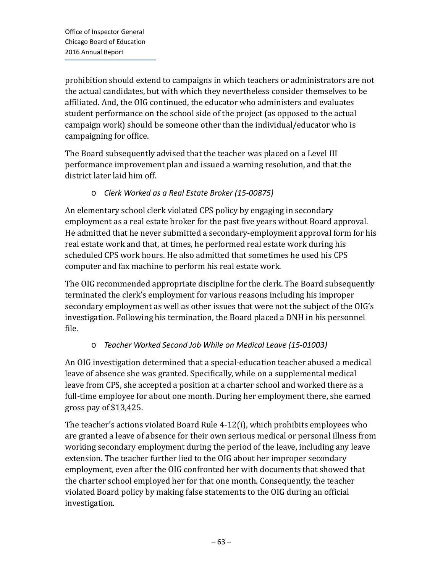prohibition should extend to campaigns in which teachers or administrators are not the actual candidates, but with which they nevertheless consider themselves to be affiliated. And, the OIG continued, the educator who administers and evaluates student performance on the school side of the project (as opposed to the actual campaign work) should be someone other than the individual/educator who is campaigning for office.

The Board subsequently advised that the teacher was placed on a Level III performance improvement plan and issued a warning resolution, and that the district later laid him off.

### o *Clerk Worked as a Real Estate Broker (15-00875)*

An elementary school clerk violated CPS policy by engaging in secondary employment as a real estate broker for the past five years without Board approval. He admitted that he never submitted a secondary-employment approval form for his real estate work and that, at times, he performed real estate work during his scheduled CPS work hours. He also admitted that sometimes he used his CPS computer and fax machine to perform his real estate work.

The OIG recommended appropriate discipline for the clerk. The Board subsequently terminated the clerk's employment for various reasons including his improper secondary employment as well as other issues that were not the subject of the OIG's investigation. Following his termination, the Board placed a DNH in his personnel file.

## o *Teacher Worked Second Job While on Medical Leave (15-01003)*

An OIG investigation determined that a special-education teacher abused a medical leave of absence she was granted. Specifically, while on a supplemental medical leave from CPS, she accepted a position at a charter school and worked there as a full-time employee for about one month. During her employment there, she earned gross pay of \$13,425.

The teacher's actions violated Board Rule 4-12(i), which prohibits employees who are granted a leave of absence for their own serious medical or personal illness from working secondary employment during the period of the leave, including any leave extension. The teacher further lied to the OIG about her improper secondary employment, even after the OIG confronted her with documents that showed that the charter school employed her for that one month. Consequently, the teacher violated Board policy by making false statements to the OIG during an official investigation.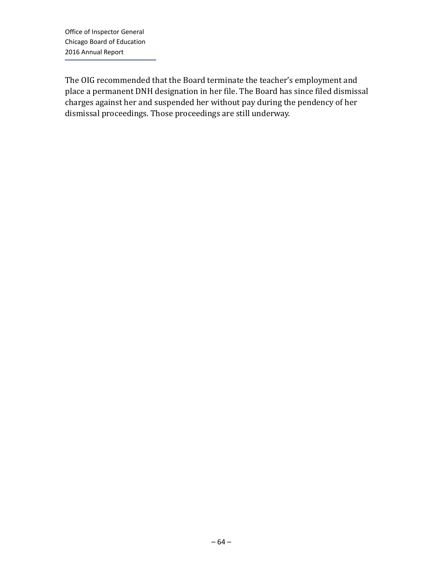The OIG recommended that the Board terminate the teacher's employment and place a permanent DNH designation in her file. The Board has since filed dismissal charges against her and suspended her without pay during the pendency of her dismissal proceedings. Those proceedings are still underway.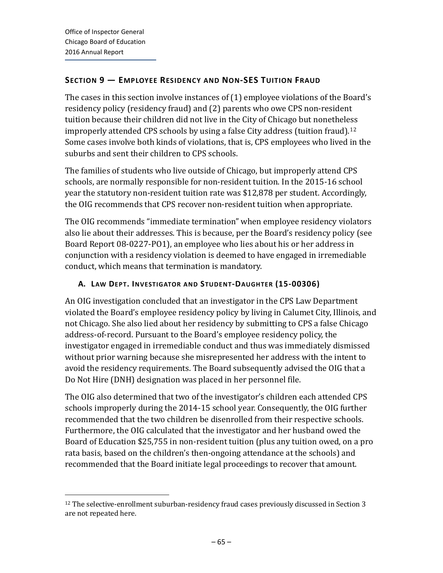$\overline{a}$ 

## **SECTION 9 — EMPLOYEE RESIDENCY AND NON-SES TUITION FRAUD**

The cases in this section involve instances of (1) employee violations of the Board's residency policy (residency fraud) and (2) parents who owe CPS non-resident tuition because their children did not live in the City of Chicago but nonetheless improperly attended CPS schools by using a false City address (tuition fraud).<sup>[12](#page-25-0)</sup> Some cases involve both kinds of violations, that is, CPS employees who lived in the suburbs and sent their children to CPS schools.

The families of students who live outside of Chicago, but improperly attend CPS schools, are normally responsible for non-resident tuition. In the 2015-16 school year the statutory non-resident tuition rate was \$12,878 per student. Accordingly, the OIG recommends that CPS recover non-resident tuition when appropriate.

The OIG recommends "immediate termination" when employee residency violators also lie about their addresses. This is because, per the Board's residency policy (see Board Report 08-0227-PO1), an employee who lies about his or her address in conjunction with a residency violation is deemed to have engaged in irremediable conduct, which means that termination is mandatory.

## **A. LAW DEPT. INVESTIGATOR AND STUDENT-DAUGHTER (15-00306)**

An OIG investigation concluded that an investigator in the CPS Law Department violated the Board's employee residency policy by living in Calumet City, Illinois, and not Chicago. She also lied about her residency by submitting to CPS a false Chicago address-of-record. Pursuant to the Board's employee residency policy, the investigator engaged in irremediable conduct and thus was immediately dismissed without prior warning because she misrepresented her address with the intent to avoid the residency requirements. The Board subsequently advised the OIG that a Do Not Hire (DNH) designation was placed in her personnel file.

The OIG also determined that two of the investigator's children each attended CPS schools improperly during the 2014-15 school year. Consequently, the OIG further recommended that the two children be disenrolled from their respective schools. Furthermore, the OIG calculated that the investigator and her husband owed the Board of Education \$25,755 in non-resident tuition (plus any tuition owed, on a pro rata basis, based on the children's then-ongoing attendance at the schools) and recommended that the Board initiate legal proceedings to recover that amount.

<sup>&</sup>lt;sup>12</sup> The selective-enrollment suburban-residency fraud cases previously discussed in Section 3 are not repeated here.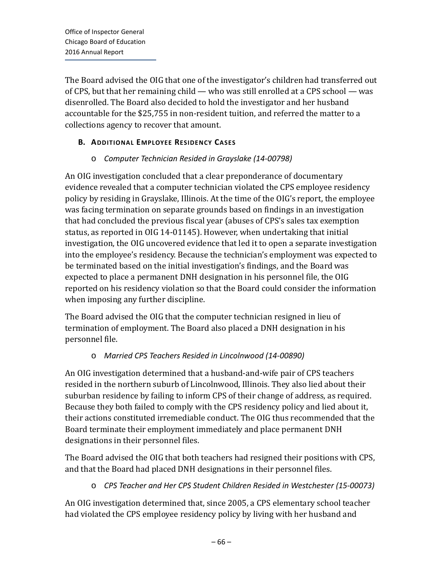The Board advised the OIG that one of the investigator's children had transferred out of CPS, but that her remaining child — who was still enrolled at a CPS school — was disenrolled. The Board also decided to hold the investigator and her husband accountable for the \$25,755 in non-resident tuition, and referred the matter to a collections agency to recover that amount.

## **B. ADDITIONAL EMPLOYEE RESIDENCY CASES**

### o *Computer Technician Resided in Grayslake (14-00798)*

An OIG investigation concluded that a clear preponderance of documentary evidence revealed that a computer technician violated the CPS employee residency policy by residing in Grayslake, Illinois. At the time of the OIG's report, the employee was facing termination on separate grounds based on findings in an investigation that had concluded the previous fiscal year (abuses of CPS's sales tax exemption status, as reported in OIG 14-01145). However, when undertaking that initial investigation, the OIG uncovered evidence that led it to open a separate investigation into the employee's residency. Because the technician's employment was expected to be terminated based on the initial investigation's findings, and the Board was expected to place a permanent DNH designation in his personnel file, the OIG reported on his residency violation so that the Board could consider the information when imposing any further discipline.

The Board advised the OIG that the computer technician resigned in lieu of termination of employment. The Board also placed a DNH designation in his personnel file.

## o *Married CPS Teachers Resided in Lincolnwood (14-00890)*

An OIG investigation determined that a husband-and-wife pair of CPS teachers resided in the northern suburb of Lincolnwood, Illinois. They also lied about their suburban residence by failing to inform CPS of their change of address, as required. Because they both failed to comply with the CPS residency policy and lied about it, their actions constituted irremediable conduct. The OIG thus recommended that the Board terminate their employment immediately and place permanent DNH designations in their personnel files.

The Board advised the OIG that both teachers had resigned their positions with CPS, and that the Board had placed DNH designations in their personnel files.

o *CPS Teacher and Her CPS Student Children Resided in Westchester (15-00073)*

An OIG investigation determined that, since 2005, a CPS elementary school teacher had violated the CPS employee residency policy by living with her husband and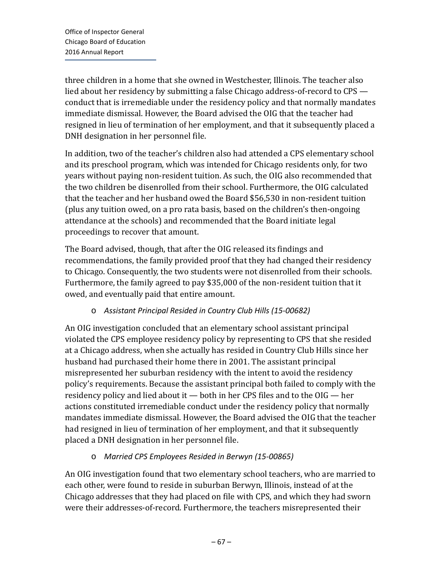three children in a home that she owned in Westchester, Illinois. The teacher also lied about her residency by submitting a false Chicago address-of-record to CPS conduct that is irremediable under the residency policy and that normally mandates immediate dismissal. However, the Board advised the OIG that the teacher had resigned in lieu of termination of her employment, and that it subsequently placed a DNH designation in her personnel file.

In addition, two of the teacher's children also had attended a CPS elementary school and its preschool program, which was intended for Chicago residents only, for two years without paying non-resident tuition. As such, the OIG also recommended that the two children be disenrolled from their school. Furthermore, the OIG calculated that the teacher and her husband owed the Board \$56,530 in non-resident tuition (plus any tuition owed, on a pro rata basis, based on the children's then-ongoing attendance at the schools) and recommended that the Board initiate legal proceedings to recover that amount.

The Board advised, though, that after the OIG released its findings and recommendations, the family provided proof that they had changed their residency to Chicago. Consequently, the two students were not disenrolled from their schools. Furthermore, the family agreed to pay \$35,000 of the non-resident tuition that it owed, and eventually paid that entire amount.

## o *Assistant Principal Resided in Country Club Hills (15-00682)*

An OIG investigation concluded that an elementary school assistant principal violated the CPS employee residency policy by representing to CPS that she resided at a Chicago address, when she actually has resided in Country Club Hills since her husband had purchased their home there in 2001. The assistant principal misrepresented her suburban residency with the intent to avoid the residency policy's requirements. Because the assistant principal both failed to comply with the residency policy and lied about it — both in her CPS files and to the OIG — her actions constituted irremediable conduct under the residency policy that normally mandates immediate dismissal. However, the Board advised the OIG that the teacher had resigned in lieu of termination of her employment, and that it subsequently placed a DNH designation in her personnel file.

## o *Married CPS Employees Resided in Berwyn (15-00865)*

An OIG investigation found that two elementary school teachers, who are married to each other, were found to reside in suburban Berwyn, Illinois, instead of at the Chicago addresses that they had placed on file with CPS, and which they had sworn were their addresses-of-record. Furthermore, the teachers misrepresented their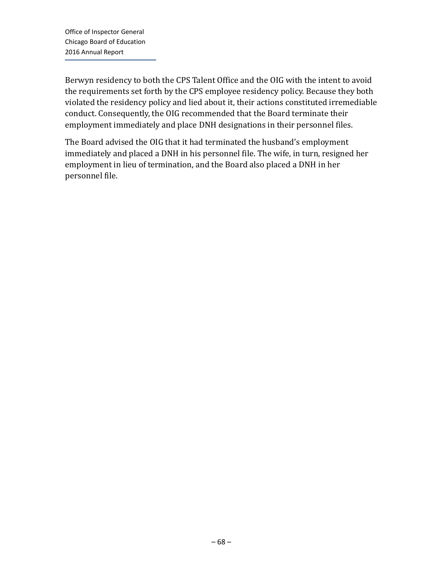Berwyn residency to both the CPS Talent Office and the OIG with the intent to avoid the requirements set forth by the CPS employee residency policy. Because they both violated the residency policy and lied about it, their actions constituted irremediable conduct. Consequently, the OIG recommended that the Board terminate their employment immediately and place DNH designations in their personnel files.

The Board advised the OIG that it had terminated the husband's employment immediately and placed a DNH in his personnel file. The wife, in turn, resigned her employment in lieu of termination, and the Board also placed a DNH in her personnel file.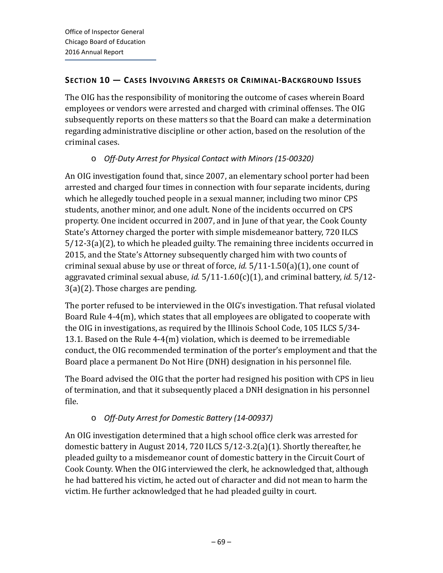### **SECTION 10 — CASES INVOLVING ARRESTS OR CRIMINAL-BACKGROUND ISSUES**

The OIG has the responsibility of monitoring the outcome of cases wherein Board employees or vendors were arrested and charged with criminal offenses. The OIG subsequently reports on these matters so that the Board can make a determination regarding administrative discipline or other action, based on the resolution of the criminal cases.

# o *Off-Duty Arrest for Physical Contact with Minors (15-00320)*

An OIG investigation found that, since 2007, an elementary school porter had been arrested and charged four times in connection with four separate incidents, during which he allegedly touched people in a sexual manner, including two minor CPS students, another minor, and one adult. None of the incidents occurred on CPS property. One incident occurred in 2007, and in June of that year, the Cook County State's Attorney charged the porter with simple misdemeanor battery, 720 ILCS 5/12-3(a)(2), to which he pleaded guilty. The remaining three incidents occurred in 2015, and the State's Attorney subsequently charged him with two counts of criminal sexual abuse by use or threat of force, *id.* 5/11-1.50(a)(1), one count of aggravated criminal sexual abuse, *id.* 5/11-1.60(c)(1), and criminal battery, *id.* 5/12- 3(a)(2). Those charges are pending.

The porter refused to be interviewed in the OIG's investigation. That refusal violated Board Rule 4-4(m), which states that all employees are obligated to cooperate with the OIG in investigations, as required by the Illinois School Code, 105 ILCS 5/34- 13.1. Based on the Rule 4-4(m) violation, which is deemed to be irremediable conduct, the OIG recommended termination of the porter's employment and that the Board place a permanent Do Not Hire (DNH) designation in his personnel file.

The Board advised the OIG that the porter had resigned his position with CPS in lieu of termination, and that it subsequently placed a DNH designation in his personnel file.

# o *Off-Duty Arrest for Domestic Battery (14-00937)*

An OIG investigation determined that a high school office clerk was arrested for domestic battery in August 2014, 720 ILCS 5/12-3.2(a)(1). Shortly thereafter, he pleaded guilty to a misdemeanor count of domestic battery in the Circuit Court of Cook County. When the OIG interviewed the clerk, he acknowledged that, although he had battered his victim, he acted out of character and did not mean to harm the victim. He further acknowledged that he had pleaded guilty in court.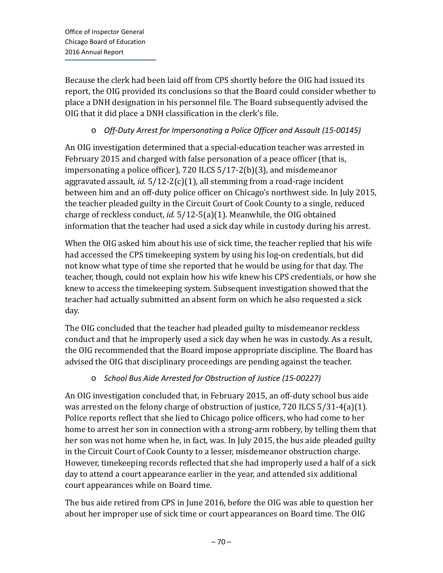Because the clerk had been laid off from CPS shortly before the OIG had issued its report, the OIG provided its conclusions so that the Board could consider whether to place a DNH designation in his personnel file. The Board subsequently advised the OIG that it did place a DNH classification in the clerk's file.

## o *Off-Duty Arrest for Impersonating a Police Officer and Assault (15-00145)*

An OIG investigation determined that a special-education teacher was arrested in February 2015 and charged with false personation of a peace officer (that is, impersonating a police officer), 720 ILCS 5/17-2(b)(3), and misdemeanor aggravated assault, *id.* 5/12-2(c)(1), all stemming from a road-rage incident between him and an off-duty police officer on Chicago's northwest side. In July 2015, the teacher pleaded guilty in the Circuit Court of Cook County to a single, reduced charge of reckless conduct, *id.* 5/12-5(a)(1). Meanwhile, the OIG obtained information that the teacher had used a sick day while in custody during his arrest.

When the OIG asked him about his use of sick time, the teacher replied that his wife had accessed the CPS timekeeping system by using his log-on credentials, but did not know what type of time she reported that he would be using for that day. The teacher, though, could not explain how his wife knew his CPS credentials, or how she knew to access the timekeeping system. Subsequent investigation showed that the teacher had actually submitted an absent form on which he also requested a sick day.

The OIG concluded that the teacher had pleaded guilty to misdemeanor reckless conduct and that he improperly used a sick day when he was in custody. As a result, the OIG recommended that the Board impose appropriate discipline. The Board has advised the OIG that disciplinary proceedings are pending against the teacher.

## o *School Bus Aide Arrested for Obstruction of Justice (15-00227)*

An OIG investigation concluded that, in February 2015, an off-duty school bus aide was arrested on the felony charge of obstruction of justice, 720 ILCS 5/31-4(a)(1). Police reports reflect that she lied to Chicago police officers, who had come to her home to arrest her son in connection with a strong-arm robbery, by telling them that her son was not home when he, in fact, was. In July 2015, the bus aide pleaded guilty in the Circuit Court of Cook County to a lesser, misdemeanor obstruction charge. However, timekeeping records reflected that she had improperly used a half of a sick day to attend a court appearance earlier in the year, and attended six additional court appearances while on Board time.

The bus aide retired from CPS in June 2016, before the OIG was able to question her about her improper use of sick time or court appearances on Board time. The OIG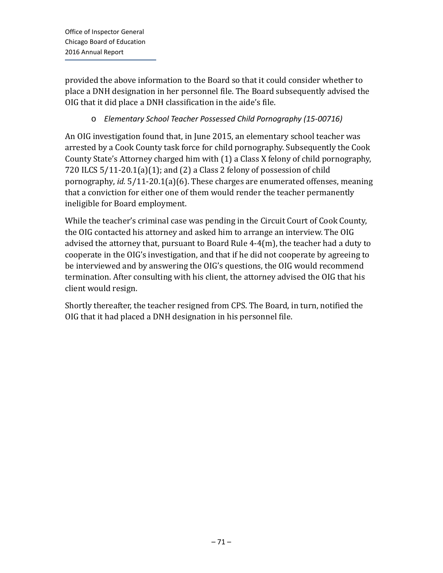provided the above information to the Board so that it could consider whether to place a DNH designation in her personnel file. The Board subsequently advised the OIG that it did place a DNH classification in the aide's file.

### o *Elementary School Teacher Possessed Child Pornography (15-00716)*

An OIG investigation found that, in June 2015, an elementary school teacher was arrested by a Cook County task force for child pornography. Subsequently the Cook County State's Attorney charged him with (1) a Class X felony of child pornography, 720 ILCS 5/11-20.1(a)(1); and (2) a Class 2 felony of possession of child pornography, *id.* 5/11-20.1(a)(6). These charges are enumerated offenses, meaning that a conviction for either one of them would render the teacher permanently ineligible for Board employment.

While the teacher's criminal case was pending in the Circuit Court of Cook County, the OIG contacted his attorney and asked him to arrange an interview. The OIG advised the attorney that, pursuant to Board Rule 4-4(m), the teacher had a duty to cooperate in the OIG's investigation, and that if he did not cooperate by agreeing to be interviewed and by answering the OIG's questions, the OIG would recommend termination. After consulting with his client, the attorney advised the OIG that his client would resign.

Shortly thereafter, the teacher resigned from CPS. The Board, in turn, notified the OIG that it had placed a DNH designation in his personnel file.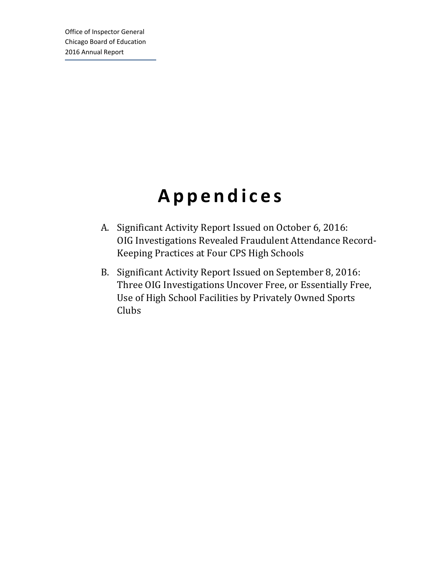# **Appendices**

- A. Significant Activity Report Issued on October 6, 2016: OIG Investigations Revealed Fraudulent Attendance Record-Keeping Practices at Four CPS High Schools
- B. Significant Activity Report Issued on September 8, 2016: Three OIG Investigations Uncover Free, or Essentially Free, Use of High School Facilities by Privately Owned Sports Clubs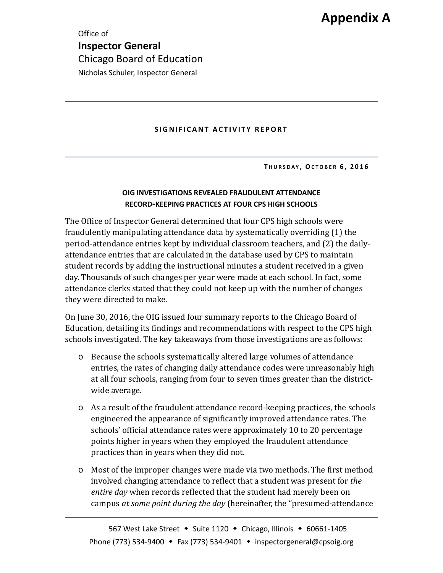Office of **Inspector General** Chicago Board of Education Nicholas Schuler, Inspector General

#### **SIGNIFICANT ACTIVITY REPORT**

**T HURSDAY , OCTOBER 6 , 2016**

#### **OIG INVESTIGATIONS REVEALED FRAUDULENT ATTENDANCE RECORD-KEEPING PRACTICES AT FOUR CPS HIGH SCHOOLS**

The Office of Inspector General determined that four CPS high schools were fraudulently manipulating attendance data by systematically overriding (1) the period-attendance entries kept by individual classroom teachers, and (2) the dailyattendance entries that are calculated in the database used by CPS to maintain student records by adding the instructional minutes a student received in a given day. Thousands of such changes per year were made at each school. In fact, some attendance clerks stated that they could not keep up with the number of changes they were directed to make.

On June 30, 2016, the OIG issued four summary reports to the Chicago Board of Education, detailing its findings and recommendations with respect to the CPS high schools investigated. The key takeaways from those investigations are as follows:

- o Because the schools systematically altered large volumes of attendance entries, the rates of changing daily attendance codes were unreasonably high at all four schools, ranging from four to seven times greater than the districtwide average.
- o As a result of the fraudulent attendance record-keeping practices, the schools engineered the appearance of significantly improved attendance rates. The schools' official attendance rates were approximately 10 to 20 percentage points higher in years when they employed the fraudulent attendance practices than in years when they did not.
- o Most of the improper changes were made via two methods. The first method involved changing attendance to reflect that a student was present for *the entire day* when records reflected that the student had merely been on campus *at some point during the day* (hereinafter, the "presumed-attendance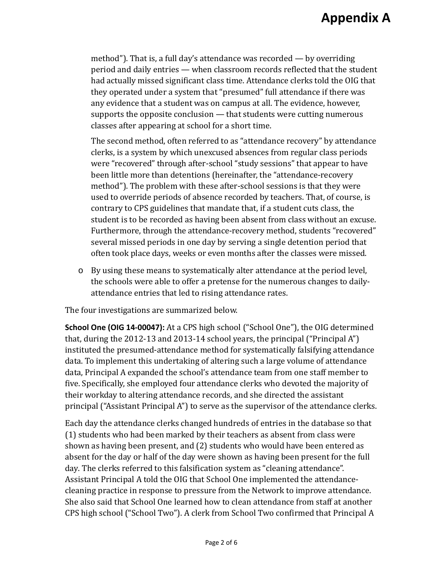method"). That is, a full day's attendance was recorded — by overriding period and daily entries — when classroom records reflected that the student had actually missed significant class time. Attendance clerks told the OIG that they operated under a system that "presumed" full attendance if there was any evidence that a student was on campus at all. The evidence, however, supports the opposite conclusion — that students were cutting numerous classes after appearing at school for a short time.

The second method, often referred to as "attendance recovery" by attendance clerks, is a system by which unexcused absences from regular class periods were "recovered" through after-school "study sessions" that appear to have been little more than detentions (hereinafter, the "attendance-recovery method"). The problem with these after-school sessions is that they were used to override periods of absence recorded by teachers. That, of course, is contrary to CPS guidelines that mandate that, if a student cuts class, the student is to be recorded as having been absent from class without an excuse. Furthermore, through the attendance-recovery method, students "recovered" several missed periods in one day by serving a single detention period that often took place days, weeks or even months after the classes were missed.

o By using these means to systematically alter attendance at the period level, the schools were able to offer a pretense for the numerous changes to dailyattendance entries that led to rising attendance rates.

The four investigations are summarized below.

**School One (OIG 14-00047):** At a CPS high school ("School One"), the OIG determined that, during the 2012-13 and 2013-14 school years, the principal ("Principal A") instituted the presumed-attendance method for systematically falsifying attendance data. To implement this undertaking of altering such a large volume of attendance data, Principal A expanded the school's attendance team from one staff member to five. Specifically, she employed four attendance clerks who devoted the majority of their workday to altering attendance records, and she directed the assistant principal ("Assistant Principal A") to serve as the supervisor of the attendance clerks.

Each day the attendance clerks changed hundreds of entries in the database so that (1) students who had been marked by their teachers as absent from class were shown as having been present, and (2) students who would have been entered as absent for the day or half of the day were shown as having been present for the full day. The clerks referred to this falsification system as "cleaning attendance". Assistant Principal A told the OIG that School One implemented the attendancecleaning practice in response to pressure from the Network to improve attendance. She also said that School One learned how to clean attendance from staff at another CPS high school ("School Two"). A clerk from School Two confirmed that Principal A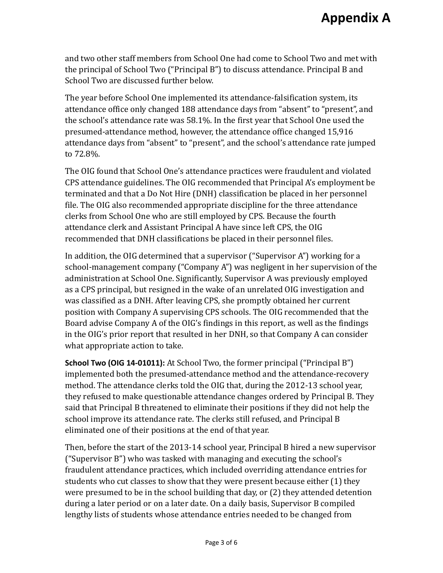and two other staff members from School One had come to School Two and met with the principal of School Two ("Principal B") to discuss attendance. Principal B and School Two are discussed further below.

The year before School One implemented its attendance-falsification system, its attendance office only changed 188 attendance days from "absent" to "present", and the school's attendance rate was 58.1%. In the first year that School One used the presumed-attendance method, however, the attendance office changed 15,916 attendance days from "absent" to "present", and the school's attendance rate jumped to 72.8%.

The OIG found that School One's attendance practices were fraudulent and violated CPS attendance guidelines. The OIG recommended that Principal A's employment be terminated and that a Do Not Hire (DNH) classification be placed in her personnel file. The OIG also recommended appropriate discipline for the three attendance clerks from School One who are still employed by CPS. Because the fourth attendance clerk and Assistant Principal A have since left CPS, the OIG recommended that DNH classifications be placed in their personnel files.

In addition, the OIG determined that a supervisor ("Supervisor A") working for a school-management company ("Company A") was negligent in her supervision of the administration at School One. Significantly, Supervisor A was previously employed as a CPS principal, but resigned in the wake of an unrelated OIG investigation and was classified as a DNH. After leaving CPS, she promptly obtained her current position with Company A supervising CPS schools. The OIG recommended that the Board advise Company A of the OIG's findings in this report, as well as the findings in the OIG's prior report that resulted in her DNH, so that Company A can consider what appropriate action to take.

**School Two (OIG 14-01011):** At School Two, the former principal ("Principal B") implemented both the presumed-attendance method and the attendance-recovery method. The attendance clerks told the OIG that, during the 2012-13 school year, they refused to make questionable attendance changes ordered by Principal B. They said that Principal B threatened to eliminate their positions if they did not help the school improve its attendance rate. The clerks still refused, and Principal B eliminated one of their positions at the end of that year.

Then, before the start of the 2013-14 school year, Principal B hired a new supervisor ("Supervisor B") who was tasked with managing and executing the school's fraudulent attendance practices, which included overriding attendance entries for students who cut classes to show that they were present because either (1) they were presumed to be in the school building that day, or (2) they attended detention during a later period or on a later date. On a daily basis, Supervisor B compiled lengthy lists of students whose attendance entries needed to be changed from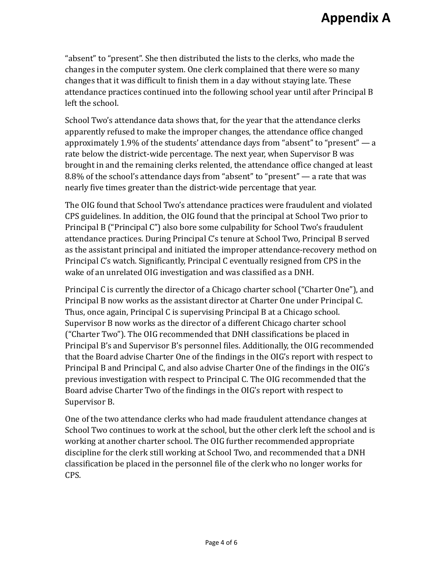"absent" to "present". She then distributed the lists to the clerks, who made the changes in the computer system. One clerk complained that there were so many changes that it was difficult to finish them in a day without staying late. These attendance practices continued into the following school year until after Principal B left the school.

School Two's attendance data shows that, for the year that the attendance clerks apparently refused to make the improper changes, the attendance office changed approximately 1.9% of the students' attendance days from "absent" to "present"  $-$  a rate below the district-wide percentage. The next year, when Supervisor B was brought in and the remaining clerks relented, the attendance office changed at least 8.8% of the school's attendance days from "absent" to "present" — a rate that was nearly five times greater than the district-wide percentage that year.

The OIG found that School Two's attendance practices were fraudulent and violated CPS guidelines. In addition, the OIG found that the principal at School Two prior to Principal B ("Principal C") also bore some culpability for School Two's fraudulent attendance practices. During Principal C's tenure at School Two, Principal B served as the assistant principal and initiated the improper attendance-recovery method on Principal C's watch. Significantly, Principal C eventually resigned from CPS in the wake of an unrelated OIG investigation and was classified as a DNH.

Principal C is currently the director of a Chicago charter school ("Charter One"), and Principal B now works as the assistant director at Charter One under Principal C. Thus, once again, Principal C is supervising Principal B at a Chicago school. Supervisor B now works as the director of a different Chicago charter school ("Charter Two"). The OIG recommended that DNH classifications be placed in Principal B's and Supervisor B's personnel files. Additionally, the OIG recommended that the Board advise Charter One of the findings in the OIG's report with respect to Principal B and Principal C, and also advise Charter One of the findings in the OIG's previous investigation with respect to Principal C. The OIG recommended that the Board advise Charter Two of the findings in the OIG's report with respect to Supervisor B.

One of the two attendance clerks who had made fraudulent attendance changes at School Two continues to work at the school, but the other clerk left the school and is working at another charter school. The OIG further recommended appropriate discipline for the clerk still working at School Two, and recommended that a DNH classification be placed in the personnel file of the clerk who no longer works for CPS.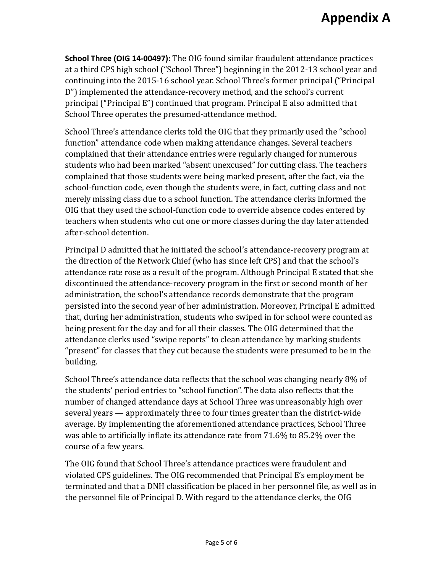**School Three (OIG 14-00497):** The OIG found similar fraudulent attendance practices at a third CPS high school ("School Three") beginning in the 2012-13 school year and continuing into the 2015-16 school year. School Three's former principal ("Principal D") implemented the attendance-recovery method, and the school's current principal ("Principal E") continued that program. Principal E also admitted that School Three operates the presumed-attendance method.

School Three's attendance clerks told the OIG that they primarily used the "school function" attendance code when making attendance changes. Several teachers complained that their attendance entries were regularly changed for numerous students who had been marked "absent unexcused" for cutting class. The teachers complained that those students were being marked present, after the fact, via the school-function code, even though the students were, in fact, cutting class and not merely missing class due to a school function. The attendance clerks informed the OIG that they used the school-function code to override absence codes entered by teachers when students who cut one or more classes during the day later attended after-school detention.

Principal D admitted that he initiated the school's attendance-recovery program at the direction of the Network Chief (who has since left CPS) and that the school's attendance rate rose as a result of the program. Although Principal E stated that she discontinued the attendance-recovery program in the first or second month of her administration, the school's attendance records demonstrate that the program persisted into the second year of her administration. Moreover, Principal E admitted that, during her administration, students who swiped in for school were counted as being present for the day and for all their classes. The OIG determined that the attendance clerks used "swipe reports" to clean attendance by marking students "present" for classes that they cut because the students were presumed to be in the building.

School Three's attendance data reflects that the school was changing nearly 8% of the students' period entries to "school function". The data also reflects that the number of changed attendance days at School Three was unreasonably high over several years — approximately three to four times greater than the district-wide average. By implementing the aforementioned attendance practices, School Three was able to artificially inflate its attendance rate from 71.6% to 85.2% over the course of a few years.

The OIG found that School Three's attendance practices were fraudulent and violated CPS guidelines. The OIG recommended that Principal E's employment be terminated and that a DNH classification be placed in her personnel file, as well as in the personnel file of Principal D. With regard to the attendance clerks, the OIG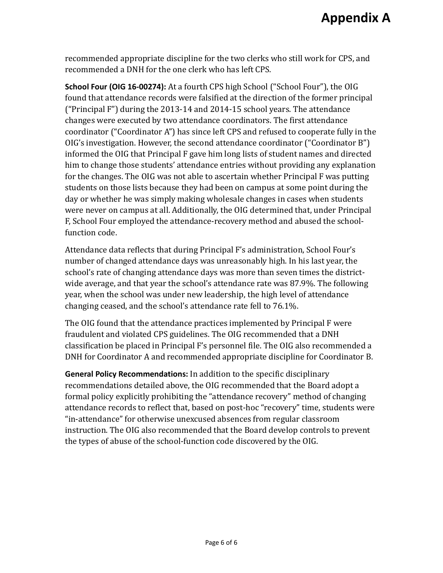recommended appropriate discipline for the two clerks who still work for CPS, and recommended a DNH for the one clerk who has left CPS.

**School Four (OIG 16-00274):** At a fourth CPS high School ("School Four"), the OIG found that attendance records were falsified at the direction of the former principal ("Principal F") during the 2013-14 and 2014-15 school years. The attendance changes were executed by two attendance coordinators. The first attendance coordinator ("Coordinator A") has since left CPS and refused to cooperate fully in the OIG's investigation. However, the second attendance coordinator ("Coordinator B") informed the OIG that Principal F gave him long lists of student names and directed him to change those students' attendance entries without providing any explanation for the changes. The OIG was not able to ascertain whether Principal F was putting students on those lists because they had been on campus at some point during the day or whether he was simply making wholesale changes in cases when students were never on campus at all. Additionally, the OIG determined that, under Principal F, School Four employed the attendance-recovery method and abused the schoolfunction code.

Attendance data reflects that during Principal F's administration, School Four's number of changed attendance days was unreasonably high. In his last year, the school's rate of changing attendance days was more than seven times the districtwide average, and that year the school's attendance rate was 87.9%. The following year, when the school was under new leadership, the high level of attendance changing ceased, and the school's attendance rate fell to 76.1%.

The OIG found that the attendance practices implemented by Principal F were fraudulent and violated CPS guidelines. The OIG recommended that a DNH classification be placed in Principal F's personnel file. The OIG also recommended a DNH for Coordinator A and recommended appropriate discipline for Coordinator B.

**General Policy Recommendations:** In addition to the specific disciplinary recommendations detailed above, the OIG recommended that the Board adopt a formal policy explicitly prohibiting the "attendance recovery" method of changing attendance records to reflect that, based on post-hoc "recovery" time, students were "in-attendance" for otherwise unexcused absences from regular classroom instruction. The OIG also recommended that the Board develop controls to prevent the types of abuse of the school-function code discovered by the OIG.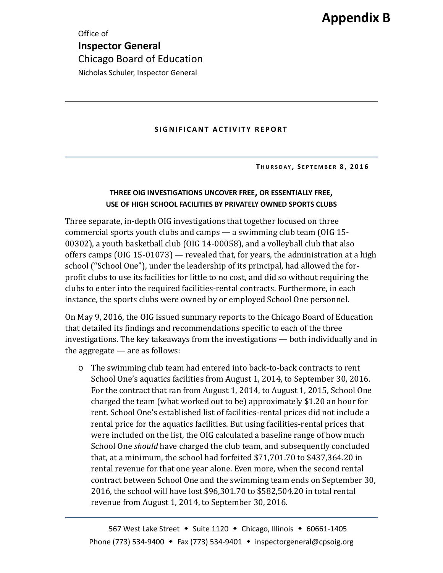Office of **Inspector General** Chicago Board of Education Nicholas Schuler, Inspector General

#### **SIGNIFICANT ACTIVITY REPORT**

**T HURSDAY , S EPTEMBER 8 , 2016**

#### **THREE OIG INVESTIGATIONS UNCOVER FREE, OR ESSENTIALLY FREE, USE OF HIGH SCHOOL FACILITIES BY PRIVATELY OWNED SPORTS CLUBS**

Three separate, in-depth OIG investigations that together focused on three commercial sports youth clubs and camps — a swimming club team (OIG 15- 00302), a youth basketball club (OIG 14-00058), and a volleyball club that also offers camps (OIG 15-01073) — revealed that, for years, the administration at a high school ("School One"), under the leadership of its principal, had allowed the forprofit clubs to use its facilities for little to no cost, and did so without requiring the clubs to enter into the required facilities-rental contracts. Furthermore, in each instance, the sports clubs were owned by or employed School One personnel.

On May 9, 2016, the OIG issued summary reports to the Chicago Board of Education that detailed its findings and recommendations specific to each of the three investigations. The key takeaways from the investigations — both individually and in the aggregate — are as follows:

o The swimming club team had entered into back-to-back contracts to rent School One's aquatics facilities from August 1, 2014, to September 30, 2016. For the contract that ran from August 1, 2014, to August 1, 2015, School One charged the team (what worked out to be) approximately \$1.20 an hour for rent. School One's established list of facilities-rental prices did not include a rental price for the aquatics facilities. But using facilities-rental prices that were included on the list, the OIG calculated a baseline range of how much School One *should* have charged the club team, and subsequently concluded that, at a minimum, the school had forfeited \$71,701.70 to \$437,364.20 in rental revenue for that one year alone. Even more, when the second rental contract between School One and the swimming team ends on September 30, 2016, the school will have lost \$96,301.70 to \$582,504.20 in total rental revenue from August 1, 2014, to September 30, 2016.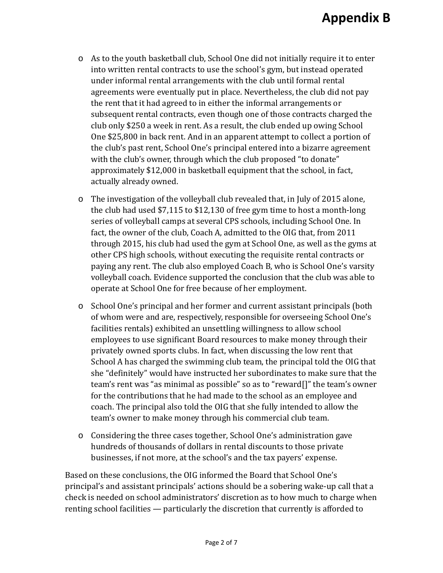- o As to the youth basketball club, School One did not initially require it to enter into written rental contracts to use the school's gym, but instead operated under informal rental arrangements with the club until formal rental agreements were eventually put in place. Nevertheless, the club did not pay the rent that it had agreed to in either the informal arrangements or subsequent rental contracts, even though one of those contracts charged the club only \$250 a week in rent. As a result, the club ended up owing School One \$25,800 in back rent. And in an apparent attempt to collect a portion of the club's past rent, School One's principal entered into a bizarre agreement with the club's owner, through which the club proposed "to donate" approximately \$12,000 in basketball equipment that the school, in fact, actually already owned.
- o The investigation of the volleyball club revealed that, in July of 2015 alone, the club had used \$7,115 to \$12,130 of free gym time to host a month-long series of volleyball camps at several CPS schools, including School One. In fact, the owner of the club, Coach A, admitted to the OIG that, from 2011 through 2015, his club had used the gym at School One, as well as the gyms at other CPS high schools, without executing the requisite rental contracts or paying any rent. The club also employed Coach B, who is School One's varsity volleyball coach. Evidence supported the conclusion that the club was able to operate at School One for free because of her employment.
- o School One's principal and her former and current assistant principals (both of whom were and are, respectively, responsible for overseeing School One's facilities rentals) exhibited an unsettling willingness to allow school employees to use significant Board resources to make money through their privately owned sports clubs. In fact, when discussing the low rent that School A has charged the swimming club team, the principal told the OIG that she "definitely" would have instructed her subordinates to make sure that the team's rent was "as minimal as possible" so as to "reward[]" the team's owner for the contributions that he had made to the school as an employee and coach. The principal also told the OIG that she fully intended to allow the team's owner to make money through his commercial club team.
- o Considering the three cases together, School One's administration gave hundreds of thousands of dollars in rental discounts to those private businesses, if not more, at the school's and the tax payers' expense.

Based on these conclusions, the OIG informed the Board that School One's principal's and assistant principals' actions should be a sobering wake-up call that a check is needed on school administrators' discretion as to how much to charge when renting school facilities — particularly the discretion that currently is afforded to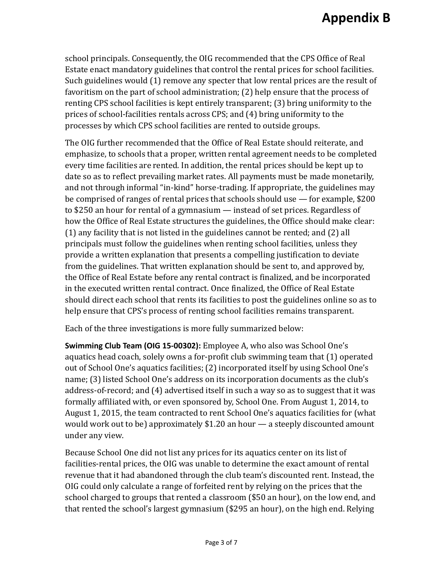school principals. Consequently, the OIG recommended that the CPS Office of Real Estate enact mandatory guidelines that control the rental prices for school facilities. Such guidelines would (1) remove any specter that low rental prices are the result of favoritism on the part of school administration; (2) help ensure that the process of renting CPS school facilities is kept entirely transparent; (3) bring uniformity to the prices of school-facilities rentals across CPS; and (4) bring uniformity to the processes by which CPS school facilities are rented to outside groups.

The OIG further recommended that the Office of Real Estate should reiterate, and emphasize, to schools that a proper, written rental agreement needs to be completed every time facilities are rented. In addition, the rental prices should be kept up to date so as to reflect prevailing market rates. All payments must be made monetarily, and not through informal "in-kind" horse-trading. If appropriate, the guidelines may be comprised of ranges of rental prices that schools should use — for example, \$200 to \$250 an hour for rental of a gymnasium — instead of set prices. Regardless of how the Office of Real Estate structures the guidelines, the Office should make clear: (1) any facility that is not listed in the guidelines cannot be rented; and (2) all principals must follow the guidelines when renting school facilities, unless they provide a written explanation that presents a compelling justification to deviate from the guidelines. That written explanation should be sent to, and approved by, the Office of Real Estate before any rental contract is finalized, and be incorporated in the executed written rental contract. Once finalized, the Office of Real Estate should direct each school that rents its facilities to post the guidelines online so as to help ensure that CPS's process of renting school facilities remains transparent.

Each of the three investigations is more fully summarized below:

**Swimming Club Team (OIG 15-00302):** Employee A, who also was School One's aquatics head coach, solely owns a for-profit club swimming team that (1) operated out of School One's aquatics facilities; (2) incorporated itself by using School One's name; (3) listed School One's address on its incorporation documents as the club's address-of-record; and (4) advertised itself in such a way so as to suggest that it was formally affiliated with, or even sponsored by, School One. From August 1, 2014, to August 1, 2015, the team contracted to rent School One's aquatics facilities for (what would work out to be) approximately \$1.20 an hour — a steeply discounted amount under any view.

Because School One did not list any prices for its aquatics center on its list of facilities-rental prices, the OIG was unable to determine the exact amount of rental revenue that it had abandoned through the club team's discounted rent. Instead, the OIG could only calculate a range of forfeited rent by relying on the prices that the school charged to groups that rented a classroom (\$50 an hour), on the low end, and that rented the school's largest gymnasium (\$295 an hour), on the high end. Relying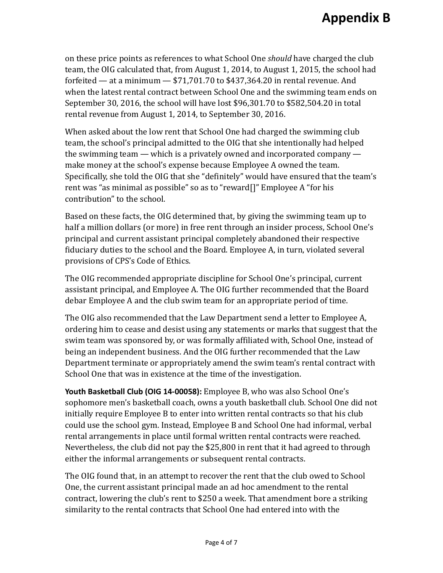on these price points as references to what School One *should* have charged the club team, the OIG calculated that, from August 1, 2014, to August 1, 2015, the school had forfeited — at a minimum  $-$  \$71,701.70 to \$437,364.20 in rental revenue. And when the latest rental contract between School One and the swimming team ends on September 30, 2016, the school will have lost \$96,301.70 to \$582,504.20 in total rental revenue from August 1, 2014, to September 30, 2016.

When asked about the low rent that School One had charged the swimming club team, the school's principal admitted to the OIG that she intentionally had helped the swimming team — which is a privately owned and incorporated company make money at the school's expense because Employee A owned the team. Specifically, she told the OIG that she "definitely" would have ensured that the team's rent was "as minimal as possible" so as to "reward[]" Employee A "for his contribution" to the school.

Based on these facts, the OIG determined that, by giving the swimming team up to half a million dollars (or more) in free rent through an insider process, School One's principal and current assistant principal completely abandoned their respective fiduciary duties to the school and the Board. Employee A, in turn, violated several provisions of CPS's Code of Ethics.

The OIG recommended appropriate discipline for School One's principal, current assistant principal, and Employee A. The OIG further recommended that the Board debar Employee A and the club swim team for an appropriate period of time.

The OIG also recommended that the Law Department send a letter to Employee A, ordering him to cease and desist using any statements or marks that suggest that the swim team was sponsored by, or was formally affiliated with, School One, instead of being an independent business. And the OIG further recommended that the Law Department terminate or appropriately amend the swim team's rental contract with School One that was in existence at the time of the investigation.

**Youth Basketball Club (OIG 14-00058):** Employee B, who was also School One's sophomore men's basketball coach, owns a youth basketball club. School One did not initially require Employee B to enter into written rental contracts so that his club could use the school gym. Instead, Employee B and School One had informal, verbal rental arrangements in place until formal written rental contracts were reached. Nevertheless, the club did not pay the \$25,800 in rent that it had agreed to through either the informal arrangements or subsequent rental contracts.

The OIG found that, in an attempt to recover the rent that the club owed to School One, the current assistant principal made an ad hoc amendment to the rental contract, lowering the club's rent to \$250 a week. That amendment bore a striking similarity to the rental contracts that School One had entered into with the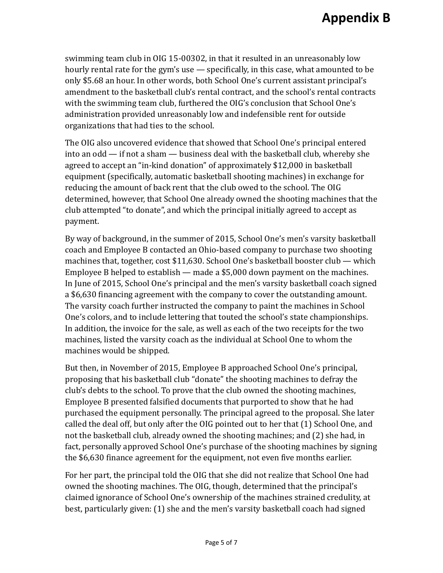swimming team club in OIG 15-00302, in that it resulted in an unreasonably low hourly rental rate for the gym's use — specifically, in this case, what amounted to be only \$5.68 an hour. In other words, both School One's current assistant principal's amendment to the basketball club's rental contract, and the school's rental contracts with the swimming team club, furthered the OIG's conclusion that School One's administration provided unreasonably low and indefensible rent for outside organizations that had ties to the school.

The OIG also uncovered evidence that showed that School One's principal entered into an odd — if not a sham — business deal with the basketball club, whereby she agreed to accept an "in-kind donation" of approximately \$12,000 in basketball equipment (specifically, automatic basketball shooting machines) in exchange for reducing the amount of back rent that the club owed to the school. The OIG determined, however, that School One already owned the shooting machines that the club attempted "to donate", and which the principal initially agreed to accept as payment.

By way of background, in the summer of 2015, School One's men's varsity basketball coach and Employee B contacted an Ohio-based company to purchase two shooting machines that, together, cost \$11,630. School One's basketball booster club — which Employee B helped to establish — made a \$5,000 down payment on the machines. In June of 2015, School One's principal and the men's varsity basketball coach signed a \$6,630 financing agreement with the company to cover the outstanding amount. The varsity coach further instructed the company to paint the machines in School One's colors, and to include lettering that touted the school's state championships. In addition, the invoice for the sale, as well as each of the two receipts for the two machines, listed the varsity coach as the individual at School One to whom the machines would be shipped.

But then, in November of 2015, Employee B approached School One's principal, proposing that his basketball club "donate" the shooting machines to defray the club's debts to the school. To prove that the club owned the shooting machines, Employee B presented falsified documents that purported to show that he had purchased the equipment personally. The principal agreed to the proposal. She later called the deal off, but only after the OIG pointed out to her that (1) School One, and not the basketball club, already owned the shooting machines; and (2) she had, in fact, personally approved School One's purchase of the shooting machines by signing the \$6,630 finance agreement for the equipment, not even five months earlier.

For her part, the principal told the OIG that she did not realize that School One had owned the shooting machines. The OIG, though, determined that the principal's claimed ignorance of School One's ownership of the machines strained credulity, at best, particularly given: (1) she and the men's varsity basketball coach had signed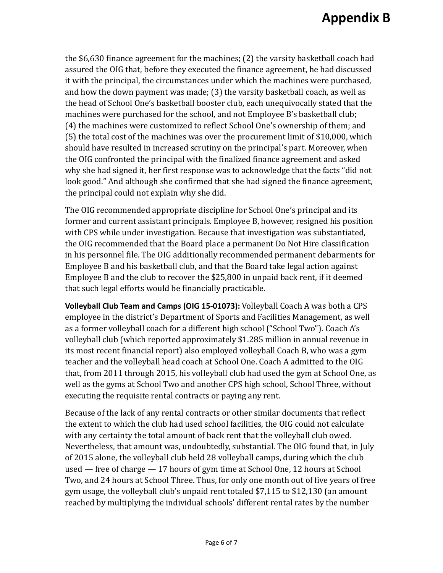the \$6,630 finance agreement for the machines; (2) the varsity basketball coach had assured the OIG that, before they executed the finance agreement, he had discussed it with the principal, the circumstances under which the machines were purchased, and how the down payment was made; (3) the varsity basketball coach, as well as the head of School One's basketball booster club, each unequivocally stated that the machines were purchased for the school, and not Employee B's basketball club; (4) the machines were customized to reflect School One's ownership of them; and (5) the total cost of the machines was over the procurement limit of \$10,000, which should have resulted in increased scrutiny on the principal's part. Moreover, when the OIG confronted the principal with the finalized finance agreement and asked why she had signed it, her first response was to acknowledge that the facts "did not look good." And although she confirmed that she had signed the finance agreement, the principal could not explain why she did.

The OIG recommended appropriate discipline for School One's principal and its former and current assistant principals. Employee B, however, resigned his position with CPS while under investigation. Because that investigation was substantiated, the OIG recommended that the Board place a permanent Do Not Hire classification in his personnel file. The OIG additionally recommended permanent debarments for Employee B and his basketball club, and that the Board take legal action against Employee B and the club to recover the \$25,800 in unpaid back rent, if it deemed that such legal efforts would be financially practicable.

**Volleyball Club Team and Camps (OIG 15-01073):** Volleyball Coach A was both a CPS employee in the district's Department of Sports and Facilities Management, as well as a former volleyball coach for a different high school ("School Two"). Coach A's volleyball club (which reported approximately \$1.285 million in annual revenue in its most recent financial report) also employed volleyball Coach B, who was a gym teacher and the volleyball head coach at School One. Coach A admitted to the OIG that, from 2011 through 2015, his volleyball club had used the gym at School One, as well as the gyms at School Two and another CPS high school, School Three, without executing the requisite rental contracts or paying any rent.

Because of the lack of any rental contracts or other similar documents that reflect the extent to which the club had used school facilities, the OIG could not calculate with any certainty the total amount of back rent that the volleyball club owed. Nevertheless, that amount was, undoubtedly, substantial. The OIG found that, in July of 2015 alone, the volleyball club held 28 volleyball camps, during which the club used — free of charge — 17 hours of gym time at School One, 12 hours at School Two, and 24 hours at School Three. Thus, for only one month out of five years of free gym usage, the volleyball club's unpaid rent totaled \$7,115 to \$12,130 (an amount reached by multiplying the individual schools' different rental rates by the number